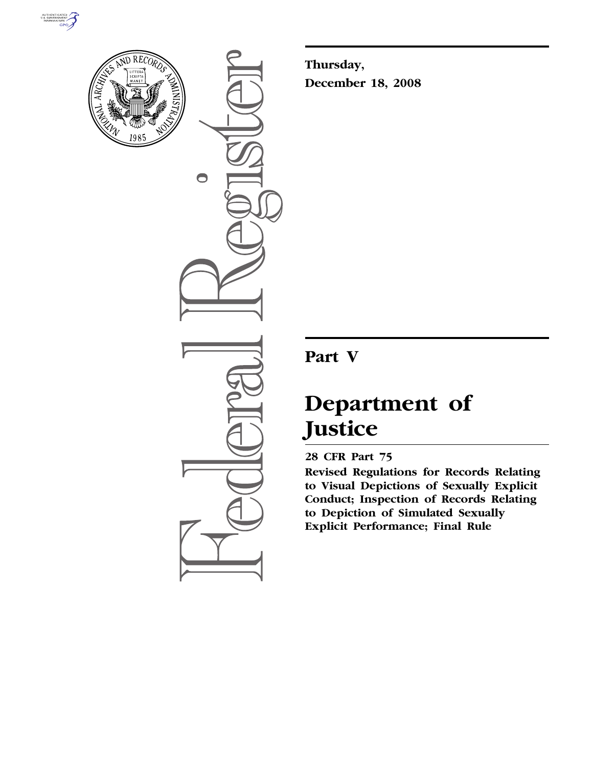



 $\bigcirc$ 

**Thursday, December 18, 2008** 

## **Part V**

# **Department of Justice**

### **28 CFR Part 75**

**Revised Regulations for Records Relating to Visual Depictions of Sexually Explicit Conduct; Inspection of Records Relating to Depiction of Simulated Sexually Explicit Performance; Final Rule**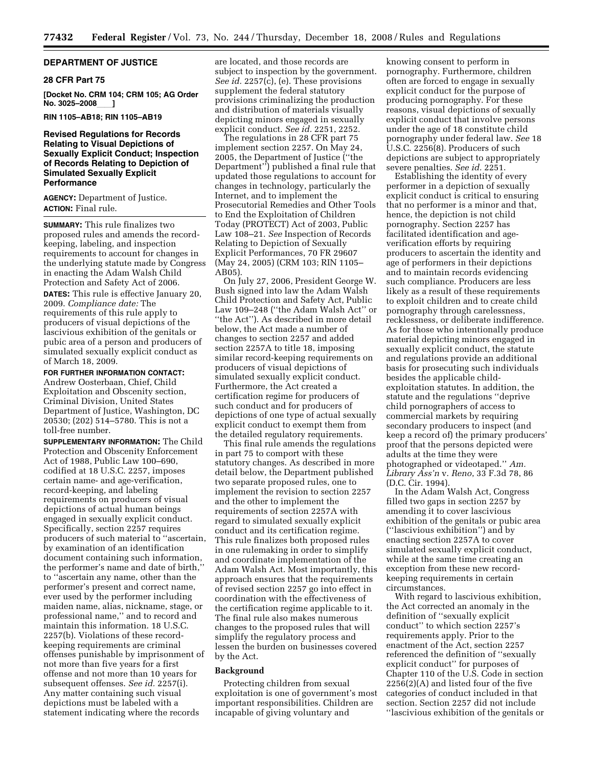#### **DEPARTMENT OF JUSTICE**

#### **28 CFR Part 75**

**[Docket No. CRM 104; CRM 105; AG Order No. 3025–2008** 

#### **RIN 1105–AB18; RIN 1105–AB19**

#### **Revised Regulations for Records Relating to Visual Depictions of Sexually Explicit Conduct; Inspection of Records Relating to Depiction of Simulated Sexually Explicit Performance**

**AGENCY:** Department of Justice. **ACTION:** Final rule.

**SUMMARY:** This rule finalizes two proposed rules and amends the recordkeeping, labeling, and inspection requirements to account for changes in the underlying statute made by Congress in enacting the Adam Walsh Child Protection and Safety Act of 2006.

**DATES:** This rule is effective January 20, 2009. *Compliance date:* The requirements of this rule apply to producers of visual depictions of the lascivious exhibition of the genitals or pubic area of a person and producers of simulated sexually explicit conduct as of March 18, 2009.

**FOR FURTHER INFORMATION CONTACT:**  Andrew Oosterbaan, Chief, Child Exploitation and Obscenity section, Criminal Division, United States Department of Justice, Washington, DC 20530; (202) 514–5780. This is not a

toll-free number.

**SUPPLEMENTARY INFORMATION:** The Child Protection and Obscenity Enforcement Act of 1988, Public Law 100–690, codified at 18 U.S.C. 2257, imposes certain name- and age-verification, record-keeping, and labeling requirements on producers of visual depictions of actual human beings engaged in sexually explicit conduct. Specifically, section 2257 requires producers of such material to ''ascertain, by examination of an identification document containing such information, the performer's name and date of birth,'' to ''ascertain any name, other than the performer's present and correct name, ever used by the performer including maiden name, alias, nickname, stage, or professional name,'' and to record and maintain this information. 18 U.S.C. 2257(b). Violations of these recordkeeping requirements are criminal offenses punishable by imprisonment of not more than five years for a first offense and not more than 10 years for subsequent offenses. *See id.* 2257(i). Any matter containing such visual depictions must be labeled with a statement indicating where the records

are located, and those records are subject to inspection by the government. *See id.* 2257(c), (e). These provisions supplement the federal statutory provisions criminalizing the production and distribution of materials visually depicting minors engaged in sexually explicit conduct. *See id.* 2251, 2252.

The regulations in 28 CFR part 75 implement section 2257. On May 24, 2005, the Department of Justice (''the Department'') published a final rule that updated those regulations to account for changes in technology, particularly the Internet, and to implement the Prosecutorial Remedies and Other Tools to End the Exploitation of Children Today (PROTECT) Act of 2003, Public Law 108–21. *See* Inspection of Records Relating to Depiction of Sexually Explicit Performances, 70 FR 29607 (May 24, 2005) (CRM 103; RIN 1105– AB05).

On July 27, 2006, President George W. Bush signed into law the Adam Walsh Child Protection and Safety Act, Public Law 109–248 (''the Adam Walsh Act'' or ''the Act''). As described in more detail below, the Act made a number of changes to section 2257 and added section 2257A to title 18, imposing similar record-keeping requirements on producers of visual depictions of simulated sexually explicit conduct. Furthermore, the Act created a certification regime for producers of such conduct and for producers of depictions of one type of actual sexually explicit conduct to exempt them from the detailed regulatory requirements.

This final rule amends the regulations in part 75 to comport with these statutory changes. As described in more detail below, the Department published two separate proposed rules, one to implement the revision to section 2257 and the other to implement the requirements of section 2257A with regard to simulated sexually explicit conduct and its certification regime. This rule finalizes both proposed rules in one rulemaking in order to simplify and coordinate implementation of the Adam Walsh Act. Most importantly, this approach ensures that the requirements of revised section 2257 go into effect in coordination with the effectiveness of the certification regime applicable to it. The final rule also makes numerous changes to the proposed rules that will simplify the regulatory process and lessen the burden on businesses covered by the Act.

#### **Background**

Protecting children from sexual exploitation is one of government's most important responsibilities. Children are incapable of giving voluntary and

knowing consent to perform in pornography. Furthermore, children often are forced to engage in sexually explicit conduct for the purpose of producing pornography. For these reasons, visual depictions of sexually explicit conduct that involve persons under the age of 18 constitute child pornography under federal law. *See* 18 U.S.C. 2256(8). Producers of such depictions are subject to appropriately severe penalties. *See id.* 2251.

Establishing the identity of every performer in a depiction of sexually explicit conduct is critical to ensuring that no performer is a minor and that, hence, the depiction is not child pornography. Section 2257 has facilitated identification and ageverification efforts by requiring producers to ascertain the identity and age of performers in their depictions and to maintain records evidencing such compliance. Producers are less likely as a result of these requirements to exploit children and to create child pornography through carelessness, recklessness, or deliberate indifference. As for those who intentionally produce material depicting minors engaged in sexually explicit conduct, the statute and regulations provide an additional basis for prosecuting such individuals besides the applicable childexploitation statutes. In addition, the statute and the regulations ''deprive child pornographers of access to commercial markets by requiring secondary producers to inspect (and keep a record of) the primary producers' proof that the persons depicted were adults at the time they were photographed or videotaped.'' *Am. Library Ass'n* v. *Reno*, 33 F.3d 78, 86 (D.C. Cir. 1994).

In the Adam Walsh Act, Congress filled two gaps in section 2257 by amending it to cover lascivious exhibition of the genitals or pubic area (''lascivious exhibition'') and by enacting section 2257A to cover simulated sexually explicit conduct, while at the same time creating an exception from these new recordkeeping requirements in certain circumstances.

With regard to lascivious exhibition, the Act corrected an anomaly in the definition of ''sexually explicit conduct'' to which section 2257's requirements apply. Prior to the enactment of the Act, section 2257 referenced the definition of ''sexually explicit conduct'' for purposes of Chapter 110 of the U.S. Code in section 2256(2)(A) and listed four of the five categories of conduct included in that section. Section 2257 did not include ''lascivious exhibition of the genitals or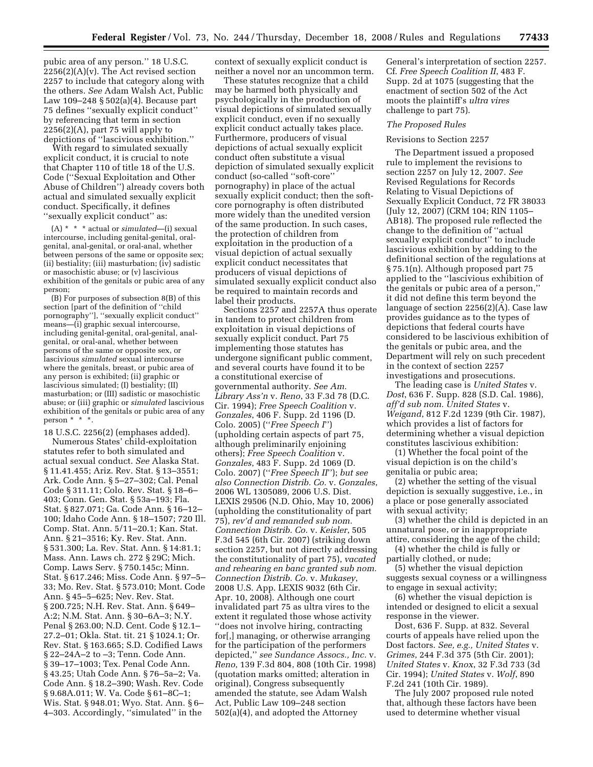pubic area of any person.'' 18 U.S.C.  $2256(2)(A)(v)$ . The Act revised section 2257 to include that category along with the others. *See* Adam Walsh Act, Public Law 109–248 § 502(a)(4). Because part 75 defines ''sexually explicit conduct'' by referencing that term in section  $2256(2)(A)$ , part 75 will apply to depictions of ''lascivious exhibition.''

With regard to simulated sexually explicit conduct, it is crucial to note that Chapter 110 of title 18 of the U.S. Code (''Sexual Exploitation and Other Abuse of Children'') already covers both actual and simulated sexually explicit conduct. Specifically, it defines ''sexually explicit conduct'' as:

(A) \* \* \* actual or *simulated*—(i) sexual intercourse, including genital-genital, oralgenital, anal-genital, or oral-anal, whether between persons of the same or opposite sex;  $(i)$  bestiality;  $(iii)$  masturbation;  $(iv)$  sadistic or masochistic abuse; or (v) lascivious exhibition of the genitals or pubic area of any person;

(B) For purposes of subsection 8(B) of this section [part of the definition of ''child pornography''], ''sexually explicit conduct'' means—(i) graphic sexual intercourse, including genital-genital, oral-genital, analgenital, or oral-anal, whether between persons of the same or opposite sex, or lascivious *simulated* sexual intercourse where the genitals, breast, or pubic area of any person is exhibited; (ii) graphic or lascivious simulated; (I) bestiality; (II) masturbation; or (III) sadistic or masochistic abuse; or (iii) graphic or *simulated* lascivious exhibition of the genitals or pubic area of any person \* \* \*.

18 U.S.C. 2256(2) (emphases added). Numerous States' child-exploitation statutes refer to both simulated and actual sexual conduct. *See* Alaska Stat. § 11.41.455; Ariz. Rev. Stat. § 13–3551; Ark. Code Ann. § 5–27–302; Cal. Penal Code § 311.11; Colo. Rev. Stat. § 18–6– 403; Conn. Gen. Stat. § 53a–193; Fla. Stat. § 827.071; Ga. Code Ann. § 16–12– 100; Idaho Code Ann. § 18–1507; 720 Ill. Comp. Stat. Ann. 5/11–20.1; Kan. Stat. Ann. § 21–3516; Ky. Rev. Stat. Ann. § 531.300; La. Rev. Stat. Ann. § 14:81.1; Mass. Ann. Laws ch. 272 § 29C; Mich. Comp. Laws Serv. § 750.145c; Minn. Stat. § 617.246; Miss. Code Ann. § 97–5– 33; Mo. Rev. Stat. § 573.010; Mont. Code Ann. § 45–5–625; Nev. Rev. Stat. § 200.725; N.H. Rev. Stat. Ann. § 649– A:2; N.M. Stat. Ann. § 30–6A–3; N.Y. Penal § 263.00; N.D. Cent. Code § 12.1– 27.2–01; Okla. Stat. tit. 21 § 1024.1; Or. Rev. Stat. § 163.665; S.D. Codified Laws § 22–24A–2 to –3; Tenn. Code Ann. § 39–17–1003; Tex. Penal Code Ann. § 43.25; Utah Code Ann. § 76–5a–2; Va. Code Ann. § 18.2–390; Wash. Rev. Code § 9.68A.011; W. Va. Code § 61–8C–1; Wis. Stat. § 948.01; Wyo. Stat. Ann. § 6– 4–303. Accordingly, ''simulated'' in the

context of sexually explicit conduct is neither a novel nor an uncommon term.

These statutes recognize that a child may be harmed both physically and psychologically in the production of visual depictions of simulated sexually explicit conduct, even if no sexually explicit conduct actually takes place. Furthermore, producers of visual depictions of actual sexually explicit conduct often substitute a visual depiction of simulated sexually explicit conduct (so-called ''soft-core'' pornography) in place of the actual sexually explicit conduct; then the softcore pornography is often distributed more widely than the unedited version of the same production. In such cases, the protection of children from exploitation in the production of a visual depiction of actual sexually explicit conduct necessitates that producers of visual depictions of simulated sexually explicit conduct also be required to maintain records and label their products.

Sections 2257 and 2257A thus operate in tandem to protect children from exploitation in visual depictions of sexually explicit conduct. Part 75 implementing those statutes has undergone significant public comment, and several courts have found it to be a constitutional exercise of governmental authority. *See Am. Library Ass'n* v. *Reno*, 33 F.3d 78 (D.C. Cir. 1994); *Free Speech Coalition* v. *Gonzales*, 406 F. Supp. 2d 1196 (D. Colo. 2005) (''*Free Speech I*'') (upholding certain aspects of part 75, although preliminarily enjoining others); *Free Speech Coalition* v. *Gonzales*, 483 F. Supp. 2d 1069 (D. Colo. 2007) (''*Free Speech II*''); *but see also Connection Distrib. Co.* v. *Gonzales*, 2006 WL 1305089, 2006 U.S. Dist. LEXIS 29506 (N.D. Ohio, May 10, 2006) (upholding the constitutionality of part 75), *rev'd and remanded sub nom. Connection Distrib. Co.* v. *Keisler*, 505 F.3d 545 (6th Cir. 2007) (striking down section 2257, but not directly addressing the constitutionality of part 75), *vacated and rehearing en banc granted sub nom. Connection Distrib. Co.* v. *Mukasey*, 2008 U.S. App. LEXIS 9032 (6th Cir. Apr. 10, 2008). Although one court invalidated part 75 as ultra vires to the extent it regulated those whose activity ''does not involve hiring, contracting for[,] managing, or otherwise arranging for the participation of the performers depicted,'' *see Sundance Assocs., Inc.* v. *Reno*, 139 F.3d 804, 808 (10th Cir. 1998) (quotation marks omitted; alteration in original), Congress subsequently amended the statute, see Adam Walsh Act, Public Law 109–248 section 502(a)(4), and adopted the Attorney

General's interpretation of section 2257. Cf. *Free Speech Coalition II*, 483 F. Supp. 2d at 1075 (suggesting that the enactment of section 502 of the Act moots the plaintiff's *ultra vires*  challenge to part 75).

#### *The Proposed Rules*

#### Revisions to Section 2257

The Department issued a proposed rule to implement the revisions to section 2257 on July 12, 2007. *See*  Revised Regulations for Records Relating to Visual Depictions of Sexually Explicit Conduct, 72 FR 38033 (July 12, 2007) (CRM 104; RIN 1105– AB18). The proposed rule reflected the change to the definition of ''actual sexually explicit conduct'' to include lascivious exhibition by adding to the definitional section of the regulations at § 75.1(n). Although proposed part 75 applied to the ''lascivious exhibition of the genitals or pubic area of a person,'' it did not define this term beyond the language of section 2256(2)(A). Case law provides guidance as to the types of depictions that federal courts have considered to be lascivious exhibition of the genitals or pubic area, and the Department will rely on such precedent in the context of section 2257 investigations and prosecutions.

The leading case is *United States* v. *Dost*, 636 F. Supp. 828 (S.D. Cal. 1986), *aff'd sub nom. United States* v. *Weigand*, 812 F.2d 1239 (9th Cir. 1987), which provides a list of factors for determining whether a visual depiction constitutes lascivious exhibition:

(1) Whether the focal point of the visual depiction is on the child's genitalia or pubic area;

(2) whether the setting of the visual depiction is sexually suggestive, i.e., in a place or pose generally associated with sexual activity;

(3) whether the child is depicted in an unnatural pose, or in inappropriate attire, considering the age of the child;

(4) whether the child is fully or partially clothed, or nude;

(5) whether the visual depiction suggests sexual coyness or a willingness to engage in sexual activity;

(6) whether the visual depiction is intended or designed to elicit a sexual response in the viewer.

Dost, 636 F. Supp. at 832. Several courts of appeals have relied upon the Dost factors. *See, e.g., United States* v. *Grimes*, 244 F.3d 375 (5th Cir. 2001); *United States* v. *Knox*, 32 F.3d 733 (3d Cir. 1994); *United States* v. *Wolf*, 890 F.2d 241 (10th Cir. 1989).

The July 2007 proposed rule noted that, although these factors have been used to determine whether visual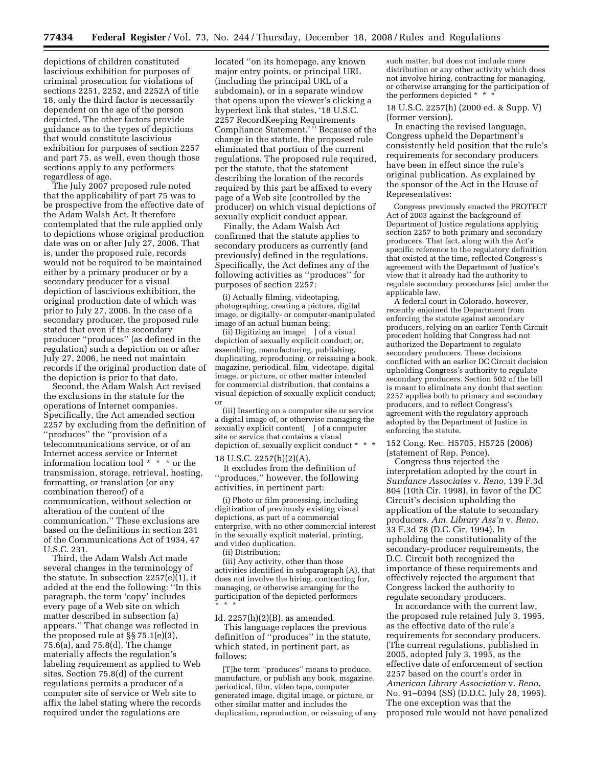depictions of children constituted lascivious exhibition for purposes of criminal prosecution for violations of sections 2251, 2252, and 2252A of title 18, only the third factor is necessarily dependent on the age of the person depicted. The other factors provide guidance as to the types of depictions that would constitute lascivious exhibition for purposes of section 2257 and part 75, as well, even though those sections apply to any performers regardless of age.

The July 2007 proposed rule noted that the applicability of part 75 was to be prospective from the effective date of the Adam Walsh Act. It therefore contemplated that the rule applied only to depictions whose original production date was on or after July 27, 2006. That is, under the proposed rule, records would not be required to be maintained either by a primary producer or by a secondary producer for a visual depiction of lascivious exhibition, the original production date of which was prior to July 27, 2006. In the case of a secondary producer, the proposed rule stated that even if the secondary producer ''produces'' (as defined in the regulation) such a depiction on or after July 27, 2006, he need not maintain records if the original production date of the depiction is prior to that date.

Second, the Adam Walsh Act revised the exclusions in the statute for the operations of Internet companies. Specifically, the Act amended section 2257 by excluding from the definition of ''produces'' the ''provision of a telecommunications service, or of an Internet access service or Internet information location tool \* \* \* or the transmission, storage, retrieval, hosting, formatting, or translation (or any combination thereof) of a communication, without selection or alteration of the content of the communication.'' These exclusions are based on the definitions in section 231 of the Communications Act of 1934, 47 U.S.C. 231.

Third, the Adam Walsh Act made several changes in the terminology of the statute. In subsection 2257(e)(1), it added at the end the following: ''In this paragraph, the term 'copy' includes every page of a Web site on which matter described in subsection (a) appears.'' That change was reflected in the proposed rule at §§ 75.1(e)(3), 75.6(a), and 75.8(d). The change materially affects the regulation's labeling requirement as applied to Web sites. Section 75.8(d) of the current regulations permits a producer of a computer site of service or Web site to affix the label stating where the records required under the regulations are

located ''on its homepage, any known major entry points, or principal URL (including the principal URL of a subdomain), or in a separate window that opens upon the viewer's clicking a hypertext link that states, '18 U.S.C. 2257 RecordKeeping Requirements Compliance Statement.' '' Because of the change in the statute, the proposed rule eliminated that portion of the current regulations. The proposed rule required, per the statute, that the statement describing the location of the records required by this part be affixed to every page of a Web site (controlled by the producer) on which visual depictions of sexually explicit conduct appear.

Finally, the Adam Walsh Act confirmed that the statute applies to secondary producers as currently (and previously) defined in the regulations. Specifically, the Act defines any of the following activities as ''produces'' for purposes of section 2257:

(i) Actually filming, videotaping, photographing, creating a picture, digital image, or digitally- or computer-manipulated image of an actual human being;

(ii) Digitizing an image[ ] of a visual depiction of sexually explicit conduct; or, assembling, manufacturing, publishing, duplicating, reproducing, or reissuing a book, magazine, periodical, film, videotape, digital image, or picture, or other matter intended for commercial distribution, that contains a visual depiction of sexually explicit conduct; or

(iii) Inserting on a computer site or service a digital image of, or otherwise managing the sexually explicit content[ ] of a computer site or service that contains a visual depiction of, sexually explicit conduct \* \* \*

#### 18 U.S.C. 2257(h)(2)(A).

It excludes from the definition of ''produces,'' however, the following activities, in pertinent part:

(i) Photo or film processing, including digitization of previously existing visual depictions, as part of a commercial enterprise, with no other commercial interest in the sexually explicit material, printing, and video duplication.

(ii) Distribution;

(iii) Any activity, other than those activities identified in subparagraph (A), that does not involve the hiring, contracting for, managing, or otherwise arranging for the participation of the depicted performers \* \* \*

#### Id. 2257(h)(2)(B), as amended.

This language replaces the previous definition of ''produces'' in the statute, which stated, in pertinent part, as follows:

[T]he term ''produces'' means to produce, manufacture, or publish any book, magazine, periodical, film, video tape, computer generated image, digital image, or picture, or other similar matter and includes the duplication, reproduction, or reissuing of any such matter, but does not include mere distribution or any other activity which does not involve hiring, contracting for managing, or otherwise arranging for the participation of the performers depicted \* \* \*

18 U.S.C. 2257(h) (2000 ed. & Supp. V) (former version).

In enacting the revised language, Congress upheld the Department's consistently held position that the rule's requirements for secondary producers have been in effect since the rule's original publication. As explained by the sponsor of the Act in the House of Representatives:

Congress previously enacted the PROTECT Act of 2003 against the background of Department of Justice regulations applying section 2257 to both primary and secondary producers. That fact, along with the Act's specific reference to the regulatory definition that existed at the time, reflected Congress's agreement with the Department of Justice's view that it already had the authority to regulate secondary procedures [sic] under the applicable law.

A federal court in Colorado, however, recently enjoined the Department from enforcing the statute against secondary producers, relying on an earlier Tenth Circuit precedent holding that Congress had not authorized the Department to regulate secondary producers. These decisions conflicted with an earlier DC Circuit decision upholding Congress's authority to regulate secondary producers. Section 502 of the bill is meant to eliminate any doubt that section 2257 applies both to primary and secondary producers, and to reflect Congress's agreement with the regulatory approach adopted by the Department of Justice in enforcing the statute.

152 Cong. Rec. H5705, H5725 (2006) (statement of Rep. Pence).

Congress thus rejected the interpretation adopted by the court in *Sundance Associates* v. *Reno*, 139 F.3d 804 (10th Cir. 1998), in favor of the DC Circuit's decision upholding the application of the statute to secondary producers. *Am. Library Ass'n* v. *Reno*, 33 F.3d 78 (D.C. Cir. 1994). In upholding the constitutionality of the secondary-producer requirements, the D.C. Circuit both recognized the importance of these requirements and effectively rejected the argument that Congress lacked the authority to regulate secondary producers.

In accordance with the current law, the proposed rule retained July 3, 1995, as the effective date of the rule's requirements for secondary producers. (The current regulations, published in 2005, adopted July 3, 1995, as the effective date of enforcement of section 2257 based on the court's order in *American Library Association* v. *Reno*, No. 91–0394 (SS) (D.D.C. July 28, 1995). The one exception was that the proposed rule would not have penalized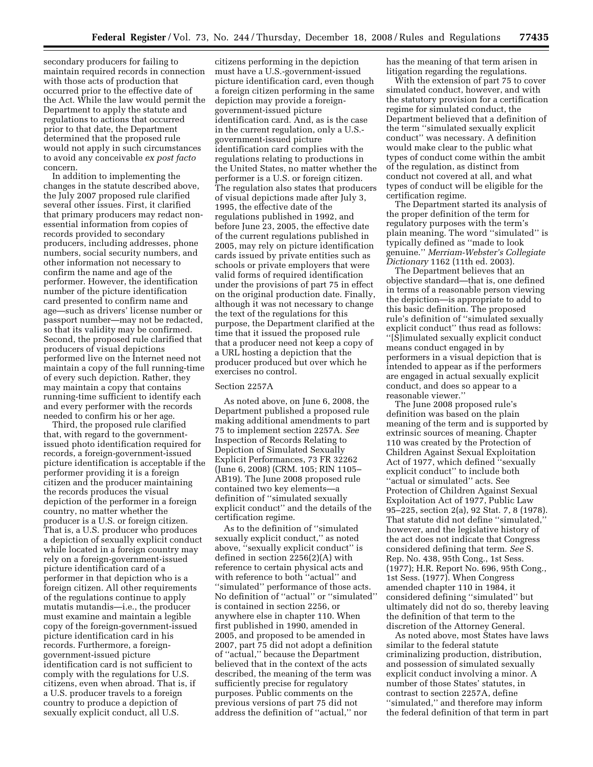secondary producers for failing to maintain required records in connection with those acts of production that occurred prior to the effective date of the Act. While the law would permit the Department to apply the statute and regulations to actions that occurred prior to that date, the Department determined that the proposed rule would not apply in such circumstances to avoid any conceivable *ex post facto*  concern.

In addition to implementing the changes in the statute described above, the July 2007 proposed rule clarified several other issues. First, it clarified that primary producers may redact nonessential information from copies of records provided to secondary producers, including addresses, phone numbers, social security numbers, and other information not necessary to confirm the name and age of the performer. However, the identification number of the picture identification card presented to confirm name and age—such as drivers' license number or passport number—may not be redacted, so that its validity may be confirmed. Second, the proposed rule clarified that producers of visual depictions performed live on the Internet need not maintain a copy of the full running-time of every such depiction. Rather, they may maintain a copy that contains running-time sufficient to identify each and every performer with the records needed to confirm his or her age.

Third, the proposed rule clarified that, with regard to the governmentissued photo identification required for records, a foreign-government-issued picture identification is acceptable if the performer providing it is a foreign citizen and the producer maintaining the records produces the visual depiction of the performer in a foreign country, no matter whether the producer is a U.S. or foreign citizen. That is, a U.S. producer who produces a depiction of sexually explicit conduct while located in a foreign country may rely on a foreign-government-issued picture identification card of a performer in that depiction who is a foreign citizen. All other requirements of the regulations continue to apply mutatis mutandis—i.e., the producer must examine and maintain a legible copy of the foreign-government-issued picture identification card in his records. Furthermore, a foreigngovernment-issued picture identification card is not sufficient to comply with the regulations for U.S. citizens, even when abroad. That is, if a U.S. producer travels to a foreign country to produce a depiction of sexually explicit conduct, all U.S.

citizens performing in the depiction must have a U.S.-government-issued picture identification card, even though a foreign citizen performing in the same depiction may provide a foreigngovernment-issued picture identification card. And, as is the case in the current regulation, only a U.S. government-issued picture identification card complies with the regulations relating to productions in the United States, no matter whether the performer is a U.S. or foreign citizen. The regulation also states that producers of visual depictions made after July 3, 1995, the effective date of the regulations published in 1992, and before June 23, 2005, the effective date of the current regulations published in 2005, may rely on picture identification cards issued by private entities such as schools or private employers that were valid forms of required identification under the provisions of part 75 in effect on the original production date. Finally, although it was not necessary to change the text of the regulations for this purpose, the Department clarified at the time that it issued the proposed rule that a producer need not keep a copy of a URL hosting a depiction that the producer produced but over which he exercises no control.

#### Section 2257A

As noted above, on June 6, 2008, the Department published a proposed rule making additional amendments to part 75 to implement section 2257A. *See*  Inspection of Records Relating to Depiction of Simulated Sexually Explicit Performances, 73 FR 32262 (June 6, 2008) (CRM. 105; RIN 1105– AB19). The June 2008 proposed rule contained two key elements—a definition of ''simulated sexually explicit conduct'' and the details of the certification regime.

As to the definition of ''simulated sexually explicit conduct,'' as noted above, ''sexually explicit conduct'' is defined in section 2256(2)(A) with reference to certain physical acts and with reference to both ''actual'' and ''simulated'' performance of those acts. No definition of ''actual'' or ''simulated'' is contained in section 2256, or anywhere else in chapter 110. When first published in 1990, amended in 2005, and proposed to be amended in 2007, part 75 did not adopt a definition of ''actual,'' because the Department believed that in the context of the acts described, the meaning of the term was sufficiently precise for regulatory purposes. Public comments on the previous versions of part 75 did not address the definition of ''actual,'' nor

has the meaning of that term arisen in litigation regarding the regulations.

With the extension of part 75 to cover simulated conduct, however, and with the statutory provision for a certification regime for simulated conduct, the Department believed that a definition of the term ''simulated sexually explicit conduct'' was necessary. A definition would make clear to the public what types of conduct come within the ambit of the regulation, as distinct from conduct not covered at all, and what types of conduct will be eligible for the certification regime.

The Department started its analysis of the proper definition of the term for regulatory purposes with the term's plain meaning. The word ''simulated'' is typically defined as ''made to look genuine.'' *Merriam-Webster's Collegiate Dictionary* 1162 (11th ed. 2003).

The Department believes that an objective standard—that is, one defined in terms of a reasonable person viewing the depiction—is appropriate to add to this basic definition. The proposed rule's definition of ''simulated sexually explicit conduct'' thus read as follows: ''[S]imulated sexually explicit conduct means conduct engaged in by performers in a visual depiction that is intended to appear as if the performers are engaged in actual sexually explicit conduct, and does so appear to a reasonable viewer.''

The June 2008 proposed rule's definition was based on the plain meaning of the term and is supported by extrinsic sources of meaning. Chapter 110 was created by the Protection of Children Against Sexual Exploitation Act of 1977, which defined ''sexually explicit conduct'' to include both ''actual or simulated'' acts. See Protection of Children Against Sexual Exploitation Act of 1977, Public Law 95–225, section 2(a), 92 Stat. 7, 8 (1978). That statute did not define "simulated," however, and the legislative history of the act does not indicate that Congress considered defining that term. *See* S. Rep. No. 438, 95th Cong., 1st Sess. (1977); H.R. Report No. 696, 95th Cong., 1st Sess. (1977). When Congress amended chapter 110 in 1984, it considered defining ''simulated'' but ultimately did not do so, thereby leaving the definition of that term to the discretion of the Attorney General.

As noted above, most States have laws similar to the federal statute criminalizing production, distribution, and possession of simulated sexually explicit conduct involving a minor. A number of those States' statutes, in contrast to section 2257A, define ''simulated,'' and therefore may inform the federal definition of that term in part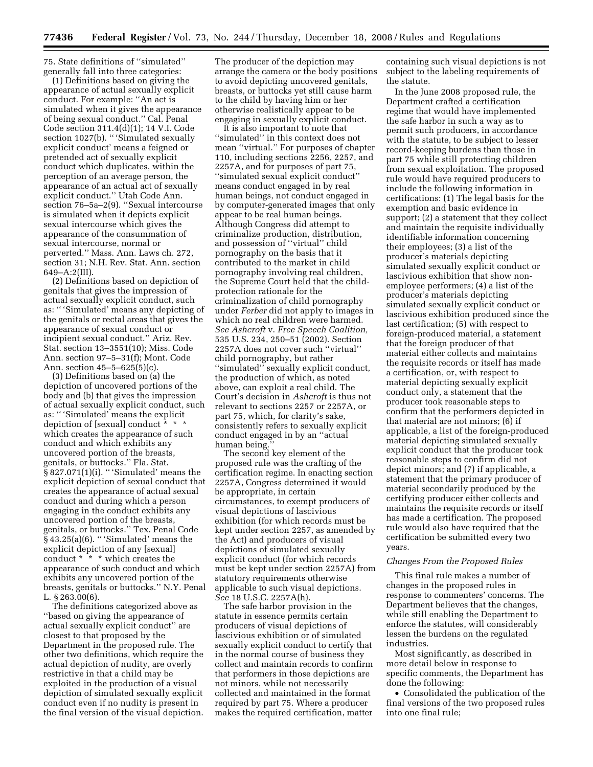75. State definitions of ''simulated'' generally fall into three categories:

(1) Definitions based on giving the appearance of actual sexually explicit conduct. For example: ''An act is simulated when it gives the appearance of being sexual conduct.'' Cal. Penal Code section 311.4(d)(1); 14 V.I. Code section 1027(b). "'Simulated sexually explicit conduct' means a feigned or pretended act of sexually explicit conduct which duplicates, within the perception of an average person, the appearance of an actual act of sexually explicit conduct.'' Utah Code Ann. section 76–5a–2(9). "Sexual intercourse is simulated when it depicts explicit sexual intercourse which gives the appearance of the consummation of sexual intercourse, normal or perverted.'' Mass. Ann. Laws ch. 272, section 31; N.H. Rev. Stat. Ann. section 649–A:2(III).

(2) Definitions based on depiction of genitals that gives the impression of actual sexually explicit conduct, such as: '' 'Simulated' means any depicting of the genitals or rectal areas that gives the appearance of sexual conduct or incipient sexual conduct.'' Ariz. Rev. Stat. section 13–3551(10); Miss. Code Ann. section 97–5–31(f); Mont. Code Ann. section 45–5–625(5)(c).

(3) Definitions based on (a) the depiction of uncovered portions of the body and (b) that gives the impression of actual sexually explicit conduct, such as: '' 'Simulated' means the explicit depiction of [sexual] conduct \* \* \* which creates the appearance of such conduct and which exhibits any uncovered portion of the breasts, genitals, or buttocks.'' Fla. Stat. § 827.071(1)(i). '' 'Simulated' means the explicit depiction of sexual conduct that creates the appearance of actual sexual conduct and during which a person engaging in the conduct exhibits any uncovered portion of the breasts, genitals, or buttocks.'' Tex. Penal Code  $\bar{\S}$  43.25(a)(6). "Simulated' means the explicit depiction of any [sexual] conduct \* \* \* which creates the appearance of such conduct and which exhibits any uncovered portion of the breasts, genitals or buttocks.'' N.Y. Penal L. § 263.00(6).

The definitions categorized above as ''based on giving the appearance of actual sexually explicit conduct'' are closest to that proposed by the Department in the proposed rule. The other two definitions, which require the actual depiction of nudity, are overly restrictive in that a child may be exploited in the production of a visual depiction of simulated sexually explicit conduct even if no nudity is present in the final version of the visual depiction.

The producer of the depiction may arrange the camera or the body positions to avoid depicting uncovered genitals, breasts, or buttocks yet still cause harm to the child by having him or her otherwise realistically appear to be engaging in sexually explicit conduct.

It is also important to note that ''simulated'' in this context does not mean ''virtual.'' For purposes of chapter 110, including sections 2256, 2257, and 2257A, and for purposes of part 75, ''simulated sexual explicit conduct'' means conduct engaged in by real human beings, not conduct engaged in by computer-generated images that only appear to be real human beings. Although Congress did attempt to criminalize production, distribution, and possession of ''virtual'' child pornography on the basis that it contributed to the market in child pornography involving real children, the Supreme Court held that the childprotection rationale for the criminalization of child pornography under *Ferber* did not apply to images in which no real children were harmed. *See Ashcroft* v. *Free Speech Coalition,*  535 U.S. 234, 250–51 (2002). Section 2257A does not cover such ''virtual'' child pornography, but rather ''simulated'' sexually explicit conduct, the production of which, as noted above, can exploit a real child. The Court's decision in *Ashcroft* is thus not relevant to sections 2257 or 2257A, or part 75, which, for clarity's sake, consistently refers to sexually explicit conduct engaged in by an ''actual human being.

The second key element of the proposed rule was the crafting of the certification regime. In enacting section 2257A, Congress determined it would be appropriate, in certain circumstances, to exempt producers of visual depictions of lascivious exhibition (for which records must be kept under section 2257, as amended by the Act) and producers of visual depictions of simulated sexually explicit conduct (for which records must be kept under section 2257A) from statutory requirements otherwise applicable to such visual depictions. *See* 18 U.S.C. 2257A(h).

The safe harbor provision in the statute in essence permits certain producers of visual depictions of lascivious exhibition or of simulated sexually explicit conduct to certify that in the normal course of business they collect and maintain records to confirm that performers in those depictions are not minors, while not necessarily collected and maintained in the format required by part 75. Where a producer makes the required certification, matter

containing such visual depictions is not subject to the labeling requirements of the statute.

In the June 2008 proposed rule, the Department crafted a certification regime that would have implemented the safe harbor in such a way as to permit such producers, in accordance with the statute, to be subject to lesser record-keeping burdens than those in part 75 while still protecting children from sexual exploitation. The proposed rule would have required producers to include the following information in certifications: (1) The legal basis for the exemption and basic evidence in support; (2) a statement that they collect and maintain the requisite individually identifiable information concerning their employees; (3) a list of the producer's materials depicting simulated sexually explicit conduct or lascivious exhibition that show nonemployee performers; (4) a list of the producer's materials depicting simulated sexually explicit conduct or lascivious exhibition produced since the last certification; (5) with respect to foreign-produced material, a statement that the foreign producer of that material either collects and maintains the requisite records or itself has made a certification, or, with respect to material depicting sexually explicit conduct only, a statement that the producer took reasonable steps to confirm that the performers depicted in that material are not minors; (6) if applicable, a list of the foreign-produced material depicting simulated sexually explicit conduct that the producer took reasonable steps to confirm did not depict minors; and (7) if applicable, a statement that the primary producer of material secondarily produced by the certifying producer either collects and maintains the requisite records or itself has made a certification. The proposed rule would also have required that the certification be submitted every two years.

#### *Changes From the Proposed Rules*

This final rule makes a number of changes in the proposed rules in response to commenters' concerns. The Department believes that the changes, while still enabling the Department to enforce the statutes, will considerably lessen the burdens on the regulated industries.

Most significantly, as described in more detail below in response to specific comments, the Department has done the following:

• Consolidated the publication of the final versions of the two proposed rules into one final rule;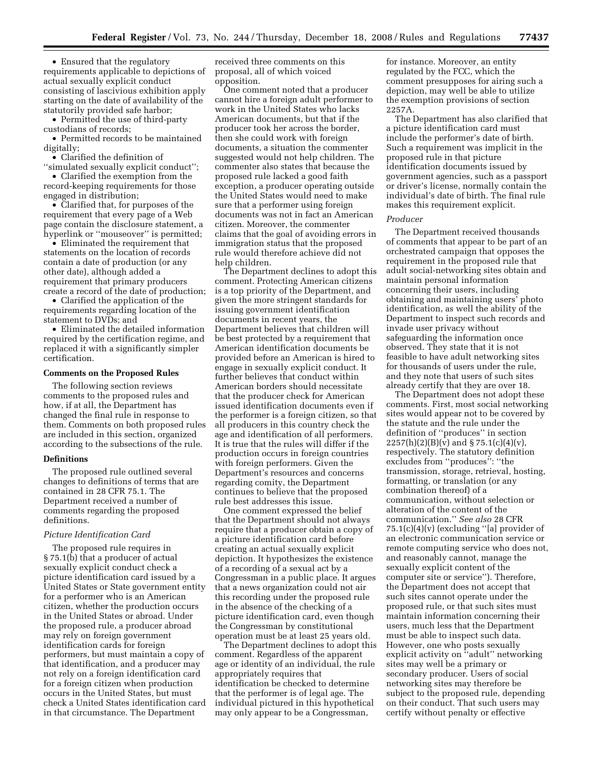• Ensured that the regulatory requirements applicable to depictions of actual sexually explicit conduct consisting of lascivious exhibition apply starting on the date of availability of the statutorily provided safe harbor;

• Permitted the use of third-party custodians of records;

• Permitted records to be maintained digitally;

• Clarified the definition of ''simulated sexually explicit conduct'';

• Clarified the exemption from the record-keeping requirements for those engaged in distribution;

• Clarified that, for purposes of the requirement that every page of a Web page contain the disclosure statement, a hyperlink or ''mouseover'' is permitted;

• Eliminated the requirement that statements on the location of records contain a date of production (or any other date), although added a requirement that primary producers create a record of the date of production;

• Clarified the application of the requirements regarding location of the statement to DVDs; and

• Eliminated the detailed information required by the certification regime, and replaced it with a significantly simpler certification.

#### **Comments on the Proposed Rules**

The following section reviews comments to the proposed rules and how, if at all, the Department has changed the final rule in response to them. Comments on both proposed rules are included in this section, organized according to the subsections of the rule.

#### **Definitions**

The proposed rule outlined several changes to definitions of terms that are contained in 28 CFR 75.1. The Department received a number of comments regarding the proposed definitions.

#### *Picture Identification Card*

The proposed rule requires in § 75.1(b) that a producer of actual sexually explicit conduct check a picture identification card issued by a United States or State government entity for a performer who is an American citizen, whether the production occurs in the United States or abroad. Under the proposed rule, a producer abroad may rely on foreign government identification cards for foreign performers, but must maintain a copy of that identification, and a producer may not rely on a foreign identification card for a foreign citizen when production occurs in the United States, but must check a United States identification card in that circumstance. The Department

received three comments on this proposal, all of which voiced opposition.

One comment noted that a producer cannot hire a foreign adult performer to work in the United States who lacks American documents, but that if the producer took her across the border, then she could work with foreign documents, a situation the commenter suggested would not help children. The commenter also states that because the proposed rule lacked a good faith exception, a producer operating outside the United States would need to make sure that a performer using foreign documents was not in fact an American citizen. Moreover, the commenter claims that the goal of avoiding errors in immigration status that the proposed rule would therefore achieve did not help children.

The Department declines to adopt this comment. Protecting American citizens is a top priority of the Department, and given the more stringent standards for issuing government identification documents in recent years, the Department believes that children will be best protected by a requirement that American identification documents be provided before an American is hired to engage in sexually explicit conduct. It further believes that conduct within American borders should necessitate that the producer check for American issued identification documents even if the performer is a foreign citizen, so that all producers in this country check the age and identification of all performers. It is true that the rules will differ if the production occurs in foreign countries with foreign performers. Given the Department's resources and concerns regarding comity, the Department continues to believe that the proposed rule best addresses this issue.

One comment expressed the belief that the Department should not always require that a producer obtain a copy of a picture identification card before creating an actual sexually explicit depiction. It hypothesizes the existence of a recording of a sexual act by a Congressman in a public place. It argues that a news organization could not air this recording under the proposed rule in the absence of the checking of a picture identification card, even though the Congressman by constitutional operation must be at least 25 years old.

The Department declines to adopt this comment. Regardless of the apparent age or identity of an individual, the rule appropriately requires that identification be checked to determine that the performer is of legal age. The individual pictured in this hypothetical may only appear to be a Congressman,

for instance. Moreover, an entity regulated by the FCC, which the comment presupposes for airing such a depiction, may well be able to utilize the exemption provisions of section 2257A.

The Department has also clarified that a picture identification card must include the performer's date of birth. Such a requirement was implicit in the proposed rule in that picture identification documents issued by government agencies, such as a passport or driver's license, normally contain the individual's date of birth. The final rule makes this requirement explicit.

#### *Producer*

The Department received thousands of comments that appear to be part of an orchestrated campaign that opposes the requirement in the proposed rule that adult social-networking sites obtain and maintain personal information concerning their users, including obtaining and maintaining users' photo identification, as well the ability of the Department to inspect such records and invade user privacy without safeguarding the information once observed. They state that it is not feasible to have adult networking sites for thousands of users under the rule, and they note that users of such sites already certify that they are over 18.

The Department does not adopt these comments. First, most social networking sites would appear not to be covered by the statute and the rule under the definition of ''produces'' in section 2257(h)(2)(B)( $\bar{v}$ ) and § 75.1(c)(4)(v), respectively. The statutory definition excludes from ''produces'': ''the transmission, storage, retrieval, hosting, formatting, or translation (or any combination thereof) of a communication, without selection or alteration of the content of the communication.'' *See also* 28 CFR  $75.1(c)(4)(v)$  (excluding "[a] provider of an electronic communication service or remote computing service who does not, and reasonably cannot, manage the sexually explicit content of the computer site or service''). Therefore, the Department does not accept that such sites cannot operate under the proposed rule, or that such sites must maintain information concerning their users, much less that the Department must be able to inspect such data. However, one who posts sexually explicit activity on ''adult'' networking sites may well be a primary or secondary producer. Users of social networking sites may therefore be subject to the proposed rule, depending on their conduct. That such users may certify without penalty or effective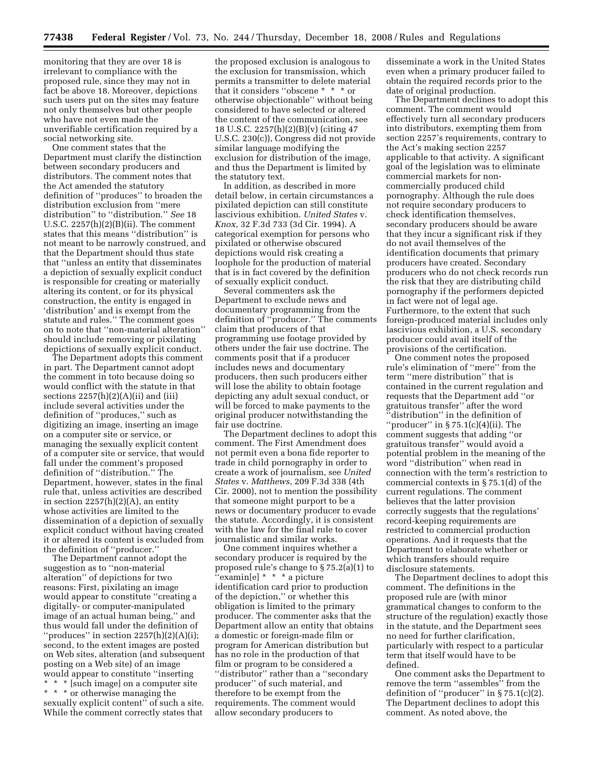monitoring that they are over 18 is irrelevant to compliance with the proposed rule, since they may not in fact be above 18. Moreover, depictions such users put on the sites may feature not only themselves but other people who have not even made the unverifiable certification required by a social networking site.

One comment states that the Department must clarify the distinction between secondary producers and distributors. The comment notes that the Act amended the statutory definition of ''produces'' to broaden the distribution exclusion from ''mere distribution'' to ''distribution.'' *See* 18 U.S.C.  $2257(h)(2)(B)(ii)$ . The comment states that this means ''distribution'' is not meant to be narrowly construed, and that the Department should thus state that ''unless an entity that disseminates a depiction of sexually explicit conduct is responsible for creating or materially altering its content, or for its physical construction, the entity is engaged in 'distribution' and is exempt from the statute and rules.'' The comment goes on to note that ''non-material alteration'' should include removing or pixilating depictions of sexually explicit conduct.

The Department adopts this comment in part. The Department cannot adopt the comment in toto because doing so would conflict with the statute in that sections  $2257(h)(2)(A)(ii)$  and (iii) include several activities under the definition of ''produces,'' such as digitizing an image, inserting an image on a computer site or service, or managing the sexually explicit content of a computer site or service, that would fall under the comment's proposed definition of ''distribution.'' The Department, however, states in the final rule that, unless activities are described in section  $2257(h)(2)(A)$ , an entity whose activities are limited to the dissemination of a depiction of sexually explicit conduct without having created it or altered its content is excluded from the definition of ''producer.''

The Department cannot adopt the suggestion as to ''non-material alteration'' of depictions for two reasons: First, pixilating an image would appear to constitute ''creating a digitally- or computer-manipulated image of an actual human being,'' and thus would fall under the definition of " $produces$ " in section  $2257(h)(2)(A)(i);$ second, to the extent images are posted on Web sites, alteration (and subsequent posting on a Web site) of an image would appear to constitute ''inserting \* \* \* [such image] on a computer site \* \* \* or otherwise managing the

sexually explicit content'' of such a site. While the comment correctly states that

the proposed exclusion is analogous to the exclusion for transmission, which permits a transmitter to delete material that it considers ''obscene \* \* \* or otherwise objectionable'' without being considered to have selected or altered the content of the communication, see 18 U.S.C. 2257(h)(2)(B)(v) (citing 47 U.S.C. 230(c)), Congress did not provide similar language modifying the exclusion for distribution of the image, and thus the Department is limited by the statutory text.

In addition, as described in more detail below, in certain circumstances a pixilated depiction can still constitute lascivious exhibition. *United States* v. *Knox*, 32 F.3d 733 (3d Cir. 1994). A categorical exemption for persons who pixilated or otherwise obscured depictions would risk creating a loophole for the production of material that is in fact covered by the definition of sexually explicit conduct.

Several commenters ask the Department to exclude news and documentary programming from the definition of ''producer.'' The comments claim that producers of that programming use footage provided by others under the fair use doctrine. The comments posit that if a producer includes news and documentary producers, then such producers either will lose the ability to obtain footage depicting any adult sexual conduct, or will be forced to make payments to the original producer notwithstanding the fair use doctrine.

The Department declines to adopt this comment. The First Amendment does not permit even a bona fide reporter to trade in child pornography in order to create a work of journalism, see *United States* v. *Matthews*, 209 F.3d 338 (4th Cir. 2000), not to mention the possibility that someone might purport to be a news or documentary producer to evade the statute. Accordingly, it is consistent with the law for the final rule to cover journalistic and similar works.

One comment inquires whether a secondary producer is required by the proposed rule's change to § 75.2(a)(1) to  $\mathbf{``example]}$  \* \* \* a picture identification card prior to production of the depiction,'' or whether this obligation is limited to the primary producer. The commenter asks that the Department allow an entity that obtains a domestic or foreign-made film or program for American distribution but has no role in the production of that film or program to be considered a ''distributor'' rather than a ''secondary producer'' of such material, and therefore to be exempt from the requirements. The comment would allow secondary producers to

disseminate a work in the United States even when a primary producer failed to obtain the required records prior to the date of original production.

The Department declines to adopt this comment. The comment would effectively turn all secondary producers into distributors, exempting them from section 2257's requirements, contrary to the Act's making section 2257 applicable to that activity. A significant goal of the legislation was to eliminate commercial markets for noncommercially produced child pornography. Although the rule does not require secondary producers to check identification themselves, secondary producers should be aware that they incur a significant risk if they do not avail themselves of the identification documents that primary producers have created. Secondary producers who do not check records run the risk that they are distributing child pornography if the performers depicted in fact were not of legal age. Furthermore, to the extent that such foreign-produced material includes only lascivious exhibition, a U.S. secondary producer could avail itself of the provisions of the certification.

One comment notes the proposed rule's elimination of ''mere'' from the term ''mere distribution'' that is contained in the current regulation and requests that the Department add ''or gratuitous transfer'' after the word 'distribution" in the definition of ''producer'' in § 75.1(c)(4)(ii). The comment suggests that adding ''or gratuitous transfer'' would avoid a potential problem in the meaning of the word ''distribution'' when read in connection with the term's restriction to commercial contexts in § 75.1(d) of the current regulations. The comment believes that the latter provision correctly suggests that the regulations' record-keeping requirements are restricted to commercial production operations. And it requests that the Department to elaborate whether or which transfers should require disclosure statements.

The Department declines to adopt this comment. The definitions in the proposed rule are (with minor grammatical changes to conform to the structure of the regulation) exactly those in the statute, and the Department sees no need for further clarification, particularly with respect to a particular term that itself would have to be defined.

One comment asks the Department to remove the term ''assembles'' from the definition of ''producer'' in § 75.1(c)(2). The Department declines to adopt this comment. As noted above, the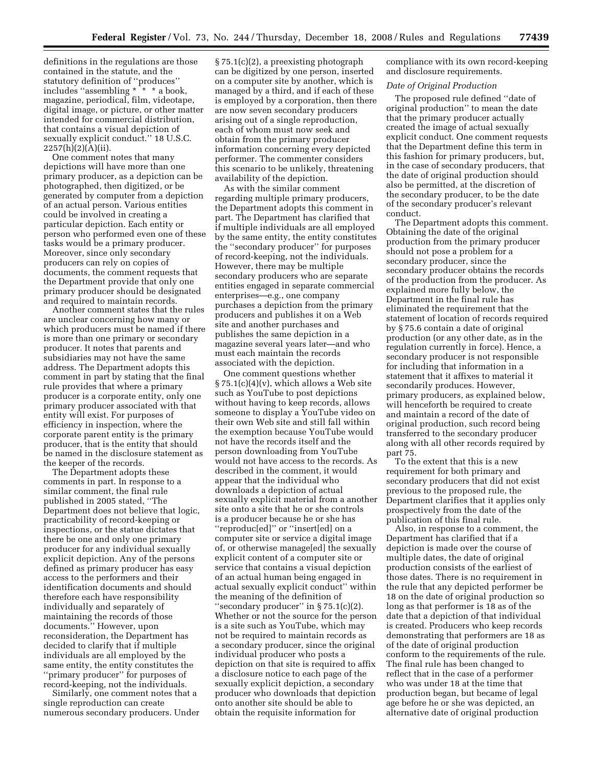definitions in the regulations are those contained in the statute, and the statutory definition of ''produces'' includes ''assembling \* \* \* a book, magazine, periodical, film, videotape, digital image, or picture, or other matter intended for commercial distribution, that contains a visual depiction of sexually explicit conduct.'' 18 U.S.C.  $2257(h)(2)(A)(ii)$ .

One comment notes that many depictions will have more than one primary producer, as a depiction can be photographed, then digitized, or be generated by computer from a depiction of an actual person. Various entities could be involved in creating a particular depiction. Each entity or person who performed even one of these tasks would be a primary producer. Moreover, since only secondary producers can rely on copies of documents, the comment requests that the Department provide that only one primary producer should be designated and required to maintain records.

Another comment states that the rules are unclear concerning how many or which producers must be named if there is more than one primary or secondary producer. It notes that parents and subsidiaries may not have the same address. The Department adopts this comment in part by stating that the final rule provides that where a primary producer is a corporate entity, only one primary producer associated with that entity will exist. For purposes of efficiency in inspection, where the corporate parent entity is the primary producer, that is the entity that should be named in the disclosure statement as the keeper of the records.

The Department adopts these comments in part. In response to a similar comment, the final rule published in 2005 stated, ''The Department does not believe that logic, practicability of record-keeping or inspections, or the statue dictates that there be one and only one primary producer for any individual sexually explicit depiction. Any of the persons defined as primary producer has easy access to the performers and their identification documents and should therefore each have responsibility individually and separately of maintaining the records of those documents.'' However, upon reconsideration, the Department has decided to clarify that if multiple individuals are all employed by the same entity, the entity constitutes the ''primary producer'' for purposes of record-keeping, not the individuals.

Similarly, one comment notes that a single reproduction can create numerous secondary producers. Under

§ 75.1(c)(2), a preexisting photograph can be digitized by one person, inserted on a computer site by another, which is managed by a third, and if each of these is employed by a corporation, then there are now seven secondary producers arising out of a single reproduction, each of whom must now seek and obtain from the primary producer information concerning every depicted performer. The commenter considers this scenario to be unlikely, threatening availability of the depiction.

As with the similar comment regarding multiple primary producers, the Department adopts this comment in part. The Department has clarified that if multiple individuals are all employed by the same entity, the entity constitutes the ''secondary producer'' for purposes of record-keeping, not the individuals. However, there may be multiple secondary producers who are separate entities engaged in separate commercial enterprises—e.g., one company purchases a depiction from the primary producers and publishes it on a Web site and another purchases and publishes the same depiction in a magazine several years later—and who must each maintain the records associated with the depiction.

One comment questions whether  $\S 75.1(c)(4)(v)$ , which allows a Web site such as YouTube to post depictions without having to keep records, allows someone to display a YouTube video on their own Web site and still fall within the exemption because YouTube would not have the records itself and the person downloading from YouTube would not have access to the records. As described in the comment, it would appear that the individual who downloads a depiction of actual sexually explicit material from a another site onto a site that he or she controls is a producer because he or she has ''reproduc[ed]'' or ''insert[ed] on a computer site or service a digital image of, or otherwise manage[ed] the sexually explicit content of a computer site or service that contains a visual depiction of an actual human being engaged in actual sexually explicit conduct'' within the meaning of the definition of ''secondary producer'' in § 75.1(c)(2). Whether or not the source for the person is a site such as YouTube, which may not be required to maintain records as a secondary producer, since the original individual producer who posts a depiction on that site is required to affix a disclosure notice to each page of the sexually explicit depiction, a secondary producer who downloads that depiction onto another site should be able to obtain the requisite information for

compliance with its own record-keeping and disclosure requirements.

#### *Date of Original Production*

The proposed rule defined ''date of original production'' to mean the date that the primary producer actually created the image of actual sexually explicit conduct. One comment requests that the Department define this term in this fashion for primary producers, but, in the case of secondary producers, that the date of original production should also be permitted, at the discretion of the secondary producer, to be the date of the secondary producer's relevant conduct.

The Department adopts this comment. Obtaining the date of the original production from the primary producer should not pose a problem for a secondary producer, since the secondary producer obtains the records of the production from the producer. As explained more fully below, the Department in the final rule has eliminated the requirement that the statement of location of records required by § 75.6 contain a date of original production (or any other date, as in the regulation currently in force). Hence, a secondary producer is not responsible for including that information in a statement that it affixes to material it secondarily produces. However, primary producers, as explained below, will henceforth be required to create and maintain a record of the date of original production, such record being transferred to the secondary producer along with all other records required by part 75.

To the extent that this is a new requirement for both primary and secondary producers that did not exist previous to the proposed rule, the Department clarifies that it applies only prospectively from the date of the publication of this final rule.

Also, in response to a comment, the Department has clarified that if a depiction is made over the course of multiple dates, the date of original production consists of the earliest of those dates. There is no requirement in the rule that any depicted performer be 18 on the date of original production so long as that performer is 18 as of the date that a depiction of that individual is created. Producers who keep records demonstrating that performers are 18 as of the date of original production conform to the requirements of the rule. The final rule has been changed to reflect that in the case of a performer who was under 18 at the time that production began, but became of legal age before he or she was depicted, an alternative date of original production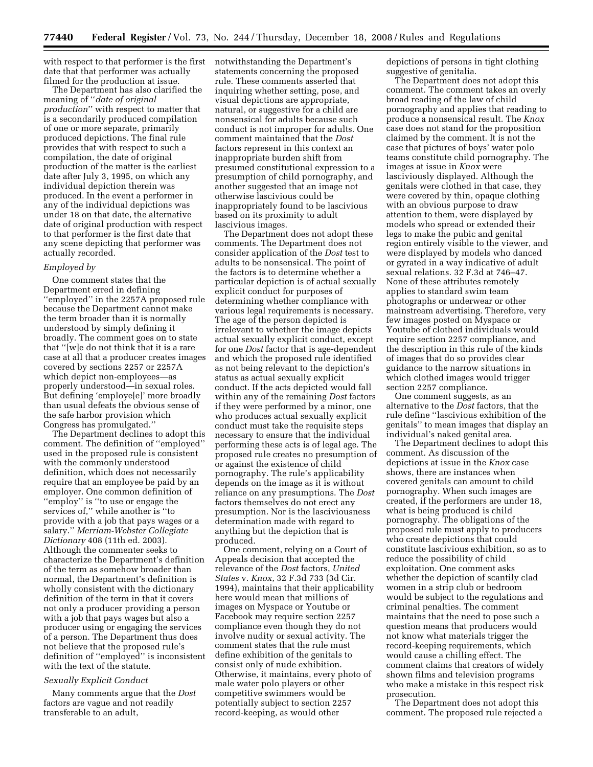with respect to that performer is the first date that that performer was actually filmed for the production at issue.

The Department has also clarified the meaning of ''*date of original production*'' with respect to matter that is a secondarily produced compilation of one or more separate, primarily produced depictions. The final rule provides that with respect to such a compilation, the date of original production of the matter is the earliest date after July 3, 1995, on which any individual depiction therein was produced. In the event a performer in any of the individual depictions was under 18 on that date, the alternative date of original production with respect to that performer is the first date that any scene depicting that performer was actually recorded.

#### *Employed by*

One comment states that the Department erred in defining ''employed'' in the 2257A proposed rule because the Department cannot make the term broader than it is normally understood by simply defining it broadly. The comment goes on to state that ''[w]e do not think that it is a rare case at all that a producer creates images covered by sections 2257 or 2257A which depict non-employees—as properly understood—in sexual roles. But defining 'employe[e]' more broadly than usual defeats the obvious sense of the safe harbor provision which Congress has promulgated.''

The Department declines to adopt this comment. The definition of ''employed'' used in the proposed rule is consistent with the commonly understood definition, which does not necessarily require that an employee be paid by an employer. One common definition of ''employ'' is ''to use or engage the services of,'' while another is ''to provide with a job that pays wages or a salary.'' *Merriam-Webster Collegiate Dictionary* 408 (11th ed. 2003). Although the commenter seeks to characterize the Department's definition of the term as somehow broader than normal, the Department's definition is wholly consistent with the dictionary definition of the term in that it covers not only a producer providing a person with a job that pays wages but also a producer using or engaging the services of a person. The Department thus does not believe that the proposed rule's definition of ''employed'' is inconsistent with the text of the statute.

#### *Sexually Explicit Conduct*

Many comments argue that the *Dost*  factors are vague and not readily transferable to an adult,

notwithstanding the Department's statements concerning the proposed rule. These comments asserted that inquiring whether setting, pose, and visual depictions are appropriate, natural, or suggestive for a child are nonsensical for adults because such conduct is not improper for adults. One comment maintained that the *Dost*  factors represent in this context an inappropriate burden shift from presumed constitutional expression to a presumption of child pornography, and another suggested that an image not otherwise lascivious could be inappropriately found to be lascivious based on its proximity to adult lascivious images.

The Department does not adopt these comments. The Department does not consider application of the *Dost* test to adults to be nonsensical. The point of the factors is to determine whether a particular depiction is of actual sexually explicit conduct for purposes of determining whether compliance with various legal requirements is necessary. The age of the person depicted is irrelevant to whether the image depicts actual sexually explicit conduct, except for one *Dost* factor that is age-dependent and which the proposed rule identified as not being relevant to the depiction's status as actual sexually explicit conduct. If the acts depicted would fall within any of the remaining *Dost* factors if they were performed by a minor, one who produces actual sexually explicit conduct must take the requisite steps necessary to ensure that the individual performing these acts is of legal age. The proposed rule creates no presumption of or against the existence of child pornography. The rule's applicability depends on the image as it is without reliance on any presumptions. The *Dost*  factors themselves do not erect any presumption. Nor is the lasciviousness determination made with regard to anything but the depiction that is produced.

One comment, relying on a Court of Appeals decision that accepted the relevance of the *Dost* factors, *United States* v. *Knox*, 32 F.3d 733 (3d Cir. 1994), maintains that their applicability here would mean that millions of images on Myspace or Youtube or Facebook may require section 2257 compliance even though they do not involve nudity or sexual activity. The comment states that the rule must define exhibition of the genitals to consist only of nude exhibition. Otherwise, it maintains, every photo of male water polo players or other competitive swimmers would be potentially subject to section 2257 record-keeping, as would other

depictions of persons in tight clothing suggestive of genitalia.

The Department does not adopt this comment. The comment takes an overly broad reading of the law of child pornography and applies that reading to produce a nonsensical result. The *Knox*  case does not stand for the proposition claimed by the comment. It is not the case that pictures of boys' water polo teams constitute child pornography. The images at issue in *Knox* were lasciviously displayed. Although the genitals were clothed in that case, they were covered by thin, opaque clothing with an obvious purpose to draw attention to them, were displayed by models who spread or extended their legs to make the pubic and genital region entirely visible to the viewer, and were displayed by models who danced or gyrated in a way indicative of adult sexual relations. 32 F.3d at 746–47. None of these attributes remotely applies to standard swim team photographs or underwear or other mainstream advertising. Therefore, very few images posted on Myspace or Youtube of clothed individuals would require section 2257 compliance, and the description in this rule of the kinds of images that do so provides clear guidance to the narrow situations in which clothed images would trigger section 2257 compliance.

One comment suggests, as an alternative to the *Dost* factors, that the rule define ''lascivious exhibition of the genitals'' to mean images that display an individual's naked genital area.

The Department declines to adopt this comment. As discussion of the depictions at issue in the *Knox* case shows, there are instances when covered genitals can amount to child pornography. When such images are created, if the performers are under 18, what is being produced is child pornography. The obligations of the proposed rule must apply to producers who create depictions that could constitute lascivious exhibition, so as to reduce the possibility of child exploitation. One comment asks whether the depiction of scantily clad women in a strip club or bedroom would be subject to the regulations and criminal penalties. The comment maintains that the need to pose such a question means that producers would not know what materials trigger the record-keeping requirements, which would cause a chilling effect. The comment claims that creators of widely shown films and television programs who make a mistake in this respect risk prosecution.

The Department does not adopt this comment. The proposed rule rejected a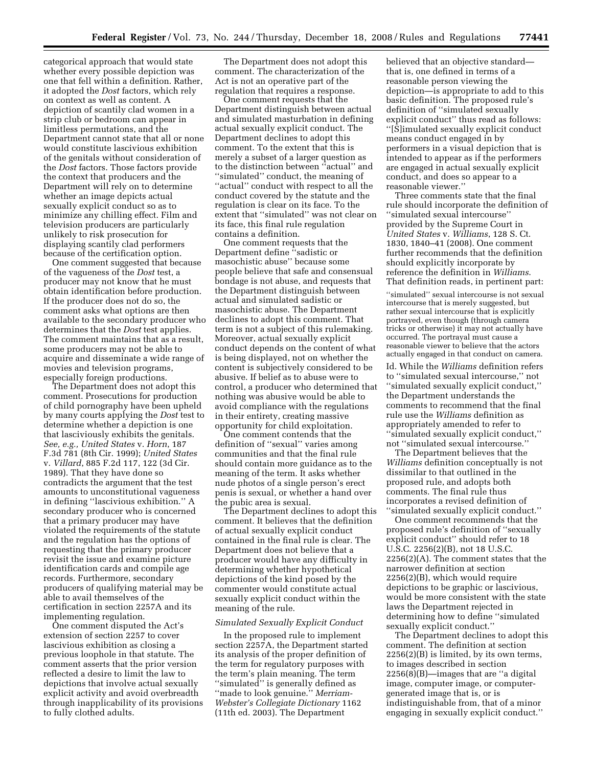categorical approach that would state whether every possible depiction was one that fell within a definition. Rather, it adopted the *Dost* factors, which rely on context as well as content. A depiction of scantily clad women in a strip club or bedroom can appear in limitless permutations, and the Department cannot state that all or none would constitute lascivious exhibition of the genitals without consideration of the *Dost* factors. Those factors provide the context that producers and the Department will rely on to determine whether an image depicts actual sexually explicit conduct so as to minimize any chilling effect. Film and television producers are particularly unlikely to risk prosecution for displaying scantily clad performers because of the certification option.

One comment suggested that because of the vagueness of the *Dost* test, a producer may not know that he must obtain identification before production. If the producer does not do so, the comment asks what options are then available to the secondary producer who determines that the *Dost* test applies. The comment maintains that as a result, some producers may not be able to acquire and disseminate a wide range of movies and television programs, especially foreign productions.

The Department does not adopt this comment. Prosecutions for production of child pornography have been upheld by many courts applying the *Dost* test to determine whether a depiction is one that lasciviously exhibits the genitals. *See, e.g., United States* v. *Horn*, 187 F.3d 781 (8th Cir. 1999); *United States*  v. *Villard*, 885 F.2d 117, 122 (3d Cir. 1989). That they have done so contradicts the argument that the test amounts to unconstitutional vagueness in defining ''lascivious exhibition.'' A secondary producer who is concerned that a primary producer may have violated the requirements of the statute and the regulation has the options of requesting that the primary producer revisit the issue and examine picture identification cards and compile age records. Furthermore, secondary producers of qualifying material may be able to avail themselves of the certification in section 2257A and its implementing regulation.

One comment disputed the Act's extension of section 2257 to cover lascivious exhibition as closing a previous loophole in that statute. The comment asserts that the prior version reflected a desire to limit the law to depictions that involve actual sexually explicit activity and avoid overbreadth through inapplicability of its provisions to fully clothed adults.

The Department does not adopt this comment. The characterization of the Act is not an operative part of the regulation that requires a response.

One comment requests that the Department distinguish between actual and simulated masturbation in defining actual sexually explicit conduct. The Department declines to adopt this comment. To the extent that this is merely a subset of a larger question as to the distinction between ''actual'' and ''simulated'' conduct, the meaning of "actual" conduct with respect to all the conduct covered by the statute and the regulation is clear on its face. To the extent that ''simulated'' was not clear on its face, this final rule regulation contains a definition.

One comment requests that the Department define ''sadistic or masochistic abuse'' because some people believe that safe and consensual bondage is not abuse, and requests that the Department distinguish between actual and simulated sadistic or masochistic abuse. The Department declines to adopt this comment. That term is not a subject of this rulemaking. Moreover, actual sexually explicit conduct depends on the content of what is being displayed, not on whether the content is subjectively considered to be abusive. If belief as to abuse were to control, a producer who determined that nothing was abusive would be able to avoid compliance with the regulations in their entirety, creating massive opportunity for child exploitation.

One comment contends that the definition of ''sexual'' varies among communities and that the final rule should contain more guidance as to the meaning of the term. It asks whether nude photos of a single person's erect penis is sexual, or whether a hand over the pubic area is sexual.

The Department declines to adopt this comment. It believes that the definition of actual sexually explicit conduct contained in the final rule is clear. The Department does not believe that a producer would have any difficulty in determining whether hypothetical depictions of the kind posed by the commenter would constitute actual sexually explicit conduct within the meaning of the rule.

#### *Simulated Sexually Explicit Conduct*

In the proposed rule to implement section 2257A, the Department started its analysis of the proper definition of the term for regulatory purposes with the term's plain meaning. The term "simulated" is generally defined as ''made to look genuine.'' *Merriam-Webster's Collegiate Dictionary* 1162 (11th ed. 2003). The Department

believed that an objective standard that is, one defined in terms of a reasonable person viewing the depiction—is appropriate to add to this basic definition. The proposed rule's definition of ''simulated sexually explicit conduct'' thus read as follows: ''[S]imulated sexually explicit conduct means conduct engaged in by performers in a visual depiction that is intended to appear as if the performers are engaged in actual sexually explicit conduct, and does so appear to a reasonable viewer.''

Three comments state that the final rule should incorporate the definition of ''simulated sexual intercourse'' provided by the Supreme Court in *United States* v. *Williams*, 128 S. Ct. 1830, 1840–41 (2008). One comment further recommends that the definition should explicitly incorporate by reference the definition in *Williams*. That definition reads, in pertinent part:

''simulated'' sexual intercourse is not sexual intercourse that is merely suggested, but rather sexual intercourse that is explicitly portrayed, even though (through camera tricks or otherwise) it may not actually have occurred. The portrayal must cause a reasonable viewer to believe that the actors actually engaged in that conduct on camera.

Id. While the *Williams* definition refers to ''simulated sexual intercourse,'' not ''simulated sexually explicit conduct,'' the Department understands the comments to recommend that the final rule use the *Williams* definition as appropriately amended to refer to ''simulated sexually explicit conduct,'' not ''simulated sexual intercourse.''

The Department believes that the *Williams* definition conceptually is not dissimilar to that outlined in the proposed rule, and adopts both comments. The final rule thus incorporates a revised definition of ''simulated sexually explicit conduct.''

One comment recommends that the proposed rule's definition of ''sexually explicit conduct'' should refer to 18 U.S.C. 2256(2)(B), not 18 U.S.C. 2256(2)(A). The comment states that the narrower definition at section 2256(2)(B), which would require depictions to be graphic or lascivious, would be more consistent with the state laws the Department rejected in determining how to define ''simulated sexually explicit conduct.''

The Department declines to adopt this comment. The definition at section 2256(2)(B) is limited, by its own terms, to images described in section 2256(8)(B)—images that are ''a digital image, computer image, or computergenerated image that is, or is indistinguishable from, that of a minor engaging in sexually explicit conduct.''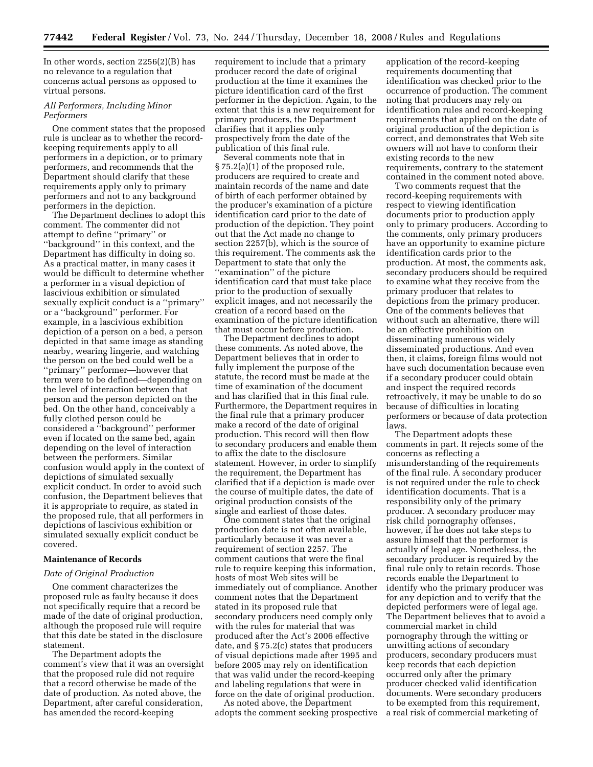In other words, section 2256(2)(B) has no relevance to a regulation that concerns actual persons as opposed to virtual persons.

#### *All Performers, Including Minor Performers*

One comment states that the proposed rule is unclear as to whether the recordkeeping requirements apply to all performers in a depiction, or to primary performers, and recommends that the Department should clarify that these requirements apply only to primary performers and not to any background performers in the depiction.

The Department declines to adopt this comment. The commenter did not attempt to define ''primary'' or ''background'' in this context, and the Department has difficulty in doing so. As a practical matter, in many cases it would be difficult to determine whether a performer in a visual depiction of lascivious exhibition or simulated sexually explicit conduct is a ''primary'' or a ''background'' performer. For example, in a lascivious exhibition depiction of a person on a bed, a person depicted in that same image as standing nearby, wearing lingerie, and watching the person on the bed could well be a ''primary'' performer—however that term were to be defined—depending on the level of interaction between that person and the person depicted on the bed. On the other hand, conceivably a fully clothed person could be considered a ''background'' performer even if located on the same bed, again depending on the level of interaction between the performers. Similar confusion would apply in the context of depictions of simulated sexually explicit conduct. In order to avoid such confusion, the Department believes that it is appropriate to require, as stated in the proposed rule, that all performers in depictions of lascivious exhibition or simulated sexually explicit conduct be covered.

#### **Maintenance of Records**

#### *Date of Original Production*

One comment characterizes the proposed rule as faulty because it does not specifically require that a record be made of the date of original production, although the proposed rule will require that this date be stated in the disclosure statement.

The Department adopts the comment's view that it was an oversight that the proposed rule did not require that a record otherwise be made of the date of production. As noted above, the Department, after careful consideration, has amended the record-keeping

requirement to include that a primary producer record the date of original production at the time it examines the picture identification card of the first performer in the depiction. Again, to the extent that this is a new requirement for primary producers, the Department clarifies that it applies only prospectively from the date of the publication of this final rule.

Several comments note that in § 75.2(a)(1) of the proposed rule, producers are required to create and maintain records of the name and date of birth of each performer obtained by the producer's examination of a picture identification card prior to the date of production of the depiction. They point out that the Act made no change to section 2257(b), which is the source of this requirement. The comments ask the Department to state that only the ''examination'' of the picture identification card that must take place prior to the production of sexually explicit images, and not necessarily the creation of a record based on the examination of the picture identification that must occur before production.

The Department declines to adopt these comments. As noted above, the Department believes that in order to fully implement the purpose of the statute, the record must be made at the time of examination of the document and has clarified that in this final rule. Furthermore, the Department requires in the final rule that a primary producer make a record of the date of original production. This record will then flow to secondary producers and enable them to affix the date to the disclosure statement. However, in order to simplify the requirement, the Department has clarified that if a depiction is made over the course of multiple dates, the date of original production consists of the single and earliest of those dates.

One comment states that the original production date is not often available, particularly because it was never a requirement of section 2257. The comment cautions that were the final rule to require keeping this information, hosts of most Web sites will be immediately out of compliance. Another comment notes that the Department stated in its proposed rule that secondary producers need comply only with the rules for material that was produced after the Act's 2006 effective date, and § 75.2(c) states that producers of visual depictions made after 1995 and before 2005 may rely on identification that was valid under the record-keeping and labeling regulations that were in force on the date of original production.

As noted above, the Department adopts the comment seeking prospective

application of the record-keeping requirements documenting that identification was checked prior to the occurrence of production. The comment noting that producers may rely on identification rules and record-keeping requirements that applied on the date of original production of the depiction is correct, and demonstrates that Web site owners will not have to conform their existing records to the new requirements, contrary to the statement contained in the comment noted above.

Two comments request that the record-keeping requirements with respect to viewing identification documents prior to production apply only to primary producers. According to the comments, only primary producers have an opportunity to examine picture identification cards prior to the production. At most, the comments ask, secondary producers should be required to examine what they receive from the primary producer that relates to depictions from the primary producer. One of the comments believes that without such an alternative, there will be an effective prohibition on disseminating numerous widely disseminated productions. And even then, it claims, foreign films would not have such documentation because even if a secondary producer could obtain and inspect the required records retroactively, it may be unable to do so because of difficulties in locating performers or because of data protection laws.

The Department adopts these comments in part. It rejects some of the concerns as reflecting a misunderstanding of the requirements of the final rule. A secondary producer is not required under the rule to check identification documents. That is a responsibility only of the primary producer. A secondary producer may risk child pornography offenses, however, if he does not take steps to assure himself that the performer is actually of legal age. Nonetheless, the secondary producer is required by the final rule only to retain records. Those records enable the Department to identify who the primary producer was for any depiction and to verify that the depicted performers were of legal age. The Department believes that to avoid a commercial market in child pornography through the witting or unwitting actions of secondary producers, secondary producers must keep records that each depiction occurred only after the primary producer checked valid identification documents. Were secondary producers to be exempted from this requirement, a real risk of commercial marketing of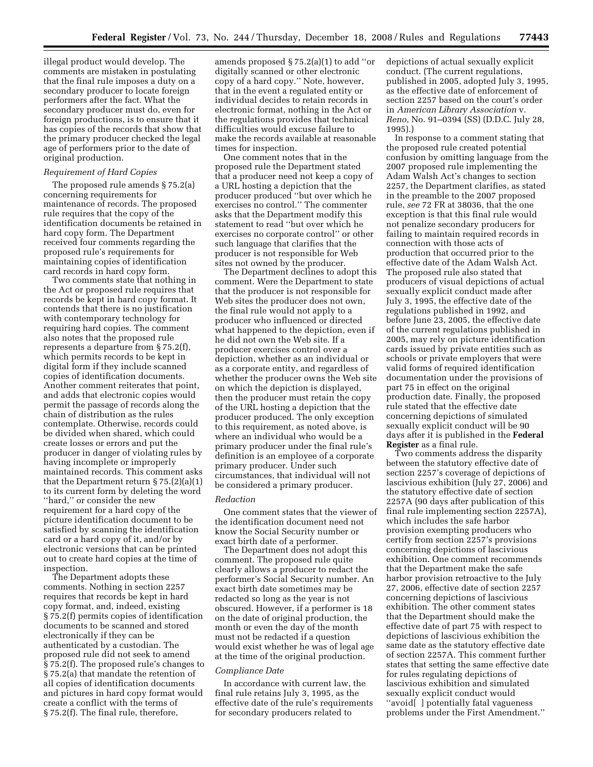illegal product would develop. The comments are mistaken in postulating that the final rule imposes a duty on a secondary producer to locate foreign performers after the fact. What the secondary producer must do, even for foreign productions, is to ensure that it has copies of the records that show that the primary producer checked the legal age of performers prior to the date of original production.

#### *Requirement of Hard Copies*

The proposed rule amends § 75.2(a) concerning requirements for maintenance of records. The proposed rule requires that the copy of the identification documents be retained in hard copy form. The Department received four comments regarding the proposed rule's requirements for maintaining copies of identification card records in hard copy form.

Two comments state that nothing in the Act or proposed rule requires that records be kept in hard copy format. It contends that there is no justification with contemporary technology for requiring hard copies. The comment also notes that the proposed rule represents a departure from § 75.2(f), which permits records to be kept in digital form if they include scanned copies of identification documents. Another comment reiterates that point, and adds that electronic copies would permit the passage of records along the chain of distribution as the rules contemplate. Otherwise, records could be divided when shared, which could create losses or errors and put the producer in danger of violating rules by having incomplete or improperly maintained records. This comment asks that the Department return § 75.(2)(a)(1) to its current form by deleting the word ''hard,'' or consider the new requirement for a hard copy of the picture identification document to be satisfied by scanning the identification card or a hard copy of it, and/or by electronic versions that can be printed out to create hard copies at the time of inspection.

The Department adopts these comments. Nothing in section 2257 requires that records be kept in hard copy format, and, indeed, existing § 75.2(f) permits copies of identification documents to be scanned and stored electronically if they can be authenticated by a custodian. The proposed rule did not seek to amend § 75.2(f). The proposed rule's changes to § 75.2(a) that mandate the retention of all copies of identification documents and pictures in hard copy format would create a conflict with the terms of § 75.2(f). The final rule, therefore,

amends proposed § 75.2(a)(1) to add ''or digitally scanned or other electronic copy of a hard copy.'' Note, however, that in the event a regulated entity or individual decides to retain records in electronic format, nothing in the Act or the regulations provides that technical difficulties would excuse failure to make the records available at reasonable times for inspection.

One comment notes that in the proposed rule the Department stated that a producer need not keep a copy of a URL hosting a depiction that the producer produced ''but over which he exercises no control.'' The commenter asks that the Department modify this statement to read ''but over which he exercises no corporate control'' or other such language that clarifies that the producer is not responsible for Web sites not owned by the producer.

The Department declines to adopt this comment. Were the Department to state that the producer is not responsible for Web sites the producer does not own, the final rule would not apply to a producer who influenced or directed what happened to the depiction, even if he did not own the Web site. If a producer exercises control over a depiction, whether as an individual or as a corporate entity, and regardless of whether the producer owns the Web site on which the depiction is displayed, then the producer must retain the copy of the URL hosting a depiction that the producer produced. The only exception to this requirement, as noted above, is where an individual who would be a primary producer under the final rule's definition is an employee of a corporate primary producer. Under such circumstances, that individual will not be considered a primary producer.

#### *Redaction*

One comment states that the viewer of the identification document need not know the Social Security number or exact birth date of a performer.

The Department does not adopt this comment. The proposed rule quite clearly allows a producer to redact the performer's Social Security number. An exact birth date sometimes may be redacted so long as the year is not obscured. However, if a performer is 18 on the date of original production, the month or even the day of the month must not be redacted if a question would exist whether he was of legal age at the time of the original production.

#### *Compliance Date*

In accordance with current law, the final rule retains July 3, 1995, as the effective date of the rule's requirements for secondary producers related to

depictions of actual sexually explicit conduct. (The current regulations, published in 2005, adopted July 3, 1995, as the effective date of enforcement of section 2257 based on the court's order in *American Library Association* v. *Reno,* No. 91–0394 (SS) (D.D.C. July 28, 1995).)

In response to a comment stating that the proposed rule created potential confusion by omitting language from the 2007 proposed rule implementing the Adam Walsh Act's changes to section 2257, the Department clarifies, as stated in the preamble to the 2007 proposed rule, *see* 72 FR at 38036, that the one exception is that this final rule would not penalize secondary producers for failing to maintain required records in connection with those acts of production that occurred prior to the effective date of the Adam Walsh Act. The proposed rule also stated that producers of visual depictions of actual sexually explicit conduct made after July 3, 1995, the effective date of the regulations published in 1992, and before June 23, 2005, the effective date of the current regulations published in 2005, may rely on picture identification cards issued by private entities such as schools or private employers that were valid forms of required identification documentation under the provisions of part 75 in effect on the original production date. Finally, the proposed rule stated that the effective date concerning depictions of simulated sexually explicit conduct will be 90 days after it is published in the **Federal Register** as a final rule.

Two comments address the disparity between the statutory effective date of section 2257's coverage of depictions of lascivious exhibition (July 27, 2006) and the statutory effective date of section 2257A (90 days after publication of this final rule implementing section 2257A), which includes the safe harbor provision exempting producers who certify from section 2257's provisions concerning depictions of lascivious exhibition. One comment recommends that the Department make the safe harbor provision retroactive to the July 27, 2006, effective date of section 2257 concerning depictions of lascivious exhibition. The other comment states that the Department should make the effective date of part 75 with respect to depictions of lascivious exhibition the same date as the statutory effective date of section 2257A. This comment further states that setting the same effective date for rules regulating depictions of lascivious exhibition and simulated sexually explicit conduct would ''avoid[ ] potentially fatal vagueness problems under the First Amendment.''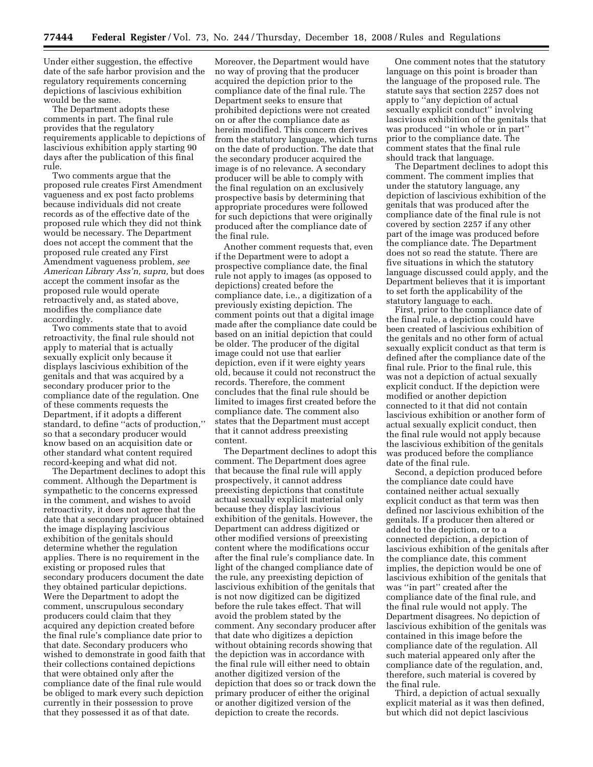Under either suggestion, the effective date of the safe harbor provision and the regulatory requirements concerning depictions of lascivious exhibition would be the same.

The Department adopts these comments in part. The final rule provides that the regulatory requirements applicable to depictions of lascivious exhibition apply starting 90 days after the publication of this final rule.

Two comments argue that the proposed rule creates First Amendment vagueness and ex post facto problems because individuals did not create records as of the effective date of the proposed rule which they did not think would be necessary. The Department does not accept the comment that the proposed rule created any First Amendment vagueness problem, *see American Library Ass'n, supra,* but does accept the comment insofar as the proposed rule would operate retroactively and, as stated above, modifies the compliance date accordingly.

Two comments state that to avoid retroactivity, the final rule should not apply to material that is actually sexually explicit only because it displays lascivious exhibition of the genitals and that was acquired by a secondary producer prior to the compliance date of the regulation. One of these comments requests the Department, if it adopts a different standard, to define ''acts of production,'' so that a secondary producer would know based on an acquisition date or other standard what content required record-keeping and what did not.

The Department declines to adopt this comment. Although the Department is sympathetic to the concerns expressed in the comment, and wishes to avoid retroactivity, it does not agree that the date that a secondary producer obtained the image displaying lascivious exhibition of the genitals should determine whether the regulation applies. There is no requirement in the existing or proposed rules that secondary producers document the date they obtained particular depictions. Were the Department to adopt the comment, unscrupulous secondary producers could claim that they acquired any depiction created before the final rule's compliance date prior to that date. Secondary producers who wished to demonstrate in good faith that their collections contained depictions that were obtained only after the compliance date of the final rule would be obliged to mark every such depiction currently in their possession to prove that they possessed it as of that date.

Moreover, the Department would have no way of proving that the producer acquired the depiction prior to the compliance date of the final rule. The Department seeks to ensure that prohibited depictions were not created on or after the compliance date as herein modified. This concern derives from the statutory language, which turns on the date of production. The date that the secondary producer acquired the image is of no relevance. A secondary producer will be able to comply with the final regulation on an exclusively prospective basis by determining that appropriate procedures were followed for such depictions that were originally produced after the compliance date of the final rule.

Another comment requests that, even if the Department were to adopt a prospective compliance date, the final rule not apply to images (as opposed to depictions) created before the compliance date, i.e., a digitization of a previously existing depiction. The comment points out that a digital image made after the compliance date could be based on an initial depiction that could be older. The producer of the digital image could not use that earlier depiction, even if it were eighty years old, because it could not reconstruct the records. Therefore, the comment concludes that the final rule should be limited to images first created before the compliance date. The comment also states that the Department must accept that it cannot address preexisting content.

The Department declines to adopt this comment. The Department does agree that because the final rule will apply prospectively, it cannot address preexisting depictions that constitute actual sexually explicit material only because they display lascivious exhibition of the genitals. However, the Department can address digitized or other modified versions of preexisting content where the modifications occur after the final rule's compliance date. In light of the changed compliance date of the rule, any preexisting depiction of lascivious exhibition of the genitals that is not now digitized can be digitized before the rule takes effect. That will avoid the problem stated by the comment. Any secondary producer after that date who digitizes a depiction without obtaining records showing that the depiction was in accordance with the final rule will either need to obtain another digitized version of the depiction that does so or track down the primary producer of either the original or another digitized version of the depiction to create the records.

One comment notes that the statutory language on this point is broader than the language of the proposed rule. The statute says that section 2257 does not apply to ''any depiction of actual sexually explicit conduct'' involving lascivious exhibition of the genitals that was produced ''in whole or in part'' prior to the compliance date. The comment states that the final rule should track that language.

The Department declines to adopt this comment. The comment implies that under the statutory language, any depiction of lascivious exhibition of the genitals that was produced after the compliance date of the final rule is not covered by section 2257 if any other part of the image was produced before the compliance date. The Department does not so read the statute. There are five situations in which the statutory language discussed could apply, and the Department believes that it is important to set forth the applicability of the statutory language to each.

First, prior to the compliance date of the final rule, a depiction could have been created of lascivious exhibition of the genitals and no other form of actual sexually explicit conduct as that term is defined after the compliance date of the final rule. Prior to the final rule, this was not a depiction of actual sexually explicit conduct. If the depiction were modified or another depiction connected to it that did not contain lascivious exhibition or another form of actual sexually explicit conduct, then the final rule would not apply because the lascivious exhibition of the genitals was produced before the compliance date of the final rule.

Second, a depiction produced before the compliance date could have contained neither actual sexually explicit conduct as that term was then defined nor lascivious exhibition of the genitals. If a producer then altered or added to the depiction, or to a connected depiction, a depiction of lascivious exhibition of the genitals after the compliance date, this comment implies, the depiction would be one of lascivious exhibition of the genitals that was ''in part'' created after the compliance date of the final rule, and the final rule would not apply. The Department disagrees. No depiction of lascivious exhibition of the genitals was contained in this image before the compliance date of the regulation. All such material appeared only after the compliance date of the regulation, and, therefore, such material is covered by the final rule.

Third, a depiction of actual sexually explicit material as it was then defined, but which did not depict lascivious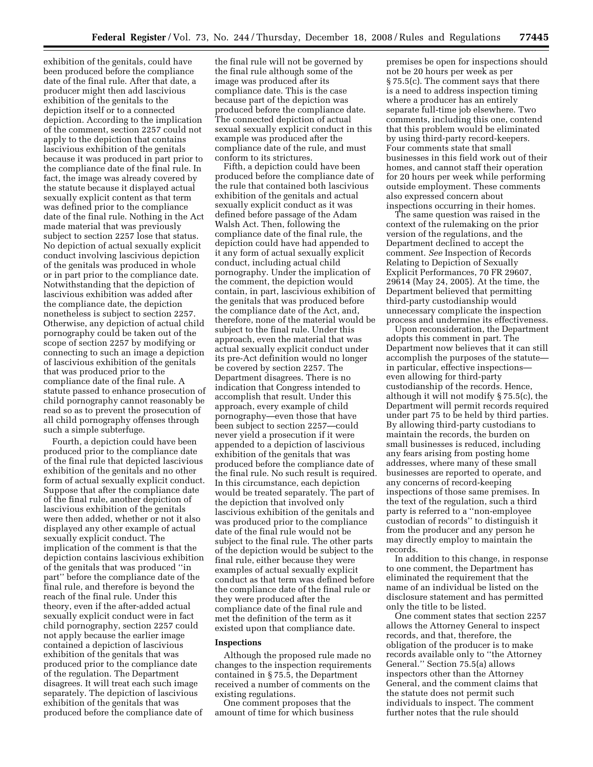exhibition of the genitals, could have been produced before the compliance date of the final rule. After that date, a producer might then add lascivious exhibition of the genitals to the depiction itself or to a connected depiction. According to the implication of the comment, section 2257 could not apply to the depiction that contains lascivious exhibition of the genitals because it was produced in part prior to the compliance date of the final rule. In fact, the image was already covered by the statute because it displayed actual sexually explicit content as that term was defined prior to the compliance date of the final rule. Nothing in the Act made material that was previously subject to section 2257 lose that status. No depiction of actual sexually explicit conduct involving lascivious depiction of the genitals was produced in whole or in part prior to the compliance date. Notwithstanding that the depiction of lascivious exhibition was added after the compliance date, the depiction nonetheless is subject to section 2257. Otherwise, any depiction of actual child pornography could be taken out of the scope of section 2257 by modifying or connecting to such an image a depiction of lascivious exhibition of the genitals that was produced prior to the compliance date of the final rule. A statute passed to enhance prosecution of child pornography cannot reasonably be read so as to prevent the prosecution of all child pornography offenses through such a simple subterfuge.

Fourth, a depiction could have been produced prior to the compliance date of the final rule that depicted lascivious exhibition of the genitals and no other form of actual sexually explicit conduct. Suppose that after the compliance date of the final rule, another depiction of lascivious exhibition of the genitals were then added, whether or not it also displayed any other example of actual sexually explicit conduct. The implication of the comment is that the depiction contains lascivious exhibition of the genitals that was produced ''in part'' before the compliance date of the final rule, and therefore is beyond the reach of the final rule. Under this theory, even if the after-added actual sexually explicit conduct were in fact child pornography, section 2257 could not apply because the earlier image contained a depiction of lascivious exhibition of the genitals that was produced prior to the compliance date of the regulation. The Department disagrees. It will treat each such image separately. The depiction of lascivious exhibition of the genitals that was produced before the compliance date of

the final rule will not be governed by the final rule although some of the image was produced after its compliance date. This is the case because part of the depiction was produced before the compliance date. The connected depiction of actual sexual sexually explicit conduct in this example was produced after the compliance date of the rule, and must conform to its strictures.

Fifth, a depiction could have been produced before the compliance date of the rule that contained both lascivious exhibition of the genitals and actual sexually explicit conduct as it was defined before passage of the Adam Walsh Act. Then, following the compliance date of the final rule, the depiction could have had appended to it any form of actual sexually explicit conduct, including actual child pornography. Under the implication of the comment, the depiction would contain, in part, lascivious exhibition of the genitals that was produced before the compliance date of the Act, and, therefore, none of the material would be subject to the final rule. Under this approach, even the material that was actual sexually explicit conduct under its pre-Act definition would no longer be covered by section 2257. The Department disagrees. There is no indication that Congress intended to accomplish that result. Under this approach, every example of child pornography—even those that have been subject to section 2257—could never yield a prosecution if it were appended to a depiction of lascivious exhibition of the genitals that was produced before the compliance date of the final rule. No such result is required. In this circumstance, each depiction would be treated separately. The part of the depiction that involved only lascivious exhibition of the genitals and was produced prior to the compliance date of the final rule would not be subject to the final rule. The other parts of the depiction would be subject to the final rule, either because they were examples of actual sexually explicit conduct as that term was defined before the compliance date of the final rule or they were produced after the compliance date of the final rule and met the definition of the term as it existed upon that compliance date.

#### **Inspections**

Although the proposed rule made no changes to the inspection requirements contained in § 75.5, the Department received a number of comments on the existing regulations.

One comment proposes that the amount of time for which business

premises be open for inspections should not be 20 hours per week as per § 75.5(c). The comment says that there is a need to address inspection timing where a producer has an entirely separate full-time job elsewhere. Two comments, including this one, contend that this problem would be eliminated by using third-party record-keepers. Four comments state that small businesses in this field work out of their homes, and cannot staff their operation for 20 hours per week while performing outside employment. These comments also expressed concern about inspections occurring in their homes.

The same question was raised in the context of the rulemaking on the prior version of the regulations, and the Department declined to accept the comment. *See* Inspection of Records Relating to Depiction of Sexually Explicit Performances, 70 FR 29607, 29614 (May 24, 2005). At the time, the Department believed that permitting third-party custodianship would unnecessary complicate the inspection process and undermine its effectiveness.

Upon reconsideration, the Department adopts this comment in part. The Department now believes that it can still accomplish the purposes of the statute in particular, effective inspections even allowing for third-party custodianship of the records. Hence, although it will not modify § 75.5(c), the Department will permit records required under part 75 to be held by third parties. By allowing third-party custodians to maintain the records, the burden on small businesses is reduced, including any fears arising from posting home addresses, where many of these small businesses are reported to operate, and any concerns of record-keeping inspections of those same premises. In the text of the regulation, such a third party is referred to a ''non-employee custodian of records'' to distinguish it from the producer and any person he may directly employ to maintain the records.

In addition to this change, in response to one comment, the Department has eliminated the requirement that the name of an individual be listed on the disclosure statement and has permitted only the title to be listed.

One comment states that section 2257 allows the Attorney General to inspect records, and that, therefore, the obligation of the producer is to make records available only to ''the Attorney General.'' Section 75.5(a) allows inspectors other than the Attorney General, and the comment claims that the statute does not permit such individuals to inspect. The comment further notes that the rule should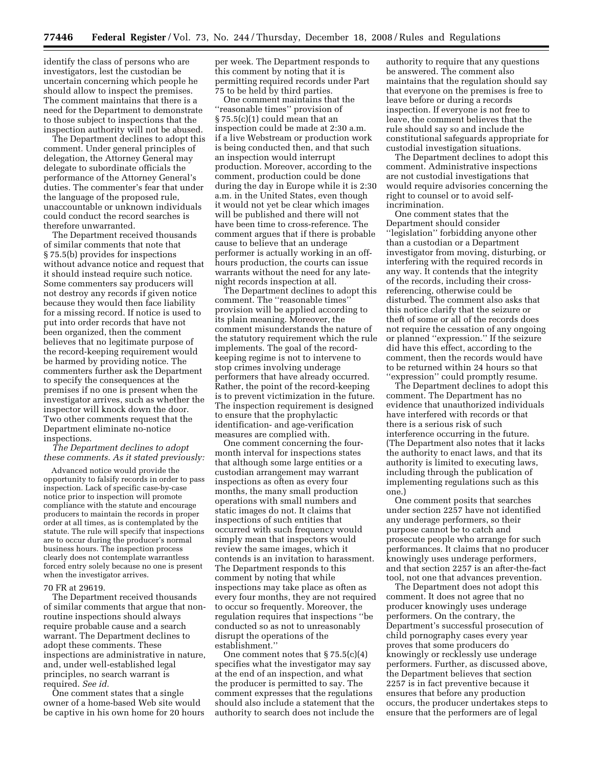identify the class of persons who are investigators, lest the custodian be uncertain concerning which people he should allow to inspect the premises. The comment maintains that there is a need for the Department to demonstrate to those subject to inspections that the inspection authority will not be abused.

The Department declines to adopt this comment. Under general principles of delegation, the Attorney General may delegate to subordinate officials the performance of the Attorney General's duties. The commenter's fear that under the language of the proposed rule, unaccountable or unknown individuals could conduct the record searches is therefore unwarranted.

The Department received thousands of similar comments that note that § 75.5(b) provides for inspections without advance notice and request that it should instead require such notice. Some commenters say producers will not destroy any records if given notice because they would then face liability for a missing record. If notice is used to put into order records that have not been organized, then the comment believes that no legitimate purpose of the record-keeping requirement would be harmed by providing notice. The commenters further ask the Department to specify the consequences at the premises if no one is present when the investigator arrives, such as whether the inspector will knock down the door. Two other comments request that the Department eliminate no-notice inspections.

*The Department declines to adopt these comments. As it stated previously:* 

Advanced notice would provide the opportunity to falsify records in order to pass inspection. Lack of specific case-by-case notice prior to inspection will promote compliance with the statute and encourage producers to maintain the records in proper order at all times, as is contemplated by the statute. The rule will specify that inspections are to occur during the producer's normal business hours. The inspection process clearly does not contemplate warrantless forced entry solely because no one is present when the investigator arrives.

#### 70 FR at 29619.

The Department received thousands of similar comments that argue that nonroutine inspections should always require probable cause and a search warrant. The Department declines to adopt these comments. These inspections are administrative in nature, and, under well-established legal principles, no search warrant is required. *See id.* 

One comment states that a single owner of a home-based Web site would be captive in his own home for 20 hours per week. The Department responds to this comment by noting that it is permitting required records under Part 75 to be held by third parties.

One comment maintains that the ''reasonable times'' provision of § 75.5(c)(1) could mean that an inspection could be made at 2:30 a.m. if a live Webstream or production work is being conducted then, and that such an inspection would interrupt production. Moreover, according to the comment, production could be done during the day in Europe while it is 2:30 a.m. in the United States, even though it would not yet be clear which images will be published and there will not have been time to cross-reference. The comment argues that if there is probable cause to believe that an underage performer is actually working in an offhours production, the courts can issue warrants without the need for any latenight records inspection at all.

The Department declines to adopt this comment. The ''reasonable times'' provision will be applied according to its plain meaning. Moreover, the comment misunderstands the nature of the statutory requirement which the rule implements. The goal of the recordkeeping regime is not to intervene to stop crimes involving underage performers that have already occurred. Rather, the point of the record-keeping is to prevent victimization in the future. The inspection requirement is designed to ensure that the prophylactic identification- and age-verification measures are complied with.

One comment concerning the fourmonth interval for inspections states that although some large entities or a custodian arrangement may warrant inspections as often as every four months, the many small production operations with small numbers and static images do not. It claims that inspections of such entities that occurred with such frequency would simply mean that inspectors would review the same images, which it contends is an invitation to harassment. The Department responds to this comment by noting that while inspections may take place as often as every four months, they are not required to occur so frequently. Moreover, the regulation requires that inspections ''be conducted so as not to unreasonably disrupt the operations of the establishment.''

One comment notes that § 75.5(c)(4) specifies what the investigator may say at the end of an inspection, and what the producer is permitted to say. The comment expresses that the regulations should also include a statement that the authority to search does not include the authority to require that any questions be answered. The comment also maintains that the regulation should say that everyone on the premises is free to leave before or during a records inspection. If everyone is not free to leave, the comment believes that the rule should say so and include the constitutional safeguards appropriate for custodial investigation situations.

The Department declines to adopt this comment. Administrative inspections are not custodial investigations that would require advisories concerning the right to counsel or to avoid selfincrimination.

One comment states that the Department should consider ''legislation'' forbidding anyone other than a custodian or a Department investigator from moving, disturbing, or interfering with the required records in any way. It contends that the integrity of the records, including their crossreferencing, otherwise could be disturbed. The comment also asks that this notice clarify that the seizure or theft of some or all of the records does not require the cessation of any ongoing or planned ''expression.'' If the seizure did have this effect, according to the comment, then the records would have to be returned within 24 hours so that "expression" could promptly resume.

The Department declines to adopt this comment. The Department has no evidence that unauthorized individuals have interfered with records or that there is a serious risk of such interference occurring in the future. (The Department also notes that it lacks the authority to enact laws, and that its authority is limited to executing laws, including through the publication of implementing regulations such as this one.)

One comment posits that searches under section 2257 have not identified any underage performers, so their purpose cannot be to catch and prosecute people who arrange for such performances. It claims that no producer knowingly uses underage performers, and that section 2257 is an after-the-fact tool, not one that advances prevention.

The Department does not adopt this comment. It does not agree that no producer knowingly uses underage performers. On the contrary, the Department's successful prosecution of child pornography cases every year proves that some producers do knowingly or recklessly use underage performers. Further, as discussed above, the Department believes that section 2257 is in fact preventive because it ensures that before any production occurs, the producer undertakes steps to ensure that the performers are of legal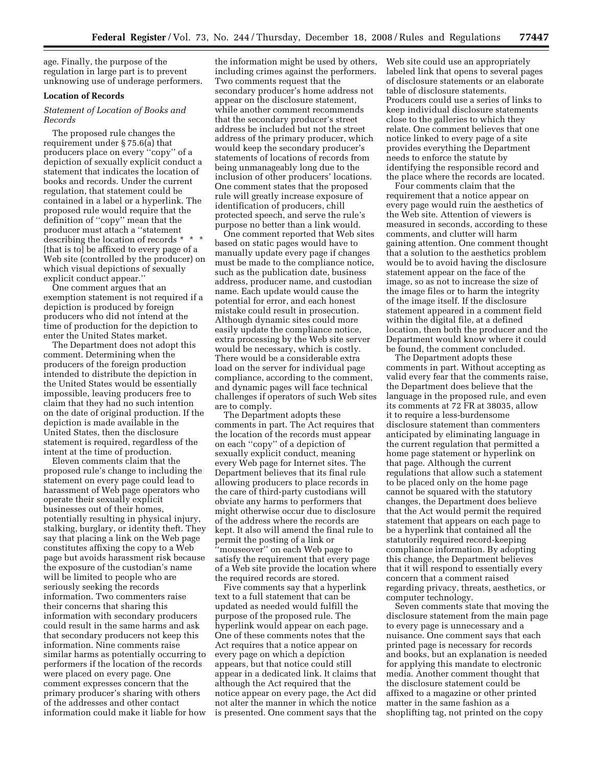age. Finally, the purpose of the regulation in large part is to prevent unknowing use of underage performers.

#### **Location of Records**

#### *Statement of Location of Books and Records*

The proposed rule changes the requirement under § 75.6(a) that producers place on every ''copy'' of a depiction of sexually explicit conduct a statement that indicates the location of books and records. Under the current regulation, that statement could be contained in a label or a hyperlink. The proposed rule would require that the definition of ''copy'' mean that the producer must attach a ''statement describing the location of records \* \* \* [that is to] be affixed to every page of a Web site (controlled by the producer) on which visual depictions of sexually explicit conduct appear.''

One comment argues that an exemption statement is not required if a depiction is produced by foreign producers who did not intend at the time of production for the depiction to enter the United States market.

The Department does not adopt this comment. Determining when the producers of the foreign production intended to distribute the depiction in the United States would be essentially impossible, leaving producers free to claim that they had no such intention on the date of original production. If the depiction is made available in the United States, then the disclosure statement is required, regardless of the intent at the time of production.

Eleven comments claim that the proposed rule's change to including the statement on every page could lead to harassment of Web page operators who operate their sexually explicit businesses out of their homes, potentially resulting in physical injury, stalking, burglary, or identity theft. They say that placing a link on the Web page constitutes affixing the copy to a Web page but avoids harassment risk because the exposure of the custodian's name will be limited to people who are seriously seeking the records information. Two commenters raise their concerns that sharing this information with secondary producers could result in the same harms and ask that secondary producers not keep this information. Nine comments raise similar harms as potentially occurring to performers if the location of the records were placed on every page. One comment expresses concern that the primary producer's sharing with others of the addresses and other contact information could make it liable for how

the information might be used by others, including crimes against the performers. Two comments request that the secondary producer's home address not appear on the disclosure statement, while another comment recommends that the secondary producer's street address be included but not the street address of the primary producer, which would keep the secondary producer's statements of locations of records from being unmanageably long due to the inclusion of other producers' locations. One comment states that the proposed rule will greatly increase exposure of identification of producers, chill protected speech, and serve the rule's purpose no better than a link would.

One comment reported that Web sites based on static pages would have to manually update every page if changes must be made to the compliance notice, such as the publication date, business address, producer name, and custodian name. Each update would cause the potential for error, and each honest mistake could result in prosecution. Although dynamic sites could more easily update the compliance notice, extra processing by the Web site server would be necessary, which is costly. There would be a considerable extra load on the server for individual page compliance, according to the comment, and dynamic pages will face technical challenges if operators of such Web sites are to comply.

The Department adopts these comments in part. The Act requires that the location of the records must appear on each ''copy'' of a depiction of sexually explicit conduct, meaning every Web page for Internet sites. The Department believes that its final rule allowing producers to place records in the care of third-party custodians will obviate any harms to performers that might otherwise occur due to disclosure of the address where the records are kept. It also will amend the final rule to permit the posting of a link or ''mouseover'' on each Web page to satisfy the requirement that every page of a Web site provide the location where the required records are stored.

Five comments say that a hyperlink text to a full statement that can be updated as needed would fulfill the purpose of the proposed rule. The hyperlink would appear on each page. One of these comments notes that the Act requires that a notice appear on every page on which a depiction appears, but that notice could still appear in a dedicated link. It claims that although the Act required that the notice appear on every page, the Act did not alter the manner in which the notice is presented. One comment says that the Web site could use an appropriately labeled link that opens to several pages of disclosure statements or an elaborate table of disclosure statements. Producers could use a series of links to keep individual disclosure statements close to the galleries to which they relate. One comment believes that one notice linked to every page of a site provides everything the Department needs to enforce the statute by identifying the responsible record and the place where the records are located.

Four comments claim that the requirement that a notice appear on every page would ruin the aesthetics of the Web site. Attention of viewers is measured in seconds, according to these comments, and clutter will harm gaining attention. One comment thought that a solution to the aesthetics problem would be to avoid having the disclosure statement appear on the face of the image, so as not to increase the size of the image files or to harm the integrity of the image itself. If the disclosure statement appeared in a comment field within the digital file, at a defined location, then both the producer and the Department would know where it could be found, the comment concluded.

The Department adopts these comments in part. Without accepting as valid every fear that the comments raise, the Department does believe that the language in the proposed rule, and even its comments at 72 FR at 38035, allow it to require a less-burdensome disclosure statement than commenters anticipated by eliminating language in the current regulation that permitted a home page statement or hyperlink on that page. Although the current regulations that allow such a statement to be placed only on the home page cannot be squared with the statutory changes, the Department does believe that the Act would permit the required statement that appears on each page to be a hyperlink that contained all the statutorily required record-keeping compliance information. By adopting this change, the Department believes that it will respond to essentially every concern that a comment raised regarding privacy, threats, aesthetics, or computer technology.

Seven comments state that moving the disclosure statement from the main page to every page is unnecessary and a nuisance. One comment says that each printed page is necessary for records and books, but an explanation is needed for applying this mandate to electronic media. Another comment thought that the disclosure statement could be affixed to a magazine or other printed matter in the same fashion as a shoplifting tag, not printed on the copy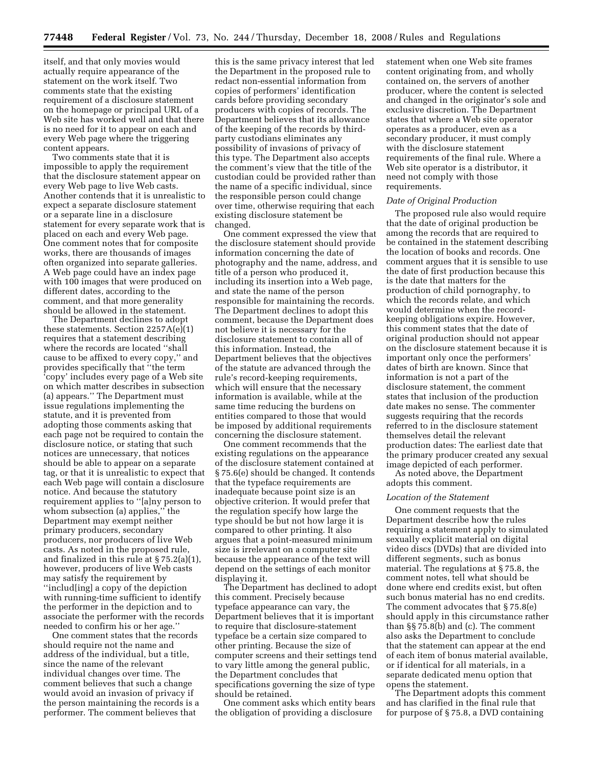itself, and that only movies would actually require appearance of the statement on the work itself. Two comments state that the existing requirement of a disclosure statement on the homepage or principal URL of a Web site has worked well and that there is no need for it to appear on each and every Web page where the triggering content appears.

Two comments state that it is impossible to apply the requirement that the disclosure statement appear on every Web page to live Web casts. Another contends that it is unrealistic to expect a separate disclosure statement or a separate line in a disclosure statement for every separate work that is placed on each and every Web page. One comment notes that for composite works, there are thousands of images often organized into separate galleries. A Web page could have an index page with 100 images that were produced on different dates, according to the comment, and that more generality should be allowed in the statement.

The Department declines to adopt these statements. Section 2257A(e)(1) requires that a statement describing where the records are located ''shall cause to be affixed to every copy,'' and provides specifically that ''the term 'copy' includes every page of a Web site on which matter describes in subsection (a) appears.'' The Department must issue regulations implementing the statute, and it is prevented from adopting those comments asking that each page not be required to contain the disclosure notice, or stating that such notices are unnecessary, that notices should be able to appear on a separate tag, or that it is unrealistic to expect that each Web page will contain a disclosure notice. And because the statutory requirement applies to ''[a]ny person to whom subsection (a) applies," the Department may exempt neither primary producers, secondary producers, nor producers of live Web casts. As noted in the proposed rule, and finalized in this rule at § 75.2(a)(1), however, producers of live Web casts may satisfy the requirement by ''includ[ing] a copy of the depiction with running-time sufficient to identify the performer in the depiction and to associate the performer with the records needed to confirm his or her age.''

One comment states that the records should require not the name and address of the individual, but a title, since the name of the relevant individual changes over time. The comment believes that such a change would avoid an invasion of privacy if the person maintaining the records is a performer. The comment believes that

this is the same privacy interest that led the Department in the proposed rule to redact non-essential information from copies of performers' identification cards before providing secondary producers with copies of records. The Department believes that its allowance of the keeping of the records by thirdparty custodians eliminates any possibility of invasions of privacy of this type. The Department also accepts the comment's view that the title of the custodian could be provided rather than the name of a specific individual, since the responsible person could change over time, otherwise requiring that each existing disclosure statement be changed.

One comment expressed the view that the disclosure statement should provide information concerning the date of photography and the name, address, and title of a person who produced it, including its insertion into a Web page, and state the name of the person responsible for maintaining the records. The Department declines to adopt this comment, because the Department does not believe it is necessary for the disclosure statement to contain all of this information. Instead, the Department believes that the objectives of the statute are advanced through the rule's record-keeping requirements, which will ensure that the necessary information is available, while at the same time reducing the burdens on entities compared to those that would be imposed by additional requirements concerning the disclosure statement.

One comment recommends that the existing regulations on the appearance of the disclosure statement contained at § 75.6(e) should be changed. It contends that the typeface requirements are inadequate because point size is an objective criterion. It would prefer that the regulation specify how large the type should be but not how large it is compared to other printing. It also argues that a point-measured minimum size is irrelevant on a computer site because the appearance of the text will depend on the settings of each monitor displaying it.

The Department has declined to adopt this comment. Precisely because typeface appearance can vary, the Department believes that it is important to require that disclosure-statement typeface be a certain size compared to other printing. Because the size of computer screens and their settings tend to vary little among the general public, the Department concludes that specifications governing the size of type should be retained.

One comment asks which entity bears the obligation of providing a disclosure

statement when one Web site frames content originating from, and wholly contained on, the servers of another producer, where the content is selected and changed in the originator's sole and exclusive discretion. The Department states that where a Web site operator operates as a producer, even as a secondary producer, it must comply with the disclosure statement requirements of the final rule. Where a Web site operator is a distributor, it need not comply with those requirements.

#### *Date of Original Production*

The proposed rule also would require that the date of original production be among the records that are required to be contained in the statement describing the location of books and records. One comment argues that it is sensible to use the date of first production because this is the date that matters for the production of child pornography, to which the records relate, and which would determine when the recordkeeping obligations expire. However, this comment states that the date of original production should not appear on the disclosure statement because it is important only once the performers' dates of birth are known. Since that information is not a part of the disclosure statement, the comment states that inclusion of the production date makes no sense. The commenter suggests requiring that the records referred to in the disclosure statement themselves detail the relevant production dates: The earliest date that the primary producer created any sexual image depicted of each performer.

As noted above, the Department adopts this comment.

#### *Location of the Statement*

One comment requests that the Department describe how the rules requiring a statement apply to simulated sexually explicit material on digital video discs (DVDs) that are divided into different segments, such as bonus material. The regulations at § 75.8, the comment notes, tell what should be done where end credits exist, but often such bonus material has no end credits. The comment advocates that § 75.8(e) should apply in this circumstance rather than §§ 75.8(b) and (c). The comment also asks the Department to conclude that the statement can appear at the end of each item of bonus material available, or if identical for all materials, in a separate dedicated menu option that opens the statement.

The Department adopts this comment and has clarified in the final rule that for purpose of § 75.8, a DVD containing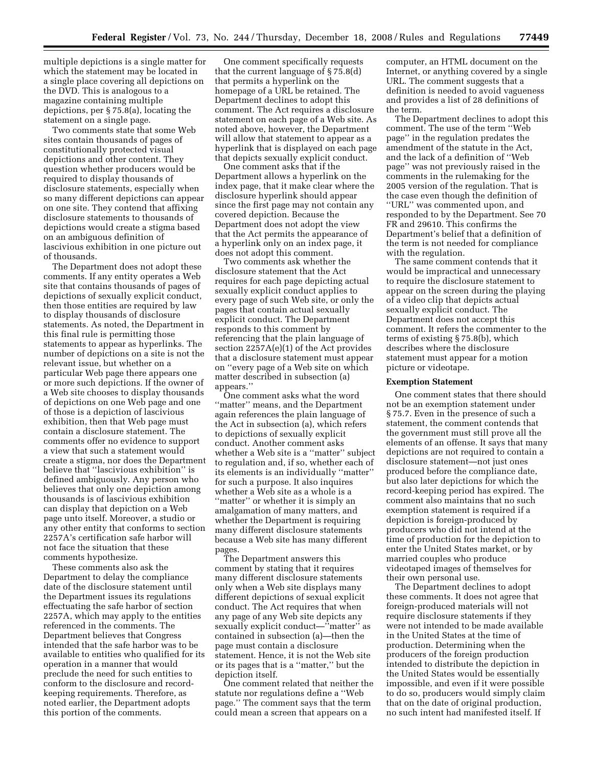multiple depictions is a single matter for which the statement may be located in a single place covering all depictions on the DVD. This is analogous to a magazine containing multiple depictions, per § 75.8(a), locating the statement on a single page.

Two comments state that some Web sites contain thousands of pages of constitutionally protected visual depictions and other content. They question whether producers would be required to display thousands of disclosure statements, especially when so many different depictions can appear on one site. They contend that affixing disclosure statements to thousands of depictions would create a stigma based on an ambiguous definition of lascivious exhibition in one picture out of thousands.

The Department does not adopt these comments. If any entity operates a Web site that contains thousands of pages of depictions of sexually explicit conduct, then those entities are required by law to display thousands of disclosure statements. As noted, the Department in this final rule is permitting those statements to appear as hyperlinks. The number of depictions on a site is not the relevant issue, but whether on a particular Web page there appears one or more such depictions. If the owner of a Web site chooses to display thousands of depictions on one Web page and one of those is a depiction of lascivious exhibition, then that Web page must contain a disclosure statement. The comments offer no evidence to support a view that such a statement would create a stigma, nor does the Department believe that ''lascivious exhibition'' is defined ambiguously. Any person who believes that only one depiction among thousands is of lascivious exhibition can display that depiction on a Web page unto itself. Moreover, a studio or any other entity that conforms to section 2257A's certification safe harbor will not face the situation that these comments hypothesize.

These comments also ask the Department to delay the compliance date of the disclosure statement until the Department issues its regulations effectuating the safe harbor of section 2257A, which may apply to the entities referenced in the comments. The Department believes that Congress intended that the safe harbor was to be available to entities who qualified for its operation in a manner that would preclude the need for such entities to conform to the disclosure and recordkeeping requirements. Therefore, as noted earlier, the Department adopts this portion of the comments.

One comment specifically requests that the current language of § 75.8(d) that permits a hyperlink on the homepage of a URL be retained. The Department declines to adopt this comment. The Act requires a disclosure statement on each page of a Web site. As noted above, however, the Department will allow that statement to appear as a hyperlink that is displayed on each page that depicts sexually explicit conduct.

One comment asks that if the Department allows a hyperlink on the index page, that it make clear where the disclosure hyperlink should appear since the first page may not contain any covered depiction. Because the Department does not adopt the view that the Act permits the appearance of a hyperlink only on an index page, it does not adopt this comment.

Two comments ask whether the disclosure statement that the Act requires for each page depicting actual sexually explicit conduct applies to every page of such Web site, or only the pages that contain actual sexually explicit conduct. The Department responds to this comment by referencing that the plain language of section 2257A(e)(1) of the Act provides that a disclosure statement must appear on ''every page of a Web site on which matter described in subsection (a) appears.''

One comment asks what the word ''matter'' means, and the Department again references the plain language of the Act in subsection (a), which refers to depictions of sexually explicit conduct. Another comment asks whether a Web site is a ''matter'' subject to regulation and, if so, whether each of its elements is an individually ''matter'' for such a purpose. It also inquires whether a Web site as a whole is a ''matter'' or whether it is simply an amalgamation of many matters, and whether the Department is requiring many different disclosure statements because a Web site has many different pages.

The Department answers this comment by stating that it requires many different disclosure statements only when a Web site displays many different depictions of sexual explicit conduct. The Act requires that when any page of any Web site depicts any sexually explicit conduct—''matter'' as contained in subsection (a)—then the page must contain a disclosure statement. Hence, it is not the Web site or its pages that is a ''matter,'' but the depiction itself.

One comment related that neither the statute nor regulations define a ''Web page.'' The comment says that the term could mean a screen that appears on a

computer, an HTML document on the Internet, or anything covered by a single URL. The comment suggests that a definition is needed to avoid vagueness and provides a list of 28 definitions of the term.

The Department declines to adopt this comment. The use of the term ''Web page'' in the regulation predates the amendment of the statute in the Act, and the lack of a definition of ''Web page'' was not previously raised in the comments in the rulemaking for the 2005 version of the regulation. That is the case even though the definition of ''URL'' was commented upon, and responded to by the Department. See 70 FR and 29610. This confirms the Department's belief that a definition of the term is not needed for compliance with the regulation.

The same comment contends that it would be impractical and unnecessary to require the disclosure statement to appear on the screen during the playing of a video clip that depicts actual sexually explicit conduct. The Department does not accept this comment. It refers the commenter to the terms of existing § 75.8(b), which describes where the disclosure statement must appear for a motion picture or videotape.

#### **Exemption Statement**

One comment states that there should not be an exemption statement under § 75.7. Even in the presence of such a statement, the comment contends that the government must still prove all the elements of an offense. It says that many depictions are not required to contain a disclosure statement—not just ones produced before the compliance date, but also later depictions for which the record-keeping period has expired. The comment also maintains that no such exemption statement is required if a depiction is foreign-produced by producers who did not intend at the time of production for the depiction to enter the United States market, or by married couples who produce videotaped images of themselves for their own personal use.

The Department declines to adopt these comments. It does not agree that foreign-produced materials will not require disclosure statements if they were not intended to be made available in the United States at the time of production. Determining when the producers of the foreign production intended to distribute the depiction in the United States would be essentially impossible, and even if it were possible to do so, producers would simply claim that on the date of original production, no such intent had manifested itself. If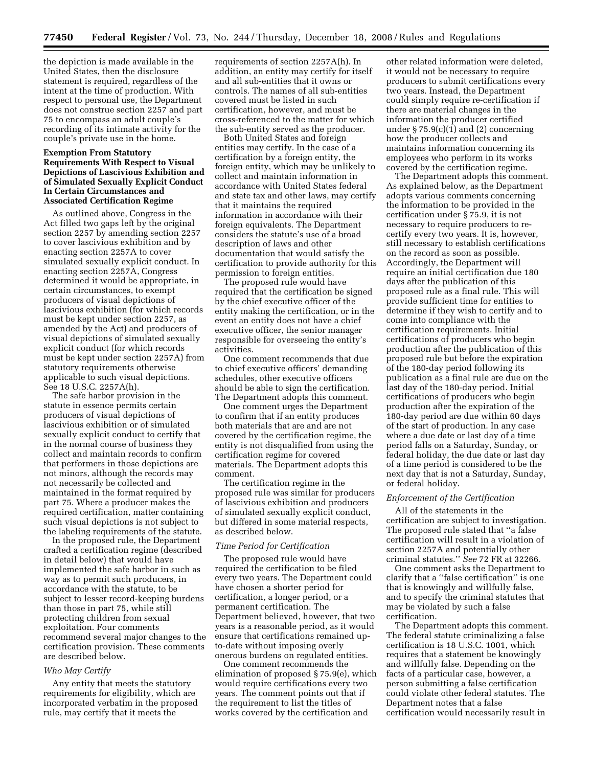the depiction is made available in the United States, then the disclosure statement is required, regardless of the intent at the time of production. With respect to personal use, the Department does not construe section 2257 and part 75 to encompass an adult couple's recording of its intimate activity for the couple's private use in the home.

#### **Exemption From Statutory Requirements With Respect to Visual Depictions of Lascivious Exhibition and of Simulated Sexually Explicit Conduct In Certain Circumstances and Associated Certification Regime**

As outlined above, Congress in the Act filled two gaps left by the original section 2257 by amending section 2257 to cover lascivious exhibition and by enacting section 2257A to cover simulated sexually explicit conduct. In enacting section 2257A, Congress determined it would be appropriate, in certain circumstances, to exempt producers of visual depictions of lascivious exhibition (for which records must be kept under section 2257, as amended by the Act) and producers of visual depictions of simulated sexually explicit conduct (for which records must be kept under section 2257A) from statutory requirements otherwise applicable to such visual depictions. See 18 U.S.C. 2257A(h).

The safe harbor provision in the statute in essence permits certain producers of visual depictions of lascivious exhibition or of simulated sexually explicit conduct to certify that in the normal course of business they collect and maintain records to confirm that performers in those depictions are not minors, although the records may not necessarily be collected and maintained in the format required by part 75. Where a producer makes the required certification, matter containing such visual depictions is not subject to the labeling requirements of the statute.

In the proposed rule, the Department crafted a certification regime (described in detail below) that would have implemented the safe harbor in such as way as to permit such producers, in accordance with the statute, to be subject to lesser record-keeping burdens than those in part 75, while still protecting children from sexual exploitation. Four comments recommend several major changes to the certification provision. These comments are described below.

#### *Who May Certify*

Any entity that meets the statutory requirements for eligibility, which are incorporated verbatim in the proposed rule, may certify that it meets the

requirements of section 2257A(h). In addition, an entity may certify for itself and all sub-entities that it owns or controls. The names of all sub-entities covered must be listed in such certification, however, and must be cross-referenced to the matter for which the sub-entity served as the producer.

Both United States and foreign entities may certify. In the case of a certification by a foreign entity, the foreign entity, which may be unlikely to collect and maintain information in accordance with United States federal and state tax and other laws, may certify that it maintains the required information in accordance with their foreign equivalents. The Department considers the statute's use of a broad description of laws and other documentation that would satisfy the certification to provide authority for this permission to foreign entities.

The proposed rule would have required that the certification be signed by the chief executive officer of the entity making the certification, or in the event an entity does not have a chief executive officer, the senior manager responsible for overseeing the entity's activities.

One comment recommends that due to chief executive officers' demanding schedules, other executive officers should be able to sign the certification. The Department adopts this comment.

One comment urges the Department to confirm that if an entity produces both materials that are and are not covered by the certification regime, the entity is not disqualified from using the certification regime for covered materials. The Department adopts this comment.

The certification regime in the proposed rule was similar for producers of lascivious exhibition and producers of simulated sexually explicit conduct, but differed in some material respects, as described below.

#### *Time Period for Certification*

The proposed rule would have required the certification to be filed every two years. The Department could have chosen a shorter period for certification, a longer period, or a permanent certification. The Department believed, however, that two years is a reasonable period, as it would ensure that certifications remained upto-date without imposing overly onerous burdens on regulated entities.

One comment recommends the elimination of proposed § 75.9(e), which would require certifications every two years. The comment points out that if the requirement to list the titles of works covered by the certification and

other related information were deleted, it would not be necessary to require producers to submit certifications every two years. Instead, the Department could simply require re-certification if there are material changes in the information the producer certified under  $\S 75.9(c)(1)$  and (2) concerning how the producer collects and maintains information concerning its employees who perform in its works covered by the certification regime.

The Department adopts this comment. As explained below, as the Department adopts various comments concerning the information to be provided in the certification under § 75.9, it is not necessary to require producers to recertify every two years. It is, however, still necessary to establish certifications on the record as soon as possible. Accordingly, the Department will require an initial certification due 180 days after the publication of this proposed rule as a final rule. This will provide sufficient time for entities to determine if they wish to certify and to come into compliance with the certification requirements. Initial certifications of producers who begin production after the publication of this proposed rule but before the expiration of the 180-day period following its publication as a final rule are due on the last day of the 180-day period. Initial certifications of producers who begin production after the expiration of the 180-day period are due within 60 days of the start of production. In any case where a due date or last day of a time period falls on a Saturday, Sunday, or federal holiday, the due date or last day of a time period is considered to be the next day that is not a Saturday, Sunday, or federal holiday.

#### *Enforcement of the Certification*

All of the statements in the certification are subject to investigation. The proposed rule stated that ''a false certification will result in a violation of section 2257A and potentially other criminal statutes.'' *See* 72 FR at 32266.

One comment asks the Department to clarify that a ''false certification'' is one that is knowingly and willfully false, and to specify the criminal statutes that may be violated by such a false certification.

The Department adopts this comment. The federal statute criminalizing a false certification is 18 U.S.C. 1001, which requires that a statement be knowingly and willfully false. Depending on the facts of a particular case, however, a person submitting a false certification could violate other federal statutes. The Department notes that a false certification would necessarily result in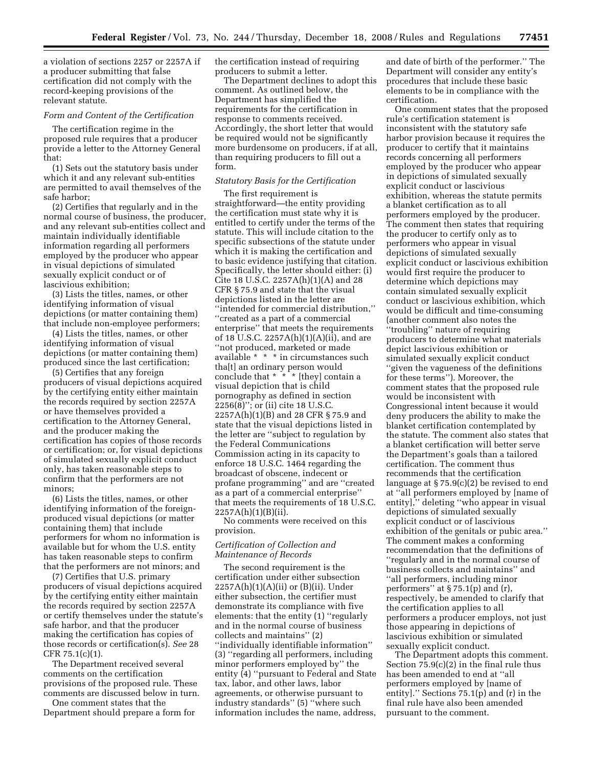a violation of sections 2257 or 2257A if a producer submitting that false certification did not comply with the record-keeping provisions of the relevant statute.

#### *Form and Content of the Certification*

The certification regime in the proposed rule requires that a producer provide a letter to the Attorney General that:

(1) Sets out the statutory basis under which it and any relevant sub-entities are permitted to avail themselves of the safe harbor;

(2) Certifies that regularly and in the normal course of business, the producer, and any relevant sub-entities collect and maintain individually identifiable information regarding all performers employed by the producer who appear in visual depictions of simulated sexually explicit conduct or of lascivious exhibition;

(3) Lists the titles, names, or other identifying information of visual depictions (or matter containing them) that include non-employee performers;

(4) Lists the titles, names, or other identifying information of visual depictions (or matter containing them) produced since the last certification;

(5) Certifies that any foreign producers of visual depictions acquired by the certifying entity either maintain the records required by section 2257A or have themselves provided a certification to the Attorney General, and the producer making the certification has copies of those records or certification; or, for visual depictions of simulated sexually explicit conduct only, has taken reasonable steps to confirm that the performers are not minors;

(6) Lists the titles, names, or other identifying information of the foreignproduced visual depictions (or matter containing them) that include performers for whom no information is available but for whom the U.S. entity has taken reasonable steps to confirm that the performers are not minors; and

(7) Certifies that U.S. primary producers of visual depictions acquired by the certifying entity either maintain the records required by section 2257A or certify themselves under the statute's safe harbor, and that the producer making the certification has copies of those records or certification(s). *See* 28 CFR 75.1(c)(1).

The Department received several comments on the certification provisions of the proposed rule. These comments are discussed below in turn.

One comment states that the Department should prepare a form for the certification instead of requiring producers to submit a letter.

The Department declines to adopt this comment. As outlined below, the Department has simplified the requirements for the certification in response to comments received. Accordingly, the short letter that would be required would not be significantly more burdensome on producers, if at all, than requiring producers to fill out a form.

#### *Statutory Basis for the Certification*

The first requirement is straightforward—the entity providing the certification must state why it is entitled to certify under the terms of the statute. This will include citation to the specific subsections of the statute under which it is making the certification and to basic evidence justifying that citation. Specifically, the letter should either: (i) Cite 18 U.S.C. 2257A(h)(1)(A) and 28 CFR § 75.9 and state that the visual depictions listed in the letter are ''intended for commercial distribution,'' ''created as a part of a commercial enterprise'' that meets the requirements of 18 U.S.C. 2257A(h)(1)(A)(ii), and are ''not produced, marketed or made available \* \* \* in circumstances such tha[t] an ordinary person would conclude that  $* \cdot * \cdot$  [they] contain a visual depiction that is child pornography as defined in section 2256(8)''; or (ii) cite 18 U.S.C. 2257A(h)(1)(B) and 28 CFR § 75.9 and state that the visual depictions listed in the letter are ''subject to regulation by the Federal Communications Commission acting in its capacity to enforce 18 U.S.C. 1464 regarding the broadcast of obscene, indecent or profane programming'' and are ''created as a part of a commercial enterprise'' that meets the requirements of 18 U.S.C. 2257A(h)(1)(B)(ii).

No comments were received on this provision.

#### *Certification of Collection and Maintenance of Records*

The second requirement is the certification under either subsection  $2257A(h)(1)(A)(ii)$  or  $(B)(ii)$ . Under either subsection, the certifier must demonstrate its compliance with five elements: that the entity (1) ''regularly and in the normal course of business collects and maintains'' (2) ''individually identifiable information'' (3) ''regarding all performers, including minor performers employed by'' the entity (4) ''pursuant to Federal and State tax, labor, and other laws, labor agreements, or otherwise pursuant to industry standards'' (5) ''where such information includes the name, address,

and date of birth of the performer.'' The Department will consider any entity's procedures that include these basic elements to be in compliance with the certification.

One comment states that the proposed rule's certification statement is inconsistent with the statutory safe harbor provision because it requires the producer to certify that it maintains records concerning all performers employed by the producer who appear in depictions of simulated sexually explicit conduct or lascivious exhibition, whereas the statute permits a blanket certification as to all performers employed by the producer. The comment then states that requiring the producer to certify only as to performers who appear in visual depictions of simulated sexually explicit conduct or lascivious exhibition would first require the producer to determine which depictions may contain simulated sexually explicit conduct or lascivious exhibition, which would be difficult and time-consuming (another comment also notes the ''troubling'' nature of requiring producers to determine what materials depict lascivious exhibition or simulated sexually explicit conduct ''given the vagueness of the definitions for these terms''). Moreover, the comment states that the proposed rule would be inconsistent with Congressional intent because it would deny producers the ability to make the blanket certification contemplated by the statute. The comment also states that a blanket certification will better serve the Department's goals than a tailored certification. The comment thus recommends that the certification language at  $\S 75.9(c)(2)$  be revised to end at ''all performers employed by [name of entity],'' deleting ''who appear in visual depictions of simulated sexually explicit conduct or of lascivious exhibition of the genitals or pubic area.'' The comment makes a conforming recommendation that the definitions of ''regularly and in the normal course of business collects and maintains'' and ''all performers, including minor performers'' at § 75.1(p) and (r), respectively, be amended to clarify that the certification applies to all performers a producer employs, not just those appearing in depictions of lascivious exhibition or simulated sexually explicit conduct.

The Department adopts this comment. Section 75.9(c)(2) in the final rule thus has been amended to end at ''all performers employed by [name of entity].'' Sections 75.1(p) and (r) in the final rule have also been amended pursuant to the comment.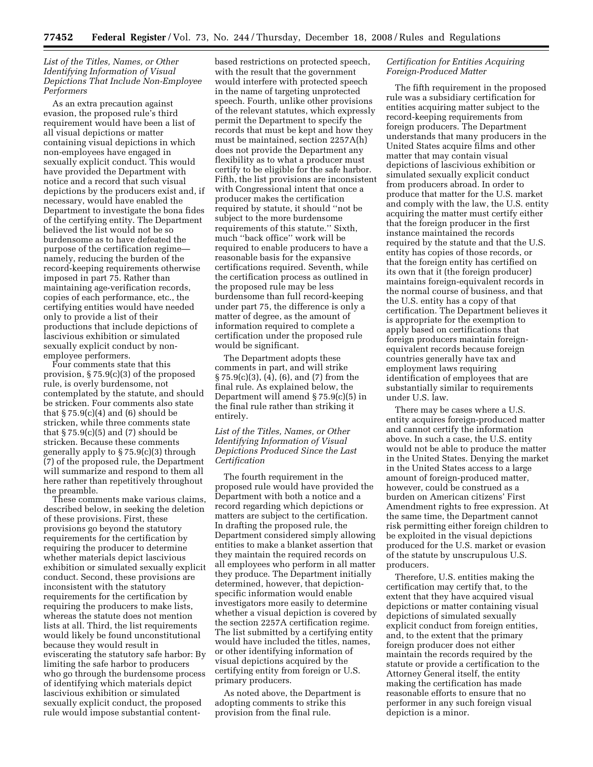#### *List of the Titles, Names, or Other Identifying Information of Visual Depictions That Include Non-Employee Performers*

As an extra precaution against evasion, the proposed rule's third requirement would have been a list of all visual depictions or matter containing visual depictions in which non-employees have engaged in sexually explicit conduct. This would have provided the Department with notice and a record that such visual depictions by the producers exist and, if necessary, would have enabled the Department to investigate the bona fides of the certifying entity. The Department believed the list would not be so burdensome as to have defeated the purpose of the certification regime namely, reducing the burden of the record-keeping requirements otherwise imposed in part 75. Rather than maintaining age-verification records, copies of each performance, etc., the certifying entities would have needed only to provide a list of their productions that include depictions of lascivious exhibition or simulated sexually explicit conduct by nonemployee performers.

Four comments state that this provision, § 75.9(c)(3) of the proposed rule, is overly burdensome, not contemplated by the statute, and should be stricken. Four comments also state that  $\S 75.9(c)(4)$  and (6) should be stricken, while three comments state that  $\S 75.9(c)(5)$  and  $(7)$  should be stricken. Because these comments generally apply to § 75.9(c)(3) through (7) of the proposed rule, the Department will summarize and respond to them all here rather than repetitively throughout the preamble.

These comments make various claims, described below, in seeking the deletion of these provisions. First, these provisions go beyond the statutory requirements for the certification by requiring the producer to determine whether materials depict lascivious exhibition or simulated sexually explicit conduct. Second, these provisions are inconsistent with the statutory requirements for the certification by requiring the producers to make lists, whereas the statute does not mention lists at all. Third, the list requirements would likely be found unconstitutional because they would result in eviscerating the statutory safe harbor: By limiting the safe harbor to producers who go through the burdensome process of identifying which materials depict lascivious exhibition or simulated sexually explicit conduct, the proposed rule would impose substantial content-

based restrictions on protected speech, with the result that the government would interfere with protected speech in the name of targeting unprotected speech. Fourth, unlike other provisions of the relevant statutes, which expressly permit the Department to specify the records that must be kept and how they must be maintained, section 2257A(h) does not provide the Department any flexibility as to what a producer must certify to be eligible for the safe harbor. Fifth, the list provisions are inconsistent with Congressional intent that once a producer makes the certification required by statute, it should ''not be subject to the more burdensome requirements of this statute.'' Sixth, much ''back office'' work will be required to enable producers to have a reasonable basis for the expansive certifications required. Seventh, while the certification process as outlined in the proposed rule may be less burdensome than full record-keeping under part 75, the difference is only a matter of degree, as the amount of information required to complete a certification under the proposed rule would be significant.

The Department adopts these comments in part, and will strike § 75.9(c)(3), (4), (6), and (7) from the final rule. As explained below, the Department will amend § 75.9(c)(5) in the final rule rather than striking it entirely.

#### *List of the Titles, Names, or Other Identifying Information of Visual Depictions Produced Since the Last Certification*

The fourth requirement in the proposed rule would have provided the Department with both a notice and a record regarding which depictions or matters are subject to the certification. In drafting the proposed rule, the Department considered simply allowing entities to make a blanket assertion that they maintain the required records on all employees who perform in all matter they produce. The Department initially determined, however, that depictionspecific information would enable investigators more easily to determine whether a visual depiction is covered by the section 2257A certification regime. The list submitted by a certifying entity would have included the titles, names, or other identifying information of visual depictions acquired by the certifying entity from foreign or U.S. primary producers.

As noted above, the Department is adopting comments to strike this provision from the final rule.

#### *Certification for Entities Acquiring Foreign-Produced Matter*

The fifth requirement in the proposed rule was a subsidiary certification for entities acquiring matter subject to the record-keeping requirements from foreign producers. The Department understands that many producers in the United States acquire films and other matter that may contain visual depictions of lascivious exhibition or simulated sexually explicit conduct from producers abroad. In order to produce that matter for the U.S. market and comply with the law, the U.S. entity acquiring the matter must certify either that the foreign producer in the first instance maintained the records required by the statute and that the U.S. entity has copies of those records, or that the foreign entity has certified on its own that it (the foreign producer) maintains foreign-equivalent records in the normal course of business, and that the U.S. entity has a copy of that certification. The Department believes it is appropriate for the exemption to apply based on certifications that foreign producers maintain foreignequivalent records because foreign countries generally have tax and employment laws requiring identification of employees that are substantially similar to requirements under U.S. law.

There may be cases where a U.S. entity acquires foreign-produced matter and cannot certify the information above. In such a case, the U.S. entity would not be able to produce the matter in the United States. Denying the market in the United States access to a large amount of foreign-produced matter, however, could be construed as a burden on American citizens' First Amendment rights to free expression. At the same time, the Department cannot risk permitting either foreign children to be exploited in the visual depictions produced for the U.S. market or evasion of the statute by unscrupulous U.S. producers.

Therefore, U.S. entities making the certification may certify that, to the extent that they have acquired visual depictions or matter containing visual depictions of simulated sexually explicit conduct from foreign entities, and, to the extent that the primary foreign producer does not either maintain the records required by the statute or provide a certification to the Attorney General itself, the entity making the certification has made reasonable efforts to ensure that no performer in any such foreign visual depiction is a minor.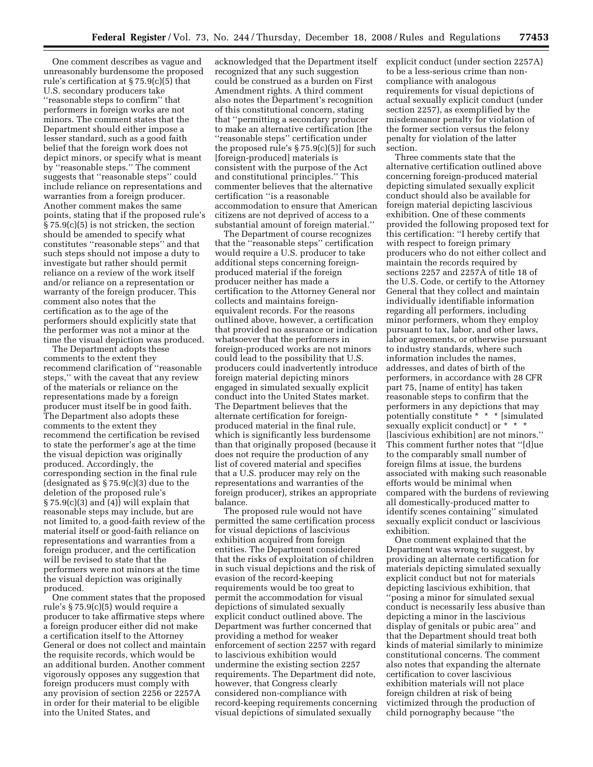One comment describes as vague and unreasonably burdensome the proposed rule's certification at § 75.9(c)(5) that U.S. secondary producers take ''reasonable steps to confirm'' that performers in foreign works are not minors. The comment states that the Department should either impose a lesser standard, such as a good faith belief that the foreign work does not depict minors, or specify what is meant by ''reasonable steps.'' The comment suggests that ''reasonable steps'' could include reliance on representations and warranties from a foreign producer. Another comment makes the same points, stating that if the proposed rule's § 75.9(c)(5) is not stricken, the section should be amended to specify what constitutes ''reasonable steps'' and that such steps should not impose a duty to investigate but rather should permit reliance on a review of the work itself and/or reliance on a representation or warranty of the foreign producer. This comment also notes that the certification as to the age of the performers should explicitly state that the performer was not a minor at the time the visual depiction was produced.

The Department adopts these comments to the extent they recommend clarification of ''reasonable steps,'' with the caveat that any review of the materials or reliance on the representations made by a foreign producer must itself be in good faith. The Department also adopts these comments to the extent they recommend the certification be revised to state the performer's age at the time the visual depiction was originally produced. Accordingly, the corresponding section in the final rule (designated as  $\S 75.9(c)(3)$  due to the deletion of the proposed rule's  $\S 75.9(c)(3)$  and (4)) will explain that reasonable steps may include, but are not limited to, a good-faith review of the material itself or good-faith reliance on representations and warranties from a foreign producer, and the certification will be revised to state that the performers were not minors at the time the visual depiction was originally produced.

One comment states that the proposed rule's § 75.9(c)(5) would require a producer to take affirmative steps where a foreign producer either did not make a certification itself to the Attorney General or does not collect and maintain the requisite records, which would be an additional burden. Another comment vigorously opposes any suggestion that foreign producers must comply with any provision of section 2256 or 2257A in order for their material to be eligible into the United States, and

acknowledged that the Department itself recognized that any such suggestion could be construed as a burden on First Amendment rights. A third comment also notes the Department's recognition of this constitutional concern, stating that ''permitting a secondary producer to make an alternative certification [the ''reasonable steps'' certification under the proposed rule's  $\S 75.9(c)(5)$  for such [foreign-produced] materials is consistent with the purpose of the Act and constitutional principles.'' This commenter believes that the alternative certification ''is a reasonable accommodation to ensure that American citizens are not deprived of access to a substantial amount of foreign material.''

The Department of course recognizes that the ''reasonable steps'' certification would require a U.S. producer to take additional steps concerning foreignproduced material if the foreign producer neither has made a certification to the Attorney General nor collects and maintains foreignequivalent records. For the reasons outlined above, however, a certification that provided no assurance or indication whatsoever that the performers in foreign-produced works are not minors could lead to the possibility that U.S. producers could inadvertently introduce foreign material depicting minors engaged in simulated sexually explicit conduct into the United States market. The Department believes that the alternate certification for foreignproduced material in the final rule, which is significantly less burdensome than that originally proposed (because it does not require the production of any list of covered material and specifies that a U.S. producer may rely on the representations and warranties of the foreign producer), strikes an appropriate balance.

The proposed rule would not have permitted the same certification process for visual depictions of lascivious exhibition acquired from foreign entities. The Department considered that the risks of exploitation of children in such visual depictions and the risk of evasion of the record-keeping requirements would be too great to permit the accommodation for visual depictions of simulated sexually explicit conduct outlined above. The Department was further concerned that providing a method for weaker enforcement of section 2257 with regard to lascivious exhibition would undermine the existing section 2257 requirements. The Department did note, however, that Congress clearly considered non-compliance with record-keeping requirements concerning visual depictions of simulated sexually

explicit conduct (under section 2257A) to be a less-serious crime than noncompliance with analogous requirements for visual depictions of actual sexually explicit conduct (under section 2257), as exemplified by the misdemeanor penalty for violation of the former section versus the felony penalty for violation of the latter section.

Three comments state that the alternative certification outlined above concerning foreign-produced material depicting simulated sexually explicit conduct should also be available for foreign material depicting lascivious exhibition. One of these comments provided the following proposed text for this certification: ''I hereby certify that with respect to foreign primary producers who do not either collect and maintain the records required by sections 2257 and 2257A of title 18 of the U.S. Code, or certify to the Attorney General that they collect and maintain individually identifiable information regarding all performers, including minor performers, whom they employ pursuant to tax, labor, and other laws, labor agreements, or otherwise pursuant to industry standards, where such information includes the names, addresses, and dates of birth of the performers, in accordance with 28 CFR part 75, [name of entity] has taken reasonable steps to confirm that the performers in any depictions that may potentially constitute \* \* \* [simulated sexually explicit conduct] or \* \* \* [lascivious exhibition] are not minors.'' This comment further notes that ''[d]ue to the comparably small number of foreign films at issue, the burdens associated with making such reasonable efforts would be minimal when compared with the burdens of reviewing all domestically-produced matter to identify scenes containing'' simulated sexually explicit conduct or lascivious exhibition.

One comment explained that the Department was wrong to suggest, by providing an alternate certification for materials depicting simulated sexually explicit conduct but not for materials depicting lascivious exhibition, that ''posing a minor for simulated sexual conduct is necessarily less abusive than depicting a minor in the lascivious display of genitals or pubic area'' and that the Department should treat both kinds of material similarly to minimize constitutional concerns. The comment also notes that expanding the alternate certification to cover lascivious exhibition materials will not place foreign children at risk of being victimized through the production of child pornography because ''the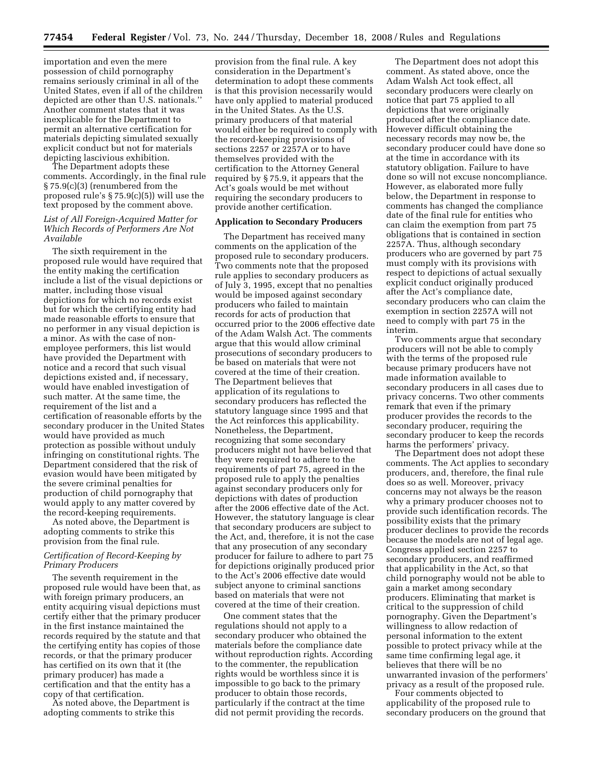importation and even the mere possession of child pornography remains seriously criminal in all of the United States, even if all of the children depicted are other than U.S. nationals.'' Another comment states that it was inexplicable for the Department to permit an alternative certification for materials depicting simulated sexually explicit conduct but not for materials depicting lascivious exhibition.

The Department adopts these comments. Accordingly, in the final rule § 75.9(c)(3) (renumbered from the proposed rule's § 75.9(c)(5)) will use the text proposed by the comment above.

#### *List of All Foreign-Acquired Matter for Which Records of Performers Are Not Available*

The sixth requirement in the proposed rule would have required that the entity making the certification include a list of the visual depictions or matter, including those visual depictions for which no records exist but for which the certifying entity had made reasonable efforts to ensure that no performer in any visual depiction is a minor. As with the case of nonemployee performers, this list would have provided the Department with notice and a record that such visual depictions existed and, if necessary, would have enabled investigation of such matter. At the same time, the requirement of the list and a certification of reasonable efforts by the secondary producer in the United States would have provided as much protection as possible without unduly infringing on constitutional rights. The Department considered that the risk of evasion would have been mitigated by the severe criminal penalties for production of child pornography that would apply to any matter covered by the record-keeping requirements.

As noted above, the Department is adopting comments to strike this provision from the final rule.

#### *Certification of Record-Keeping by Primary Producers*

The seventh requirement in the proposed rule would have been that, as with foreign primary producers, an entity acquiring visual depictions must certify either that the primary producer in the first instance maintained the records required by the statute and that the certifying entity has copies of those records, or that the primary producer has certified on its own that it (the primary producer) has made a certification and that the entity has a copy of that certification.

As noted above, the Department is adopting comments to strike this

provision from the final rule. A key consideration in the Department's determination to adopt these comments is that this provision necessarily would have only applied to material produced in the United States. As the U.S. primary producers of that material would either be required to comply with the record-keeping provisions of sections 2257 or 2257A or to have themselves provided with the certification to the Attorney General required by § 75.9, it appears that the Act's goals would be met without requiring the secondary producers to provide another certification.

#### **Application to Secondary Producers**

The Department has received many comments on the application of the proposed rule to secondary producers. Two comments note that the proposed rule applies to secondary producers as of July 3, 1995, except that no penalties would be imposed against secondary producers who failed to maintain records for acts of production that occurred prior to the 2006 effective date of the Adam Walsh Act. The comments argue that this would allow criminal prosecutions of secondary producers to be based on materials that were not covered at the time of their creation. The Department believes that application of its regulations to secondary producers has reflected the statutory language since 1995 and that the Act reinforces this applicability. Nonetheless, the Department, recognizing that some secondary producers might not have believed that they were required to adhere to the requirements of part 75, agreed in the proposed rule to apply the penalties against secondary producers only for depictions with dates of production after the 2006 effective date of the Act. However, the statutory language is clear that secondary producers are subject to the Act, and, therefore, it is not the case that any prosecution of any secondary producer for failure to adhere to part 75 for depictions originally produced prior to the Act's 2006 effective date would subject anyone to criminal sanctions based on materials that were not covered at the time of their creation.

One comment states that the regulations should not apply to a secondary producer who obtained the materials before the compliance date without reproduction rights. According to the commenter, the republication rights would be worthless since it is impossible to go back to the primary producer to obtain those records, particularly if the contract at the time did not permit providing the records.

The Department does not adopt this comment. As stated above, once the Adam Walsh Act took effect, all secondary producers were clearly on notice that part 75 applied to all depictions that were originally produced after the compliance date. However difficult obtaining the necessary records may now be, the secondary producer could have done so at the time in accordance with its statutory obligation. Failure to have done so will not excuse noncompliance. However, as elaborated more fully below, the Department in response to comments has changed the compliance date of the final rule for entities who can claim the exemption from part 75 obligations that is contained in section 2257A. Thus, although secondary producers who are governed by part 75 must comply with its provisions with respect to depictions of actual sexually explicit conduct originally produced after the Act's compliance date, secondary producers who can claim the exemption in section 2257A will not need to comply with part 75 in the interim.

Two comments argue that secondary producers will not be able to comply with the terms of the proposed rule because primary producers have not made information available to secondary producers in all cases due to privacy concerns. Two other comments remark that even if the primary producer provides the records to the secondary producer, requiring the secondary producer to keep the records harms the performers' privacy.

The Department does not adopt these comments. The Act applies to secondary producers, and, therefore, the final rule does so as well. Moreover, privacy concerns may not always be the reason why a primary producer chooses not to provide such identification records. The possibility exists that the primary producer declines to provide the records because the models are not of legal age. Congress applied section 2257 to secondary producers, and reaffirmed that applicability in the Act, so that child pornography would not be able to gain a market among secondary producers. Eliminating that market is critical to the suppression of child pornography. Given the Department's willingness to allow redaction of personal information to the extent possible to protect privacy while at the same time confirming legal age, it believes that there will be no unwarranted invasion of the performers' privacy as a result of the proposed rule.

Four comments objected to applicability of the proposed rule to secondary producers on the ground that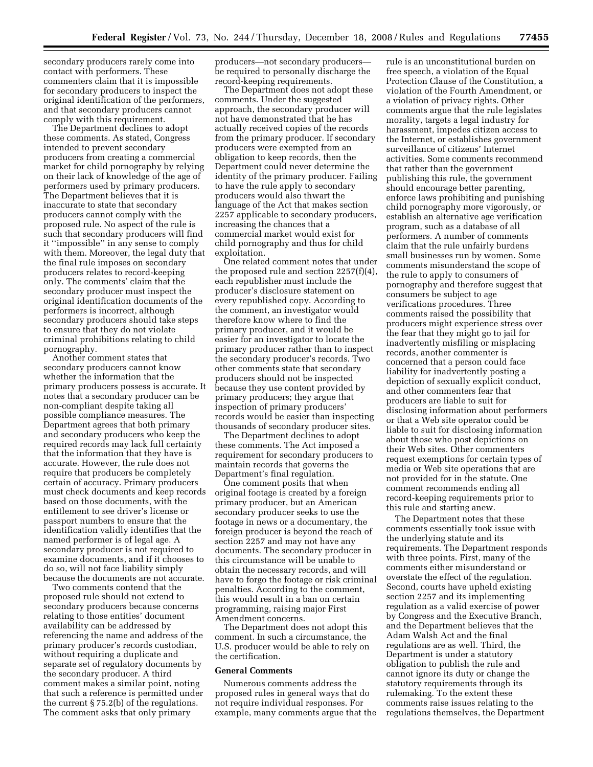secondary producers rarely come into contact with performers. These commenters claim that it is impossible for secondary producers to inspect the original identification of the performers, and that secondary producers cannot comply with this requirement.

The Department declines to adopt these comments. As stated, Congress intended to prevent secondary producers from creating a commercial market for child pornography by relying on their lack of knowledge of the age of performers used by primary producers. The Department believes that it is inaccurate to state that secondary producers cannot comply with the proposed rule. No aspect of the rule is such that secondary producers will find it ''impossible'' in any sense to comply with them. Moreover, the legal duty that the final rule imposes on secondary producers relates to record-keeping only. The comments' claim that the secondary producer must inspect the original identification documents of the performers is incorrect, although secondary producers should take steps to ensure that they do not violate criminal prohibitions relating to child pornography.

Another comment states that secondary producers cannot know whether the information that the primary producers possess is accurate. It notes that a secondary producer can be non-compliant despite taking all possible compliance measures. The Department agrees that both primary and secondary producers who keep the required records may lack full certainty that the information that they have is accurate. However, the rule does not require that producers be completely certain of accuracy. Primary producers must check documents and keep records based on those documents, with the entitlement to see driver's license or passport numbers to ensure that the identification validly identifies that the named performer is of legal age. A secondary producer is not required to examine documents, and if it chooses to do so, will not face liability simply because the documents are not accurate.

Two comments contend that the proposed rule should not extend to secondary producers because concerns relating to those entities' document availability can be addressed by referencing the name and address of the primary producer's records custodian, without requiring a duplicate and separate set of regulatory documents by the secondary producer. A third comment makes a similar point, noting that such a reference is permitted under the current § 75.2(b) of the regulations. The comment asks that only primary

producers—not secondary producers be required to personally discharge the record-keeping requirements.

The Department does not adopt these comments. Under the suggested approach, the secondary producer will not have demonstrated that he has actually received copies of the records from the primary producer. If secondary producers were exempted from an obligation to keep records, then the Department could never determine the identity of the primary producer. Failing to have the rule apply to secondary producers would also thwart the language of the Act that makes section 2257 applicable to secondary producers, increasing the chances that a commercial market would exist for child pornography and thus for child exploitation.

One related comment notes that under the proposed rule and section 2257(f)(4), each republisher must include the producer's disclosure statement on every republished copy. According to the comment, an investigator would therefore know where to find the primary producer, and it would be easier for an investigator to locate the primary producer rather than to inspect the secondary producer's records. Two other comments state that secondary producers should not be inspected because they use content provided by primary producers; they argue that inspection of primary producers' records would be easier than inspecting thousands of secondary producer sites.

The Department declines to adopt these comments. The Act imposed a requirement for secondary producers to maintain records that governs the Department's final regulation.

One comment posits that when original footage is created by a foreign primary producer, but an American secondary producer seeks to use the footage in news or a documentary, the foreign producer is beyond the reach of section 2257 and may not have any documents. The secondary producer in this circumstance will be unable to obtain the necessary records, and will have to forgo the footage or risk criminal penalties. According to the comment, this would result in a ban on certain programming, raising major First Amendment concerns.

The Department does not adopt this comment. In such a circumstance, the U.S. producer would be able to rely on the certification.

#### **General Comments**

Numerous comments address the proposed rules in general ways that do not require individual responses. For example, many comments argue that the

rule is an unconstitutional burden on free speech, a violation of the Equal Protection Clause of the Constitution, a violation of the Fourth Amendment, or a violation of privacy rights. Other comments argue that the rule legislates morality, targets a legal industry for harassment, impedes citizen access to the Internet, or establishes government surveillance of citizens' Internet activities. Some comments recommend that rather than the government publishing this rule, the government should encourage better parenting, enforce laws prohibiting and punishing child pornography more vigorously, or establish an alternative age verification program, such as a database of all performers. A number of comments claim that the rule unfairly burdens small businesses run by women. Some comments misunderstand the scope of the rule to apply to consumers of pornography and therefore suggest that consumers be subject to age verifications procedures. Three comments raised the possibility that producers might experience stress over the fear that they might go to jail for inadvertently misfiling or misplacing records, another commenter is concerned that a person could face liability for inadvertently posting a depiction of sexually explicit conduct, and other commenters fear that producers are liable to suit for disclosing information about performers or that a Web site operator could be liable to suit for disclosing information about those who post depictions on their Web sites. Other commenters request exemptions for certain types of media or Web site operations that are not provided for in the statute. One comment recommends ending all record-keeping requirements prior to this rule and starting anew.

The Department notes that these comments essentially took issue with the underlying statute and its requirements. The Department responds with three points. First, many of the comments either misunderstand or overstate the effect of the regulation. Second, courts have upheld existing section 2257 and its implementing regulation as a valid exercise of power by Congress and the Executive Branch, and the Department believes that the Adam Walsh Act and the final regulations are as well. Third, the Department is under a statutory obligation to publish the rule and cannot ignore its duty or change the statutory requirements through its rulemaking. To the extent these comments raise issues relating to the regulations themselves, the Department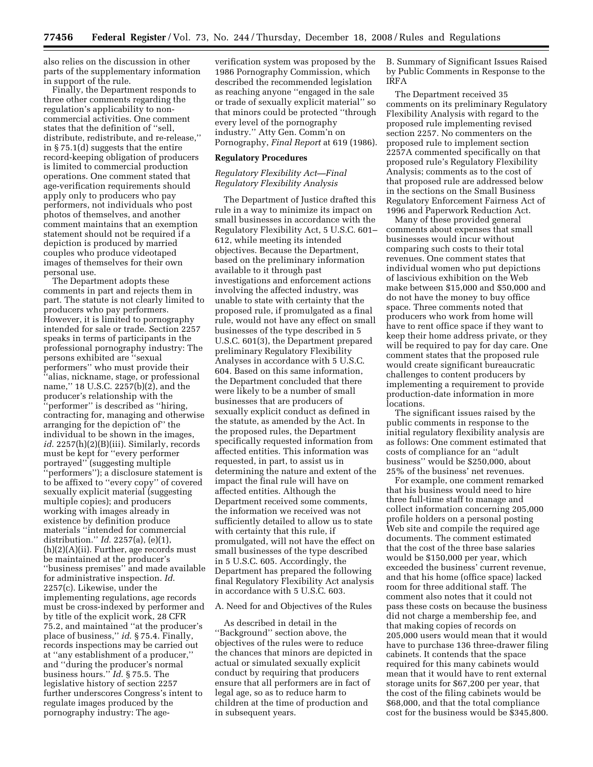also relies on the discussion in other parts of the supplementary information in support of the rule.

Finally, the Department responds to three other comments regarding the regulation's applicability to noncommercial activities. One comment states that the definition of ''sell, distribute, redistribute, and re-release,'' in § 75.1(d) suggests that the entire record-keeping obligation of producers is limited to commercial production operations. One comment stated that age-verification requirements should apply only to producers who pay performers, not individuals who post photos of themselves, and another comment maintains that an exemption statement should not be required if a depiction is produced by married couples who produce videotaped images of themselves for their own personal use.

The Department adopts these comments in part and rejects them in part. The statute is not clearly limited to producers who pay performers. However, it is limited to pornography intended for sale or trade. Section 2257 speaks in terms of participants in the professional pornography industry: The persons exhibited are ''sexual performers'' who must provide their ''alias, nickname, stage, or professional name,'' 18 U.S.C. 2257(b)(2), and the producer's relationship with the ''performer'' is described as ''hiring, contracting for, managing and otherwise arranging for the depiction of'' the individual to be shown in the images, *id*. 2257(h)(2)(B)(iii). Similarly, records must be kept for ''every performer portrayed'' (suggesting multiple ''performers''); a disclosure statement is to be affixed to ''every copy'' of covered sexually explicit material (suggesting multiple copies); and producers working with images already in existence by definition produce materials ''intended for commercial distribution.'' *Id*. 2257(a), (e)(1), (h)(2)(A)(ii). Further, age records must be maintained at the producer's ''business premises'' and made available for administrative inspection. *Id*. 2257(c). Likewise, under the implementing regulations, age records must be cross-indexed by performer and by title of the explicit work, 28 CFR 75.2, and maintained ''at the producer's place of business,'' *id*. § 75.4. Finally, records inspections may be carried out at ''any establishment of a producer,'' and ''during the producer's normal business hours.'' *Id*. § 75.5. The legislative history of section 2257 further underscores Congress's intent to regulate images produced by the pornography industry: The ageverification system was proposed by the 1986 Pornography Commission, which described the recommended legislation as reaching anyone ''engaged in the sale or trade of sexually explicit material'' so that minors could be protected ''through every level of the pornography industry.'' Atty Gen. Comm'n on Pornography, *Final Report* at 619 (1986).

#### **Regulatory Procedures**

#### *Regulatory Flexibility Act—Final Regulatory Flexibility Analysis*

The Department of Justice drafted this rule in a way to minimize its impact on small businesses in accordance with the Regulatory Flexibility Act, 5 U.S.C. 601– 612, while meeting its intended objectives. Because the Department, based on the preliminary information available to it through past investigations and enforcement actions involving the affected industry, was unable to state with certainty that the proposed rule, if promulgated as a final rule, would not have any effect on small businesses of the type described in 5 U.S.C. 601(3), the Department prepared preliminary Regulatory Flexibility Analyses in accordance with 5 U.S.C. 604. Based on this same information, the Department concluded that there were likely to be a number of small businesses that are producers of sexually explicit conduct as defined in the statute, as amended by the Act. In the proposed rules, the Department specifically requested information from affected entities. This information was requested, in part, to assist us in determining the nature and extent of the impact the final rule will have on affected entities. Although the Department received some comments, the information we received was not sufficiently detailed to allow us to state with certainty that this rule, if promulgated, will not have the effect on small businesses of the type described in 5 U.S.C. 605. Accordingly, the Department has prepared the following final Regulatory Flexibility Act analysis in accordance with 5 U.S.C. 603.

#### A. Need for and Objectives of the Rules

As described in detail in the ''Background'' section above, the objectives of the rules were to reduce the chances that minors are depicted in actual or simulated sexually explicit conduct by requiring that producers ensure that all performers are in fact of legal age, so as to reduce harm to children at the time of production and in subsequent years.

B. Summary of Significant Issues Raised by Public Comments in Response to the IRFA

The Department received 35 comments on its preliminary Regulatory Flexibility Analysis with regard to the proposed rule implementing revised section 2257. No commenters on the proposed rule to implement section 2257A commented specifically on that proposed rule's Regulatory Flexibility Analysis; comments as to the cost of that proposed rule are addressed below in the sections on the Small Business Regulatory Enforcement Fairness Act of 1996 and Paperwork Reduction Act.

Many of these provided general comments about expenses that small businesses would incur without comparing such costs to their total revenues. One comment states that individual women who put depictions of lascivious exhibition on the Web make between \$15,000 and \$50,000 and do not have the money to buy office space. Three comments noted that producers who work from home will have to rent office space if they want to keep their home address private, or they will be required to pay for day care. One comment states that the proposed rule would create significant bureaucratic challenges to content producers by implementing a requirement to provide production-date information in more locations.

The significant issues raised by the public comments in response to the initial regulatory flexibility analysis are as follows: One comment estimated that costs of compliance for an ''adult business'' would be \$250,000, about 25% of the business' net revenues.

For example, one comment remarked that his business would need to hire three full-time staff to manage and collect information concerning 205,000 profile holders on a personal posting Web site and compile the required age documents. The comment estimated that the cost of the three base salaries would be \$150,000 per year, which exceeded the business' current revenue, and that his home (office space) lacked room for three additional staff. The comment also notes that it could not pass these costs on because the business did not charge a membership fee, and that making copies of records on 205,000 users would mean that it would have to purchase 136 three-drawer filing cabinets. It contends that the space required for this many cabinets would mean that it would have to rent external storage units for \$67,200 per year, that the cost of the filing cabinets would be \$68,000, and that the total compliance cost for the business would be \$345,800.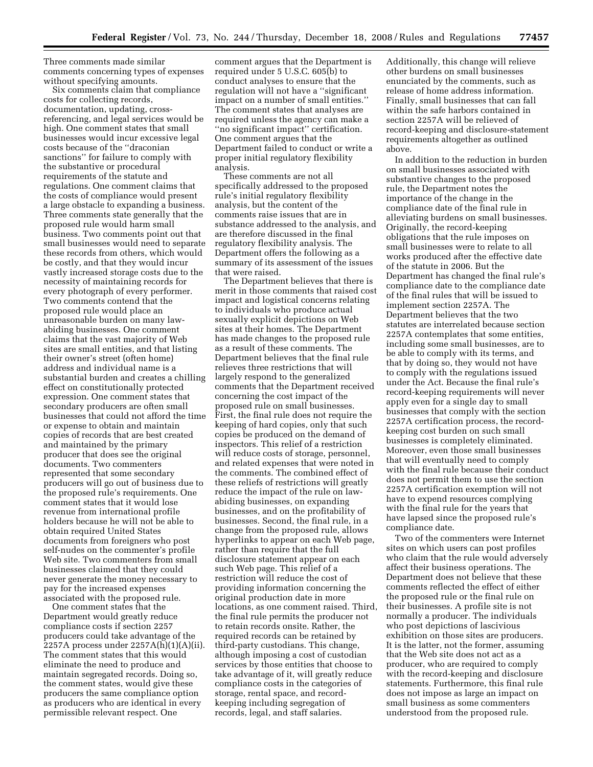Three comments made similar comments concerning types of expenses without specifying amounts.

Six comments claim that compliance costs for collecting records, documentation, updating, crossreferencing, and legal services would be high. One comment states that small businesses would incur excessive legal costs because of the ''draconian sanctions'' for failure to comply with the substantive or procedural requirements of the statute and regulations. One comment claims that the costs of compliance would present a large obstacle to expanding a business. Three comments state generally that the proposed rule would harm small business. Two comments point out that small businesses would need to separate these records from others, which would be costly, and that they would incur vastly increased storage costs due to the necessity of maintaining records for every photograph of every performer. Two comments contend that the proposed rule would place an unreasonable burden on many lawabiding businesses. One comment claims that the vast majority of Web sites are small entities, and that listing their owner's street (often home) address and individual name is a substantial burden and creates a chilling effect on constitutionally protected expression. One comment states that secondary producers are often small businesses that could not afford the time or expense to obtain and maintain copies of records that are best created and maintained by the primary producer that does see the original documents. Two commenters represented that some secondary producers will go out of business due to the proposed rule's requirements. One comment states that it would lose revenue from international profile holders because he will not be able to obtain required United States documents from foreigners who post self-nudes on the commenter's profile Web site. Two commenters from small businesses claimed that they could never generate the money necessary to pay for the increased expenses associated with the proposed rule.

One comment states that the Department would greatly reduce compliance costs if section 2257 producers could take advantage of the 2257A process under 2257A(h)(1)(A)(ii). The comment states that this would eliminate the need to produce and maintain segregated records. Doing so, the comment states, would give these producers the same compliance option as producers who are identical in every permissible relevant respect. One

comment argues that the Department is required under 5 U.S.C. 605(b) to conduct analyses to ensure that the regulation will not have a ''significant impact on a number of small entities.'' The comment states that analyses are required unless the agency can make a ''no significant impact'' certification. One comment argues that the Department failed to conduct or write a proper initial regulatory flexibility analysis.

These comments are not all specifically addressed to the proposed rule's initial regulatory flexibility analysis, but the content of the comments raise issues that are in substance addressed to the analysis, and are therefore discussed in the final regulatory flexibility analysis. The Department offers the following as a summary of its assessment of the issues that were raised.

The Department believes that there is merit in those comments that raised cost impact and logistical concerns relating to individuals who produce actual sexually explicit depictions on Web sites at their homes. The Department has made changes to the proposed rule as a result of these comments. The Department believes that the final rule relieves three restrictions that will largely respond to the generalized comments that the Department received concerning the cost impact of the proposed rule on small businesses. First, the final rule does not require the keeping of hard copies, only that such copies be produced on the demand of inspectors. This relief of a restriction will reduce costs of storage, personnel, and related expenses that were noted in the comments. The combined effect of these reliefs of restrictions will greatly reduce the impact of the rule on lawabiding businesses, on expanding businesses, and on the profitability of businesses. Second, the final rule, in a change from the proposed rule, allows hyperlinks to appear on each Web page, rather than require that the full disclosure statement appear on each such Web page. This relief of a restriction will reduce the cost of providing information concerning the original production date in more locations, as one comment raised. Third, the final rule permits the producer not to retain records onsite. Rather, the required records can be retained by third-party custodians. This change, although imposing a cost of custodian services by those entities that choose to take advantage of it, will greatly reduce compliance costs in the categories of storage, rental space, and recordkeeping including segregation of records, legal, and staff salaries.

Additionally, this change will relieve other burdens on small businesses enunciated by the comments, such as release of home address information. Finally, small businesses that can fall within the safe harbors contained in section 2257A will be relieved of record-keeping and disclosure-statement requirements altogether as outlined above.

In addition to the reduction in burden on small businesses associated with substantive changes to the proposed rule, the Department notes the importance of the change in the compliance date of the final rule in alleviating burdens on small businesses. Originally, the record-keeping obligations that the rule imposes on small businesses were to relate to all works produced after the effective date of the statute in 2006. But the Department has changed the final rule's compliance date to the compliance date of the final rules that will be issued to implement section 2257A. The Department believes that the two statutes are interrelated because section 2257A contemplates that some entities, including some small businesses, are to be able to comply with its terms, and that by doing so, they would not have to comply with the regulations issued under the Act. Because the final rule's record-keeping requirements will never apply even for a single day to small businesses that comply with the section 2257A certification process, the recordkeeping cost burden on such small businesses is completely eliminated. Moreover, even those small businesses that will eventually need to comply with the final rule because their conduct does not permit them to use the section 2257A certification exemption will not have to expend resources complying with the final rule for the years that have lapsed since the proposed rule's compliance date.

Two of the commenters were Internet sites on which users can post profiles who claim that the rule would adversely affect their business operations. The Department does not believe that these comments reflected the effect of either the proposed rule or the final rule on their businesses. A profile site is not normally a producer. The individuals who post depictions of lascivious exhibition on those sites are producers. It is the latter, not the former, assuming that the Web site does not act as a producer, who are required to comply with the record-keeping and disclosure statements. Furthermore, this final rule does not impose as large an impact on small business as some commenters understood from the proposed rule.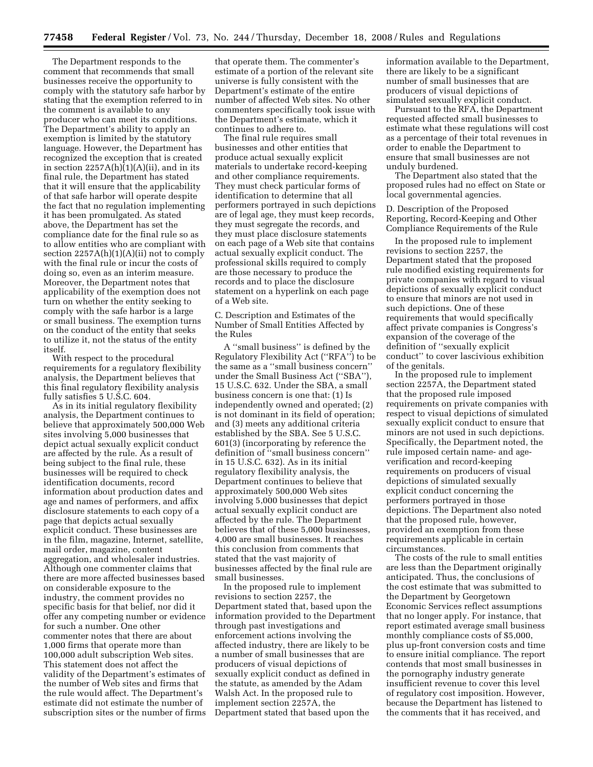The Department responds to the comment that recommends that small businesses receive the opportunity to comply with the statutory safe harbor by stating that the exemption referred to in the comment is available to any producer who can meet its conditions. The Department's ability to apply an exemption is limited by the statutory language. However, the Department has recognized the exception that is created in section 2257A(h)(1)(A)(ii), and in its final rule, the Department has stated that it will ensure that the applicability of that safe harbor will operate despite the fact that no regulation implementing it has been promulgated. As stated above, the Department has set the compliance date for the final rule so as to allow entities who are compliant with section  $2257A(h)(1)(A)(ii)$  not to comply with the final rule or incur the costs of doing so, even as an interim measure. Moreover, the Department notes that applicability of the exemption does not turn on whether the entity seeking to comply with the safe harbor is a large or small business. The exemption turns on the conduct of the entity that seeks to utilize it, not the status of the entity itself.

With respect to the procedural requirements for a regulatory flexibility analysis, the Department believes that this final regulatory flexibility analysis fully satisfies 5 U.S.C. 604.

As in its initial regulatory flexibility analysis, the Department continues to believe that approximately 500,000 Web sites involving 5,000 businesses that depict actual sexually explicit conduct are affected by the rule. As a result of being subject to the final rule, these businesses will be required to check identification documents, record information about production dates and age and names of performers, and affix disclosure statements to each copy of a page that depicts actual sexually explicit conduct. These businesses are in the film, magazine, Internet, satellite, mail order, magazine, content aggregation, and wholesaler industries. Although one commenter claims that there are more affected businesses based on considerable exposure to the industry, the comment provides no specific basis for that belief, nor did it offer any competing number or evidence for such a number. One other commenter notes that there are about 1,000 firms that operate more than 100,000 adult subscription Web sites. This statement does not affect the validity of the Department's estimates of the number of Web sites and firms that the rule would affect. The Department's estimate did not estimate the number of subscription sites or the number of firms

that operate them. The commenter's estimate of a portion of the relevant site universe is fully consistent with the Department's estimate of the entire number of affected Web sites. No other commenters specifically took issue with the Department's estimate, which it continues to adhere to.

The final rule requires small businesses and other entities that produce actual sexually explicit materials to undertake record-keeping and other compliance requirements. They must check particular forms of identification to determine that all performers portrayed in such depictions are of legal age, they must keep records, they must segregate the records, and they must place disclosure statements on each page of a Web site that contains actual sexually explicit conduct. The professional skills required to comply are those necessary to produce the records and to place the disclosure statement on a hyperlink on each page of a Web site.

C. Description and Estimates of the Number of Small Entities Affected by the Rules

A ''small business'' is defined by the Regulatory Flexibility Act (''RFA'') to be the same as a ''small business concern'' under the Small Business Act (''SBA''), 15 U.S.C. 632. Under the SBA, a small business concern is one that: (1) Is independently owned and operated; (2) is not dominant in its field of operation; and (3) meets any additional criteria established by the SBA. See 5 U.S.C. 601(3) (incorporating by reference the definition of ''small business concern'' in 15 U.S.C. 632). As in its initial regulatory flexibility analysis, the Department continues to believe that approximately 500,000 Web sites involving 5,000 businesses that depict actual sexually explicit conduct are affected by the rule. The Department believes that of these 5,000 businesses, 4,000 are small businesses. It reaches this conclusion from comments that stated that the vast majority of businesses affected by the final rule are small businesses.

In the proposed rule to implement revisions to section 2257, the Department stated that, based upon the information provided to the Department through past investigations and enforcement actions involving the affected industry, there are likely to be a number of small businesses that are producers of visual depictions of sexually explicit conduct as defined in the statute, as amended by the Adam Walsh Act. In the proposed rule to implement section 2257A, the Department stated that based upon the

information available to the Department, there are likely to be a significant number of small businesses that are producers of visual depictions of simulated sexually explicit conduct.

Pursuant to the RFA, the Department requested affected small businesses to estimate what these regulations will cost as a percentage of their total revenues in order to enable the Department to ensure that small businesses are not unduly burdened.

The Department also stated that the proposed rules had no effect on State or local governmental agencies.

D. Description of the Proposed Reporting, Record-Keeping and Other Compliance Requirements of the Rule

In the proposed rule to implement revisions to section 2257, the Department stated that the proposed rule modified existing requirements for private companies with regard to visual depictions of sexually explicit conduct to ensure that minors are not used in such depictions. One of these requirements that would specifically affect private companies is Congress's expansion of the coverage of the definition of ''sexually explicit conduct'' to cover lascivious exhibition of the genitals.

In the proposed rule to implement section 2257A, the Department stated that the proposed rule imposed requirements on private companies with respect to visual depictions of simulated sexually explicit conduct to ensure that minors are not used in such depictions. Specifically, the Department noted, the rule imposed certain name- and ageverification and record-keeping requirements on producers of visual depictions of simulated sexually explicit conduct concerning the performers portrayed in those depictions. The Department also noted that the proposed rule, however, provided an exemption from these requirements applicable in certain circumstances.

The costs of the rule to small entities are less than the Department originally anticipated. Thus, the conclusions of the cost estimate that was submitted to the Department by Georgetown Economic Services reflect assumptions that no longer apply. For instance, that report estimated average small business monthly compliance costs of \$5,000, plus up-front conversion costs and time to ensure initial compliance. The report contends that most small businesses in the pornography industry generate insufficient revenue to cover this level of regulatory cost imposition. However, because the Department has listened to the comments that it has received, and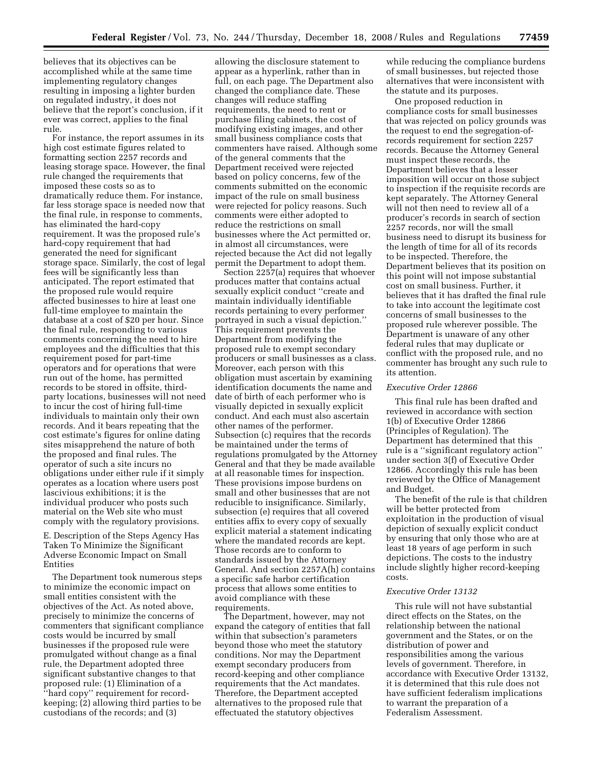believes that its objectives can be accomplished while at the same time implementing regulatory changes resulting in imposing a lighter burden on regulated industry, it does not believe that the report's conclusion, if it ever was correct, applies to the final rule.

For instance, the report assumes in its high cost estimate figures related to formatting section 2257 records and leasing storage space. However, the final rule changed the requirements that imposed these costs so as to dramatically reduce them. For instance, far less storage space is needed now that the final rule, in response to comments, has eliminated the hard-copy requirement. It was the proposed rule's hard-copy requirement that had generated the need for significant storage space. Similarly, the cost of legal fees will be significantly less than anticipated. The report estimated that the proposed rule would require affected businesses to hire at least one full-time employee to maintain the database at a cost of \$20 per hour. Since the final rule, responding to various comments concerning the need to hire employees and the difficulties that this requirement posed for part-time operators and for operations that were run out of the home, has permitted records to be stored in offsite, thirdparty locations, businesses will not need to incur the cost of hiring full-time individuals to maintain only their own records. And it bears repeating that the cost estimate's figures for online dating sites misapprehend the nature of both the proposed and final rules. The operator of such a site incurs no obligations under either rule if it simply operates as a location where users post lascivious exhibitions; it is the individual producer who posts such material on the Web site who must comply with the regulatory provisions.

E. Description of the Steps Agency Has Taken To Minimize the Significant Adverse Economic Impact on Small Entities

The Department took numerous steps to minimize the economic impact on small entities consistent with the objectives of the Act. As noted above, precisely to minimize the concerns of commenters that significant compliance costs would be incurred by small businesses if the proposed rule were promulgated without change as a final rule, the Department adopted three significant substantive changes to that proposed rule: (1) Elimination of a ''hard copy'' requirement for recordkeeping; (2) allowing third parties to be custodians of the records; and (3)

allowing the disclosure statement to appear as a hyperlink, rather than in full, on each page. The Department also changed the compliance date. These changes will reduce staffing requirements, the need to rent or purchase filing cabinets, the cost of modifying existing images, and other small business compliance costs that commenters have raised. Although some of the general comments that the Department received were rejected based on policy concerns, few of the comments submitted on the economic impact of the rule on small business were rejected for policy reasons. Such comments were either adopted to reduce the restrictions on small businesses where the Act permitted or, in almost all circumstances, were rejected because the Act did not legally permit the Department to adopt them.

Section 2257(a) requires that whoever produces matter that contains actual sexually explicit conduct ''create and maintain individually identifiable records pertaining to every performer portrayed in such a visual depiction.'' This requirement prevents the Department from modifying the proposed rule to exempt secondary producers or small businesses as a class. Moreover, each person with this obligation must ascertain by examining identification documents the name and date of birth of each performer who is visually depicted in sexually explicit conduct. And each must also ascertain other names of the performer. Subsection (c) requires that the records be maintained under the terms of regulations promulgated by the Attorney General and that they be made available at all reasonable times for inspection. These provisions impose burdens on small and other businesses that are not reducible to insignificance. Similarly, subsection (e) requires that all covered entities affix to every copy of sexually explicit material a statement indicating where the mandated records are kept. Those records are to conform to standards issued by the Attorney General. And section 2257A(h) contains a specific safe harbor certification process that allows some entities to avoid compliance with these requirements.

The Department, however, may not expand the category of entities that fall within that subsection's parameters beyond those who meet the statutory conditions. Nor may the Department exempt secondary producers from record-keeping and other compliance requirements that the Act mandates. Therefore, the Department accepted alternatives to the proposed rule that effectuated the statutory objectives

while reducing the compliance burdens of small businesses, but rejected those alternatives that were inconsistent with the statute and its purposes.

One proposed reduction in compliance costs for small businesses that was rejected on policy grounds was the request to end the segregation-ofrecords requirement for section 2257 records. Because the Attorney General must inspect these records, the Department believes that a lesser imposition will occur on those subject to inspection if the requisite records are kept separately. The Attorney General will not then need to review all of a producer's records in search of section 2257 records, nor will the small business need to disrupt its business for the length of time for all of its records to be inspected. Therefore, the Department believes that its position on this point will not impose substantial cost on small business. Further, it believes that it has drafted the final rule to take into account the legitimate cost concerns of small businesses to the proposed rule wherever possible. The Department is unaware of any other federal rules that may duplicate or conflict with the proposed rule, and no commenter has brought any such rule to its attention.

#### *Executive Order 12866*

This final rule has been drafted and reviewed in accordance with section 1(b) of Executive Order 12866 (Principles of Regulation). The Department has determined that this rule is a ''significant regulatory action'' under section 3(f) of Executive Order 12866. Accordingly this rule has been reviewed by the Office of Management and Budget.

The benefit of the rule is that children will be better protected from exploitation in the production of visual depiction of sexually explicit conduct by ensuring that only those who are at least 18 years of age perform in such depictions. The costs to the industry include slightly higher record-keeping costs.

#### *Executive Order 13132*

This rule will not have substantial direct effects on the States, on the relationship between the national government and the States, or on the distribution of power and responsibilities among the various levels of government. Therefore, in accordance with Executive Order 13132, it is determined that this rule does not have sufficient federalism implications to warrant the preparation of a Federalism Assessment.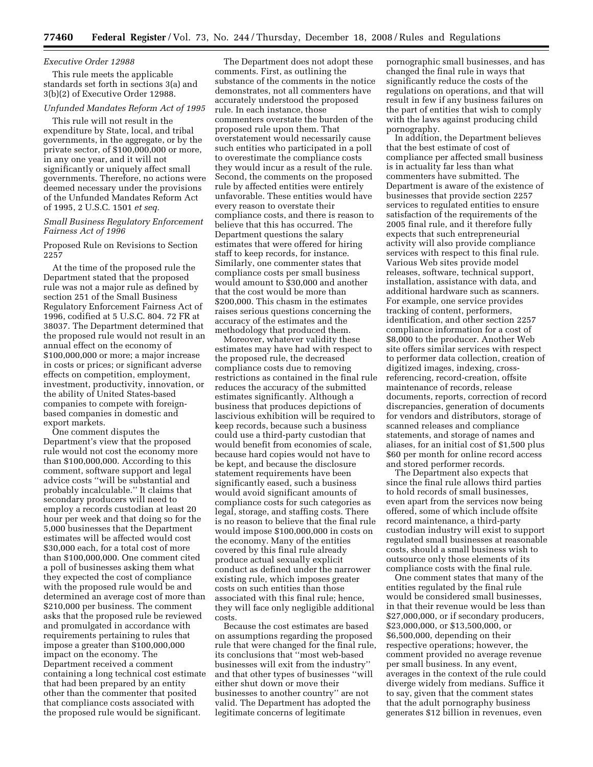#### *Executive Order 12988*

This rule meets the applicable standards set forth in sections 3(a) and 3(b)(2) of Executive Order 12988.

#### *Unfunded Mandates Reform Act of 1995*

This rule will not result in the expenditure by State, local, and tribal governments, in the aggregate, or by the private sector, of \$100,000,000 or more, in any one year, and it will not significantly or uniquely affect small governments. Therefore, no actions were deemed necessary under the provisions of the Unfunded Mandates Reform Act of 1995, 2 U.S.C. 1501 *et seq.* 

#### *Small Business Regulatory Enforcement Fairness Act of 1996*

Proposed Rule on Revisions to Section 2257

At the time of the proposed rule the Department stated that the proposed rule was not a major rule as defined by section 251 of the Small Business Regulatory Enforcement Fairness Act of 1996, codified at 5 U.S.C. 804. 72 FR at 38037. The Department determined that the proposed rule would not result in an annual effect on the economy of \$100,000,000 or more; a major increase in costs or prices; or significant adverse effects on competition, employment, investment, productivity, innovation, or the ability of United States-based companies to compete with foreignbased companies in domestic and export markets.

One comment disputes the Department's view that the proposed rule would not cost the economy more than \$100,000,000. According to this comment, software support and legal advice costs ''will be substantial and probably incalculable.'' It claims that secondary producers will need to employ a records custodian at least 20 hour per week and that doing so for the 5,000 businesses that the Department estimates will be affected would cost \$30,000 each, for a total cost of more than \$100,000,000. One comment cited a poll of businesses asking them what they expected the cost of compliance with the proposed rule would be and determined an average cost of more than \$210,000 per business. The comment asks that the proposed rule be reviewed and promulgated in accordance with requirements pertaining to rules that impose a greater than \$100,000,000 impact on the economy. The Department received a comment containing a long technical cost estimate that had been prepared by an entity other than the commenter that posited that compliance costs associated with the proposed rule would be significant.

The Department does not adopt these comments. First, as outlining the substance of the comments in the notice demonstrates, not all commenters have accurately understood the proposed rule. In each instance, those commenters overstate the burden of the proposed rule upon them. That overstatement would necessarily cause such entities who participated in a poll to overestimate the compliance costs they would incur as a result of the rule. Second, the comments on the proposed rule by affected entities were entirely unfavorable. These entities would have every reason to overstate their compliance costs, and there is reason to believe that this has occurred. The Department questions the salary estimates that were offered for hiring staff to keep records, for instance. Similarly, one commenter states that compliance costs per small business would amount to \$30,000 and another that the cost would be more than \$200,000. This chasm in the estimates raises serious questions concerning the accuracy of the estimates and the methodology that produced them.

Moreover, whatever validity these estimates may have had with respect to the proposed rule, the decreased compliance costs due to removing restrictions as contained in the final rule reduces the accuracy of the submitted estimates significantly. Although a business that produces depictions of lascivious exhibition will be required to keep records, because such a business could use a third-party custodian that would benefit from economies of scale, because hard copies would not have to be kept, and because the disclosure statement requirements have been significantly eased, such a business would avoid significant amounts of compliance costs for such categories as legal, storage, and staffing costs. There is no reason to believe that the final rule would impose \$100,000,000 in costs on the economy. Many of the entities covered by this final rule already produce actual sexually explicit conduct as defined under the narrower existing rule, which imposes greater costs on such entities than those associated with this final rule; hence, they will face only negligible additional costs.

Because the cost estimates are based on assumptions regarding the proposed rule that were changed for the final rule, its conclusions that ''most web-based businesses will exit from the industry'' and that other types of businesses ''will either shut down or move their businesses to another country'' are not valid. The Department has adopted the legitimate concerns of legitimate

pornographic small businesses, and has changed the final rule in ways that significantly reduce the costs of the regulations on operations, and that will result in few if any business failures on the part of entities that wish to comply with the laws against producing child pornography.

In addition, the Department believes that the best estimate of cost of compliance per affected small business is in actuality far less than what commenters have submitted. The Department is aware of the existence of businesses that provide section 2257 services to regulated entities to ensure satisfaction of the requirements of the 2005 final rule, and it therefore fully expects that such entrepreneurial activity will also provide compliance services with respect to this final rule. Various Web sites provide model releases, software, technical support, installation, assistance with data, and additional hardware such as scanners. For example, one service provides tracking of content, performers, identification, and other section 2257 compliance information for a cost of \$8,000 to the producer. Another Web site offers similar services with respect to performer data collection, creation of digitized images, indexing, crossreferencing, record-creation, offsite maintenance of records, release documents, reports, correction of record discrepancies, generation of documents for vendors and distributors, storage of scanned releases and compliance statements, and storage of names and aliases, for an initial cost of \$1,500 plus \$60 per month for online record access and stored performer records.

The Department also expects that since the final rule allows third parties to hold records of small businesses, even apart from the services now being offered, some of which include offsite record maintenance, a third-party custodian industry will exist to support regulated small businesses at reasonable costs, should a small business wish to outsource only those elements of its compliance costs with the final rule.

One comment states that many of the entities regulated by the final rule would be considered small businesses, in that their revenue would be less than \$27,000,000, or if secondary producers, \$23,000,000, or \$13,500,000, or \$6,500,000, depending on their respective operations; however, the comment provided no average revenue per small business. In any event, averages in the context of the rule could diverge widely from medians. Suffice it to say, given that the comment states that the adult pornography business generates \$12 billion in revenues, even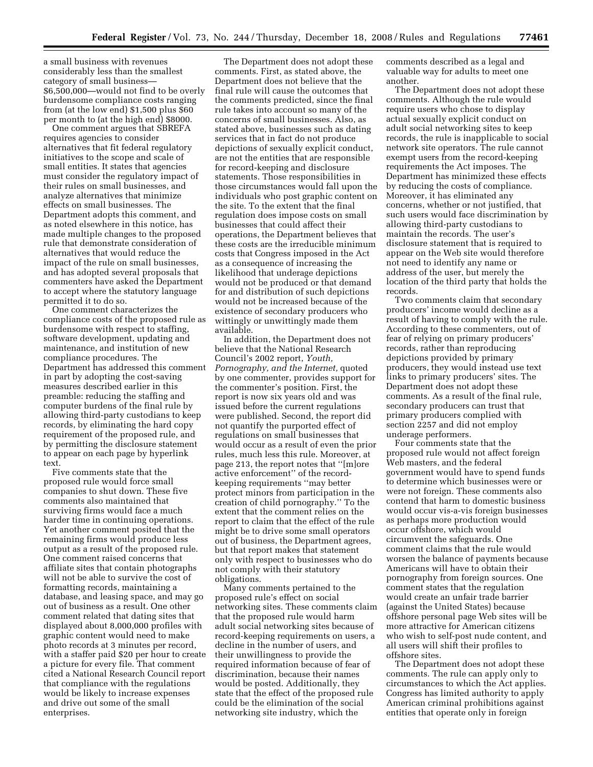a small business with revenues considerably less than the smallest category of small business— \$6,500,000—would not find to be overly burdensome compliance costs ranging from (at the low end) \$1,500 plus \$60 per month to (at the high end) \$8000.

One comment argues that SBREFA requires agencies to consider alternatives that fit federal regulatory initiatives to the scope and scale of small entities. It states that agencies must consider the regulatory impact of their rules on small businesses, and analyze alternatives that minimize effects on small businesses. The Department adopts this comment, and as noted elsewhere in this notice, has made multiple changes to the proposed rule that demonstrate consideration of alternatives that would reduce the impact of the rule on small businesses, and has adopted several proposals that commenters have asked the Department to accept where the statutory language permitted it to do so.

One comment characterizes the compliance costs of the proposed rule as burdensome with respect to staffing, software development, updating and maintenance, and institution of new compliance procedures. The Department has addressed this comment in part by adopting the cost-saving measures described earlier in this preamble: reducing the staffing and computer burdens of the final rule by allowing third-party custodians to keep records, by eliminating the hard copy requirement of the proposed rule, and by permitting the disclosure statement to appear on each page by hyperlink text.

Five comments state that the proposed rule would force small companies to shut down. These five comments also maintained that surviving firms would face a much harder time in continuing operations. Yet another comment posited that the remaining firms would produce less output as a result of the proposed rule. One comment raised concerns that affiliate sites that contain photographs will not be able to survive the cost of formatting records, maintaining a database, and leasing space, and may go out of business as a result. One other comment related that dating sites that displayed about 8,000,000 profiles with graphic content would need to make photo records at 3 minutes per record, with a staffer paid \$20 per hour to create a picture for every file. That comment cited a National Research Council report that compliance with the regulations would be likely to increase expenses and drive out some of the small enterprises.

The Department does not adopt these comments. First, as stated above, the Department does not believe that the final rule will cause the outcomes that the comments predicted, since the final rule takes into account so many of the concerns of small businesses. Also, as stated above, businesses such as dating services that in fact do not produce depictions of sexually explicit conduct, are not the entities that are responsible for record-keeping and disclosure statements. Those responsibilities in those circumstances would fall upon the individuals who post graphic content on the site. To the extent that the final regulation does impose costs on small businesses that could affect their operations, the Department believes that these costs are the irreducible minimum costs that Congress imposed in the Act as a consequence of increasing the likelihood that underage depictions would not be produced or that demand for and distribution of such depictions would not be increased because of the existence of secondary producers who wittingly or unwittingly made them available.

In addition, the Department does not believe that the National Research Council's 2002 report, *Youth, Pornography, and the Internet,* quoted by one commenter, provides support for the commenter's position. First, the report is now six years old and was issued before the current regulations were published. Second, the report did not quantify the purported effect of regulations on small businesses that would occur as a result of even the prior rules, much less this rule. Moreover, at page 213, the report notes that ''[m]ore active enforcement'' of the recordkeeping requirements ''may better protect minors from participation in the creation of child pornography.'' To the extent that the comment relies on the report to claim that the effect of the rule might be to drive some small operators out of business, the Department agrees, but that report makes that statement only with respect to businesses who do not comply with their statutory obligations.

Many comments pertained to the proposed rule's effect on social networking sites. These comments claim that the proposed rule would harm adult social networking sites because of record-keeping requirements on users, a decline in the number of users, and their unwillingness to provide the required information because of fear of discrimination, because their names would be posted. Additionally, they state that the effect of the proposed rule could be the elimination of the social networking site industry, which the

comments described as a legal and valuable way for adults to meet one another.

The Department does not adopt these comments. Although the rule would require users who chose to display actual sexually explicit conduct on adult social networking sites to keep records, the rule is inapplicable to social network site operators. The rule cannot exempt users from the record-keeping requirements the Act imposes. The Department has minimized these effects by reducing the costs of compliance. Moreover, it has eliminated any concerns, whether or not justified, that such users would face discrimination by allowing third-party custodians to maintain the records. The user's disclosure statement that is required to appear on the Web site would therefore not need to identify any name or address of the user, but merely the location of the third party that holds the records.

Two comments claim that secondary producers' income would decline as a result of having to comply with the rule. According to these commenters, out of fear of relying on primary producers' records, rather than reproducing depictions provided by primary producers, they would instead use text links to primary producers' sites. The Department does not adopt these comments. As a result of the final rule, secondary producers can trust that primary producers complied with section 2257 and did not employ underage performers.

Four comments state that the proposed rule would not affect foreign Web masters, and the federal government would have to spend funds to determine which businesses were or were not foreign. These comments also contend that harm to domestic business would occur vis-a-vis foreign businesses as perhaps more production would occur offshore, which would circumvent the safeguards. One comment claims that the rule would worsen the balance of payments because Americans will have to obtain their pornography from foreign sources. One comment states that the regulation would create an unfair trade barrier (against the United States) because offshore personal page Web sites will be more attractive for American citizens who wish to self-post nude content, and all users will shift their profiles to offshore sites.

The Department does not adopt these comments. The rule can apply only to circumstances to which the Act applies. Congress has limited authority to apply American criminal prohibitions against entities that operate only in foreign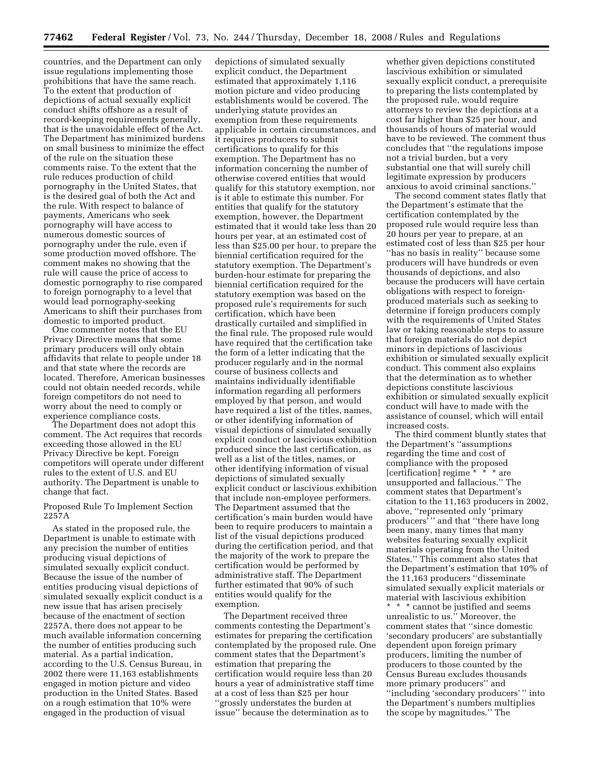countries, and the Department can only issue regulations implementing those prohibitions that have the same reach. To the extent that production of depictions of actual sexually explicit conduct shifts offshore as a result of record-keeping requirements generally, that is the unavoidable effect of the Act. The Department has minimized burdens on small business to minimize the effect of the rule on the situation these comments raise. To the extent that the rule reduces production of child pornography in the United States, that is the desired goal of both the Act and the rule. With respect to balance of payments, Americans who seek pornography will have access to numerous domestic sources of pornography under the rule, even if some production moved offshore. The comment makes no showing that the rule will cause the price of access to domestic pornography to rise compared to foreign pornography to a level that would lead pornography-seeking Americans to shift their purchases from domestic to imported product.

One commenter notes that the EU Privacy Directive means that some primary producers will only obtain affidavits that relate to people under 18 and that state where the records are located. Therefore, American businesses could not obtain needed records, while foreign competitors do not need to worry about the need to comply or experience compliance costs.

The Department does not adopt this comment. The Act requires that records exceeding those allowed in the EU Privacy Directive be kept. Foreign competitors will operate under different rules to the extent of U.S. and EU authority. The Department is unable to change that fact.

#### Proposed Rule To Implement Section 2257A

As stated in the proposed rule, the Department is unable to estimate with any precision the number of entities producing visual depictions of simulated sexually explicit conduct. Because the issue of the number of entities producing visual depictions of simulated sexually explicit conduct is a new issue that has arisen precisely because of the enactment of section 2257A, there does not appear to be much available information concerning the number of entities producing such material. As a partial indication, according to the U.S. Census Bureau, in 2002 there were 11,163 establishments engaged in motion picture and video production in the United States. Based on a rough estimation that 10% were engaged in the production of visual

depictions of simulated sexually explicit conduct, the Department estimated that approximately 1,116 motion picture and video producing establishments would be covered. The underlying statute provides an exemption from these requirements applicable in certain circumstances, and it requires producers to submit certifications to qualify for this exemption. The Department has no information concerning the number of otherwise covered entities that would qualify for this statutory exemption, nor is it able to estimate this number. For entities that qualify for the statutory exemption, however, the Department estimated that it would take less than 20 hours per year, at an estimated cost of less than \$25.00 per hour, to prepare the biennial certification required for the statutory exemption. The Department's burden-hour estimate for preparing the biennial certification required for the statutory exemption was based on the proposed rule's requirements for such certification, which have been drastically curtailed and simplified in the final rule. The proposed rule would have required that the certification take the form of a letter indicating that the producer regularly and in the normal course of business collects and maintains individually identifiable information regarding all performers employed by that person, and would have required a list of the titles, names, or other identifying information of visual depictions of simulated sexually explicit conduct or lascivious exhibition produced since the last certification, as well as a list of the titles, names, or other identifying information of visual depictions of simulated sexually explicit conduct or lascivious exhibition that include non-employee performers. The Department assumed that the certification's main burden would have been to require producers to maintain a list of the visual depictions produced during the certification period, and that the majority of the work to prepare the certification would be performed by administrative staff. The Department further estimated that 90% of such entities would qualify for the exemption.

The Department received three comments contesting the Department's estimates for preparing the certification contemplated by the proposed rule. One comment states that the Department's estimation that preparing the certification would require less than 20 hours a year of administrative staff time at a cost of less than \$25 per hour ''grossly understates the burden at issue'' because the determination as to

whether given depictions constituted lascivious exhibition or simulated sexually explicit conduct, a prerequisite to preparing the lists contemplated by the proposed rule, would require attorneys to review the depictions at a cost far higher than \$25 per hour, and thousands of hours of material would have to be reviewed. The comment thus concludes that ''the regulations impose not a trivial burden, but a very substantial one that will surely chill legitimate expression by producers anxious to avoid criminal sanctions.''

The second comment states flatly that the Department's estimate that the certification contemplated by the proposed rule would require less than 20 hours per year to prepare, at an estimated cost of less than \$25 per hour ''has no basis in reality'' because some producers will have hundreds or even thousands of depictions, and also because the producers will have certain obligations with respect to foreignproduced materials such as seeking to determine if foreign producers comply with the requirements of United States law or taking reasonable steps to assure that foreign materials do not depict minors in depictions of lascivious exhibition or simulated sexually explicit conduct. This comment also explains that the determination as to whether depictions constitute lascivious exhibition or simulated sexually explicit conduct will have to made with the assistance of counsel, which will entail increased costs.

The third comment bluntly states that the Department's ''assumptions regarding the time and cost of compliance with the proposed [certification] regime  $* * *$  are unsupported and fallacious.'' The comment states that Department's citation to the 11,163 producers in 2002, above, ''represented only 'primary producers' '' and that ''there have long been many, many times that many websites featuring sexually explicit materials operating from the United States.'' This comment also states that the Department's estimation that 10% of the 11,163 producers ''disseminate simulated sexually explicit materials or material with lascivious exhibition

\* \* \* cannot be justified and seems unrealistic to us.'' Moreover, the comment states that ''since domestic 'secondary producers' are substantially dependent upon foreign primary producers, limiting the number of producers to those counted by the Census Bureau excludes thousands more primary producers'' and ''including 'secondary producers' '' into the Department's numbers multiplies the scope by magnitudes.'' The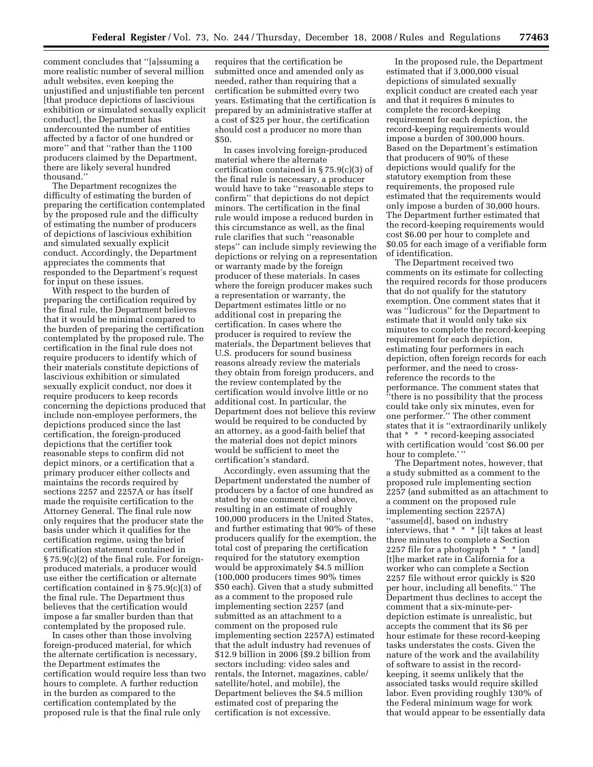comment concludes that ''[a]ssuming a more realistic number of several million adult websites, even keeping the unjustified and unjustifiable ten percent [that produce depictions of lascivious exhibition or simulated sexually explicit conduct], the Department has undercounted the number of entities affected by a factor of one hundred or more'' and that ''rather than the 1100 producers claimed by the Department, there are likely several hundred thousand.''

The Department recognizes the difficulty of estimating the burden of preparing the certification contemplated by the proposed rule and the difficulty of estimating the number of producers of depictions of lascivious exhibition and simulated sexually explicit conduct. Accordingly, the Department appreciates the comments that responded to the Department's request for input on these issues.

With respect to the burden of preparing the certification required by the final rule, the Department believes that it would be minimal compared to the burden of preparing the certification contemplated by the proposed rule. The certification in the final rule does not require producers to identify which of their materials constitute depictions of lascivious exhibition or simulated sexually explicit conduct, nor does it require producers to keep records concerning the depictions produced that include non-employee performers, the depictions produced since the last certification, the foreign-produced depictions that the certifier took reasonable steps to confirm did not depict minors, or a certification that a primary producer either collects and maintains the records required by sections 2257 and 2257A or has itself made the requisite certification to the Attorney General. The final rule now only requires that the producer state the basis under which it qualifies for the certification regime, using the brief certification statement contained in § 75.9(c)(2) of the final rule. For foreignproduced materials, a producer would use either the certification or alternate certification contained in § 75.9(c)(3) of the final rule. The Department thus believes that the certification would impose a far smaller burden than that contemplated by the proposed rule.

In cases other than those involving foreign-produced material, for which the alternate certification is necessary, the Department estimates the certification would require less than two hours to complete. A further reduction in the burden as compared to the certification contemplated by the proposed rule is that the final rule only

requires that the certification be submitted once and amended only as needed, rather than requiring that a certification be submitted every two years. Estimating that the certification is prepared by an administrative staffer at a cost of \$25 per hour, the certification should cost a producer no more than \$50.

In cases involving foreign-produced material where the alternate certification contained in § 75.9(c)(3) of the final rule is necessary, a producer would have to take ''reasonable steps to confirm'' that depictions do not depict minors. The certification in the final rule would impose a reduced burden in this circumstance as well, as the final rule clarifies that such ''reasonable steps'' can include simply reviewing the depictions or relying on a representation or warranty made by the foreign producer of these materials. In cases where the foreign producer makes such a representation or warranty, the Department estimates little or no additional cost in preparing the certification. In cases where the producer is required to review the materials, the Department believes that U.S. producers for sound business reasons already review the materials they obtain from foreign producers, and the review contemplated by the certification would involve little or no additional cost. In particular, the Department does not believe this review would be required to be conducted by an attorney, as a good-faith belief that the material does not depict minors would be sufficient to meet the certification's standard.

Accordingly, even assuming that the Department understated the number of producers by a factor of one hundred as stated by one comment cited above, resulting in an estimate of roughly 100,000 producers in the United States, and further estimating that 90% of these producers qualify for the exemption, the total cost of preparing the certification required for the statutory exemption would be approximately \$4.5 million (100,000 producers times 90% times \$50 each). Given that a study submitted as a comment to the proposed rule implementing section 2257 (and submitted as an attachment to a comment on the proposed rule implementing section 2257A) estimated that the adult industry had revenues of \$12.9 billion in 2006 (\$9.2 billion from sectors including: video sales and rentals, the Internet, magazines, cable/ satellite/hotel, and mobile), the Department believes the \$4.5 million estimated cost of preparing the certification is not excessive.

In the proposed rule, the Department estimated that if 3,000,000 visual depictions of simulated sexually explicit conduct are created each year and that it requires 6 minutes to complete the record-keeping requirement for each depiction, the record-keeping requirements would impose a burden of 300,000 hours. Based on the Department's estimation that producers of 90% of these depictions would qualify for the statutory exemption from these requirements, the proposed rule estimated that the requirements would only impose a burden of 30,000 hours. The Department further estimated that the record-keeping requirements would cost \$6.00 per hour to complete and \$0.05 for each image of a verifiable form of identification.

The Department received two comments on its estimate for collecting the required records for those producers that do not qualify for the statutory exemption. One comment states that it was ''ludicrous'' for the Department to estimate that it would only take six minutes to complete the record-keeping requirement for each depiction, estimating four performers in each depiction, often foreign records for each performer, and the need to crossreference the records to the performance. The comment states that ''there is no possibility that the process could take only six minutes, even for one performer.'' The other comment states that it is ''extraordinarily unlikely that \* \* \* record-keeping associated with certification would 'cost \$6.00 per hour to complete.' ''

The Department notes, however, that a study submitted as a comment to the proposed rule implementing section 2257 (and submitted as an attachment to a comment on the proposed rule implementing section 2257A) ''assume[d], based on industry interviews, that \* \* \* [i]t takes at least three minutes to complete a Section 2257 file for a photograph \* \* \* [and] [t]he market rate in California for a worker who can complete a Section 2257 file without error quickly is \$20 per hour, including all benefits.'' The Department thus declines to accept the comment that a six-minute-perdepiction estimate is unrealistic, but accepts the comment that its \$6 per hour estimate for these record-keeping tasks understates the costs. Given the nature of the work and the availability of software to assist in the recordkeeping, it seems unlikely that the associated tasks would require skilled labor. Even providing roughly 130% of the Federal minimum wage for work that would appear to be essentially data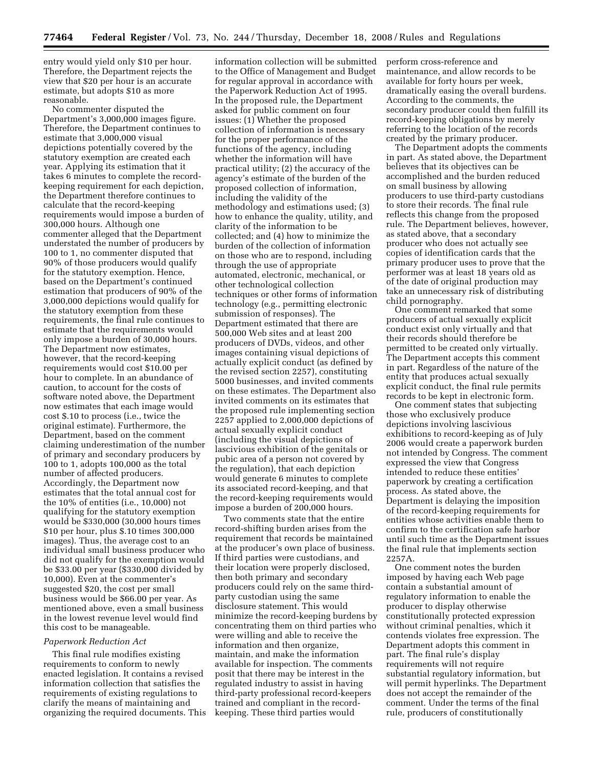entry would yield only \$10 per hour. Therefore, the Department rejects the view that \$20 per hour is an accurate estimate, but adopts \$10 as more reasonable.

No commenter disputed the Department's 3,000,000 images figure. Therefore, the Department continues to estimate that 3,000,000 visual depictions potentially covered by the statutory exemption are created each year. Applying its estimation that it takes 6 minutes to complete the recordkeeping requirement for each depiction, the Department therefore continues to calculate that the record-keeping requirements would impose a burden of 300,000 hours. Although one commenter alleged that the Department understated the number of producers by 100 to 1, no commenter disputed that 90% of those producers would qualify for the statutory exemption. Hence, based on the Department's continued estimation that producers of 90% of the 3,000,000 depictions would qualify for the statutory exemption from these requirements, the final rule continues to estimate that the requirements would only impose a burden of 30,000 hours. The Department now estimates, however, that the record-keeping requirements would cost \$10.00 per hour to complete. In an abundance of caution, to account for the costs of software noted above, the Department now estimates that each image would cost \$.10 to process (i.e., twice the original estimate). Furthermore, the Department, based on the comment claiming underestimation of the number of primary and secondary producers by 100 to 1, adopts 100,000 as the total number of affected producers. Accordingly, the Department now estimates that the total annual cost for the 10% of entities (i.e., 10,000) not qualifying for the statutory exemption would be \$330,000 (30,000 hours times \$10 per hour, plus \$.10 times 300,000 images). Thus, the average cost to an individual small business producer who did not qualify for the exemption would be \$33.00 per year (\$330,000 divided by 10,000). Even at the commenter's suggested \$20, the cost per small business would be \$66.00 per year. As mentioned above, even a small business in the lowest revenue level would find this cost to be manageable.

#### *Paperwork Reduction Act*

This final rule modifies existing requirements to conform to newly enacted legislation. It contains a revised information collection that satisfies the requirements of existing regulations to clarify the means of maintaining and organizing the required documents. This

information collection will be submitted to the Office of Management and Budget for regular approval in accordance with the Paperwork Reduction Act of 1995. In the proposed rule, the Department asked for public comment on four issues: (1) Whether the proposed collection of information is necessary for the proper performance of the functions of the agency, including whether the information will have practical utility; (2) the accuracy of the agency's estimate of the burden of the proposed collection of information, including the validity of the methodology and estimations used; (3) how to enhance the quality, utility, and clarity of the information to be collected; and (4) how to minimize the burden of the collection of information on those who are to respond, including through the use of appropriate automated, electronic, mechanical, or other technological collection techniques or other forms of information technology (e.g., permitting electronic submission of responses). The Department estimated that there are 500,000 Web sites and at least 200 producers of DVDs, videos, and other images containing visual depictions of actually explicit conduct (as defined by the revised section 2257), constituting 5000 businesses, and invited comments on these estimates. The Department also invited comments on its estimates that the proposed rule implementing section 2257 applied to 2,000,000 depictions of actual sexually explicit conduct (including the visual depictions of lascivious exhibition of the genitals or pubic area of a person not covered by the regulation), that each depiction would generate 6 minutes to complete its associated record-keeping, and that the record-keeping requirements would impose a burden of 200,000 hours.

Two comments state that the entire record-shifting burden arises from the requirement that records be maintained at the producer's own place of business. If third parties were custodians, and their location were properly disclosed, then both primary and secondary producers could rely on the same thirdparty custodian using the same disclosure statement. This would minimize the record-keeping burdens by concentrating them on third parties who were willing and able to receive the information and then organize, maintain, and make the information available for inspection. The comments posit that there may be interest in the regulated industry to assist in having third-party professional record-keepers trained and compliant in the recordkeeping. These third parties would

perform cross-reference and maintenance, and allow records to be available for forty hours per week, dramatically easing the overall burdens. According to the comments, the secondary producer could then fulfill its record-keeping obligations by merely referring to the location of the records created by the primary producer.

The Department adopts the comments in part. As stated above, the Department believes that its objectives can be accomplished and the burden reduced on small business by allowing producers to use third-party custodians to store their records. The final rule reflects this change from the proposed rule. The Department believes, however, as stated above, that a secondary producer who does not actually see copies of identification cards that the primary producer uses to prove that the performer was at least 18 years old as of the date of original production may take an unnecessary risk of distributing child pornography.

One comment remarked that some producers of actual sexually explicit conduct exist only virtually and that their records should therefore be permitted to be created only virtually. The Department accepts this comment in part. Regardless of the nature of the entity that produces actual sexually explicit conduct, the final rule permits records to be kept in electronic form.

One comment states that subjecting those who exclusively produce depictions involving lascivious exhibitions to record-keeping as of July 2006 would create a paperwork burden not intended by Congress. The comment expressed the view that Congress intended to reduce these entities' paperwork by creating a certification process. As stated above, the Department is delaying the imposition of the record-keeping requirements for entities whose activities enable them to confirm to the certification safe harbor until such time as the Department issues the final rule that implements section 2257A.

One comment notes the burden imposed by having each Web page contain a substantial amount of regulatory information to enable the producer to display otherwise constitutionally protected expression without criminal penalties, which it contends violates free expression. The Department adopts this comment in part. The final rule's display requirements will not require substantial regulatory information, but will permit hyperlinks. The Department does not accept the remainder of the comment. Under the terms of the final rule, producers of constitutionally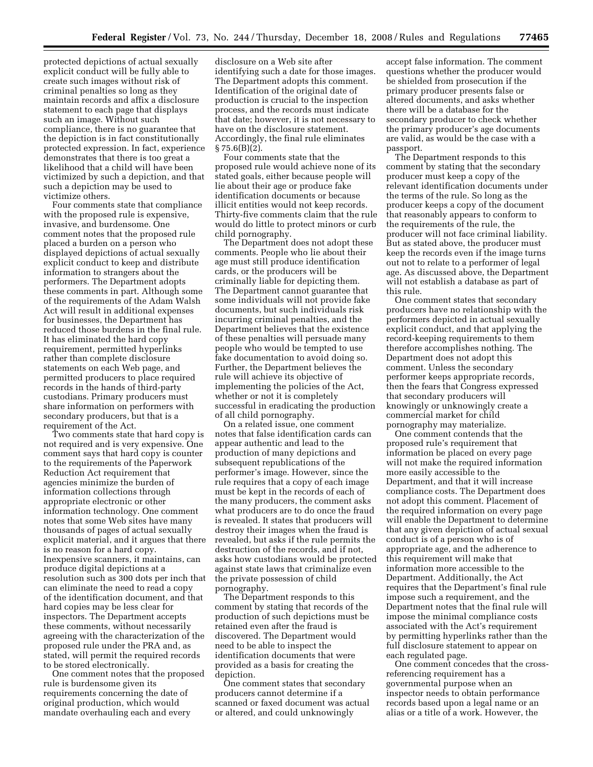protected depictions of actual sexually explicit conduct will be fully able to create such images without risk of criminal penalties so long as they maintain records and affix a disclosure statement to each page that displays such an image. Without such compliance, there is no guarantee that the depiction is in fact constitutionally protected expression. In fact, experience demonstrates that there is too great a likelihood that a child will have been victimized by such a depiction, and that such a depiction may be used to victimize others.

Four comments state that compliance with the proposed rule is expensive, invasive, and burdensome. One comment notes that the proposed rule placed a burden on a person who displayed depictions of actual sexually explicit conduct to keep and distribute information to strangers about the performers. The Department adopts these comments in part. Although some of the requirements of the Adam Walsh Act will result in additional expenses for businesses, the Department has reduced those burdens in the final rule. It has eliminated the hard copy requirement, permitted hyperlinks rather than complete disclosure statements on each Web page, and permitted producers to place required records in the hands of third-party custodians. Primary producers must share information on performers with secondary producers, but that is a requirement of the Act.

Two comments state that hard copy is not required and is very expensive. One comment says that hard copy is counter to the requirements of the Paperwork Reduction Act requirement that agencies minimize the burden of information collections through appropriate electronic or other information technology. One comment notes that some Web sites have many thousands of pages of actual sexually explicit material, and it argues that there is no reason for a hard copy. Inexpensive scanners, it maintains, can produce digital depictions at a resolution such as 300 dots per inch that can eliminate the need to read a copy of the identification document, and that hard copies may be less clear for inspectors. The Department accepts these comments, without necessarily agreeing with the characterization of the proposed rule under the PRA and, as stated, will permit the required records to be stored electronically.

One comment notes that the proposed rule is burdensome given its requirements concerning the date of original production, which would mandate overhauling each and every

disclosure on a Web site after identifying such a date for those images. The Department adopts this comment. Identification of the original date of production is crucial to the inspection process, and the records must indicate that date; however, it is not necessary to have on the disclosure statement. Accordingly, the final rule eliminates  $§ 75.6(B)(2).$ 

Four comments state that the proposed rule would achieve none of its stated goals, either because people will lie about their age or produce fake identification documents or because illicit entities would not keep records. Thirty-five comments claim that the rule would do little to protect minors or curb child pornography.

The Department does not adopt these comments. People who lie about their age must still produce identification cards, or the producers will be criminally liable for depicting them. The Department cannot guarantee that some individuals will not provide fake documents, but such individuals risk incurring criminal penalties, and the Department believes that the existence of these penalties will persuade many people who would be tempted to use fake documentation to avoid doing so. Further, the Department believes the rule will achieve its objective of implementing the policies of the Act, whether or not it is completely successful in eradicating the production of all child pornography.

On a related issue, one comment notes that false identification cards can appear authentic and lead to the production of many depictions and subsequent republications of the performer's image. However, since the rule requires that a copy of each image must be kept in the records of each of the many producers, the comment asks what producers are to do once the fraud is revealed. It states that producers will destroy their images when the fraud is revealed, but asks if the rule permits the destruction of the records, and if not, asks how custodians would be protected against state laws that criminalize even the private possession of child pornography.

The Department responds to this comment by stating that records of the production of such depictions must be retained even after the fraud is discovered. The Department would need to be able to inspect the identification documents that were provided as a basis for creating the depiction.

One comment states that secondary producers cannot determine if a scanned or faxed document was actual or altered, and could unknowingly

accept false information. The comment questions whether the producer would be shielded from prosecution if the primary producer presents false or altered documents, and asks whether there will be a database for the secondary producer to check whether the primary producer's age documents are valid, as would be the case with a passport.

The Department responds to this comment by stating that the secondary producer must keep a copy of the relevant identification documents under the terms of the rule. So long as the producer keeps a copy of the document that reasonably appears to conform to the requirements of the rule, the producer will not face criminal liability. But as stated above, the producer must keep the records even if the image turns out not to relate to a performer of legal age. As discussed above, the Department will not establish a database as part of this rule.

One comment states that secondary producers have no relationship with the performers depicted in actual sexually explicit conduct, and that applying the record-keeping requirements to them therefore accomplishes nothing. The Department does not adopt this comment. Unless the secondary performer keeps appropriate records, then the fears that Congress expressed that secondary producers will knowingly or unknowingly create a commercial market for child pornography may materialize.

One comment contends that the proposed rule's requirement that information be placed on every page will not make the required information more easily accessible to the Department, and that it will increase compliance costs. The Department does not adopt this comment. Placement of the required information on every page will enable the Department to determine that any given depiction of actual sexual conduct is of a person who is of appropriate age, and the adherence to this requirement will make that information more accessible to the Department. Additionally, the Act requires that the Department's final rule impose such a requirement, and the Department notes that the final rule will impose the minimal compliance costs associated with the Act's requirement by permitting hyperlinks rather than the full disclosure statement to appear on each regulated page.

One comment concedes that the crossreferencing requirement has a governmental purpose when an inspector needs to obtain performance records based upon a legal name or an alias or a title of a work. However, the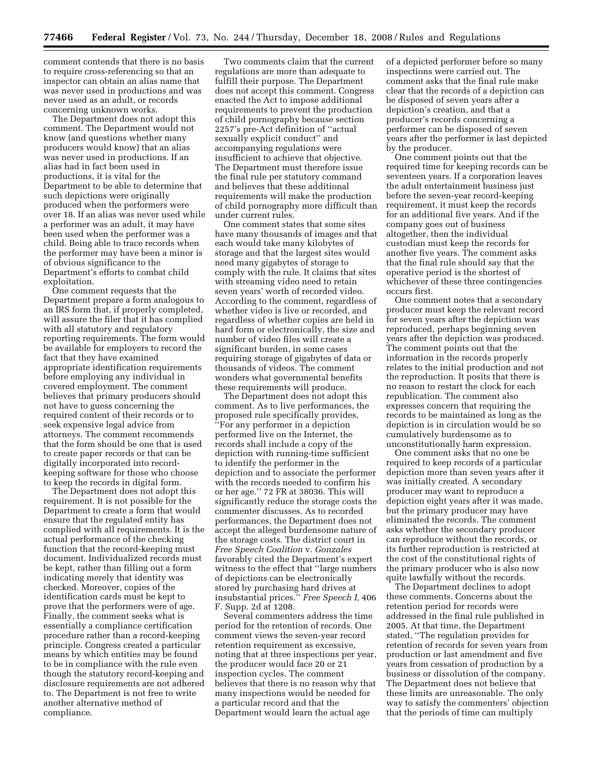comment contends that there is no basis to require cross-referencing so that an inspector can obtain an alias name that was never used in productions and was never used as an adult, or records concerning unknown works.

The Department does not adopt this comment. The Department would not know (and questions whether many producers would know) that an alias was never used in productions. If an alias had in fact been used in productions, it is vital for the Department to be able to determine that such depictions were originally produced when the performers were over 18. If an alias was never used while a performer was an adult, it may have been used when the performer was a child. Being able to trace records when the performer may have been a minor is of obvious significance to the Department's efforts to combat child exploitation.

One comment requests that the Department prepare a form analogous to an IRS form that, if properly completed, will assure the filer that it has complied with all statutory and regulatory reporting requirements. The form would be available for employers to record the fact that they have examined appropriate identification requirements before employing any individual in covered employment. The comment believes that primary producers should not have to guess concerning the required content of their records or to seek expensive legal advice from attorneys. The comment recommends that the form should be one that is used to create paper records or that can be digitally incorporated into recordkeeping software for those who choose to keep the records in digital form.

The Department does not adopt this requirement. It is not possible for the Department to create a form that would ensure that the regulated entity has complied with all requirements. It is the actual performance of the checking function that the record-keeping must document. Individualized records must be kept, rather than filling out a form indicating merely that identity was checked. Moreover, copies of the identification cards must be kept to prove that the performers were of age. Finally, the comment seeks what is essentially a compliance certification procedure rather than a record-keeping principle. Congress created a particular means by which entities may be found to be in compliance with the rule even though the statutory record-keeping and disclosure requirements are not adhered to. The Department is not free to write another alternative method of compliance.

Two comments claim that the current regulations are more than adequate to fulfill their purpose. The Department does not accept this comment. Congress enacted the Act to impose additional requirements to prevent the production of child pornography because section 2257's pre-Act definition of ''actual sexually explicit conduct'' and accompanying regulations were insufficient to achieve that objective. The Department must therefore issue the final rule per statutory command and believes that these additional requirements will make the production of child pornography more difficult than under current rules.

One comment states that some sites have many thousands of images and that each would take many kilobytes of storage and that the largest sites would need many gigabytes of storage to comply with the rule. It claims that sites with streaming video need to retain seven years' worth of recorded video. According to the comment, regardless of whether video is live or recorded, and regardless of whether copies are held in hard form or electronically, the size and number of video files will create a significant burden, in some cases requiring storage of gigabytes of data or thousands of videos. The comment wonders what governmental benefits these requirements will produce.

The Department does not adopt this comment. As to live performances, the proposed rule specifically provides, ''For any performer in a depiction performed live on the Internet, the records shall include a copy of the depiction with running-time sufficient to identify the performer in the depiction and to associate the performer with the records needed to confirm his or her age.'' 72 FR at 38036. This will significantly reduce the storage costs the commenter discusses. As to recorded performances, the Department does not accept the alleged burdensome nature of the storage costs. The district court in *Free Speech Coalition* v. *Gonzales*  favorably cited the Department's expert witness to the effect that ''large numbers of depictions can be electronically stored by purchasing hard drives at insubstantial prices.'' *Free Speech I,* 406 F. Supp. 2d at 1208.

Several commenters address the time period for the retention of records. One comment views the seven-year record retention requirement as excessive, noting that at three inspections per year, the producer would face 20 or 21 inspection cycles. The comment believes that there is no reason why that many inspections would be needed for a particular record and that the Department would learn the actual age

of a depicted performer before so many inspections were carried out. The comment asks that the final rule make clear that the records of a depiction can be disposed of seven years after a depiction's creation, and that a producer's records concerning a performer can be disposed of seven years after the performer is last depicted by the producer.

One comment points out that the required time for keeping records can be seventeen years. If a corporation leaves the adult entertainment business just before the seven-year record-keeping requirement, it must keep the records for an additional five years. And if the company goes out of business altogether, then the individual custodian must keep the records for another five years. The comment asks that the final rule should say that the operative period is the shortest of whichever of these three contingencies occurs first.

One comment notes that a secondary producer must keep the relevant record for seven years after the depiction was reproduced, perhaps beginning seven years after the depiction was produced. The comment points out that the information in the records properly relates to the initial production and not the reproduction. It posits that there is no reason to restart the clock for each republication. The comment also expresses concern that requiring the records to be maintained as long as the depiction is in circulation would be so cumulatively burdensome as to unconstitutionally harm expression.

One comment asks that no one be required to keep records of a particular depiction more than seven years after it was initially created. A secondary producer may want to reproduce a depiction eight years after it was made, but the primary producer may have eliminated the records. The comment asks whether the secondary producer can reproduce without the records, or its further reproduction is restricted at the cost of the constitutional rights of the primary producer who is also now quite lawfully without the records.

The Department declines to adopt these comments. Concerns about the retention period for records were addressed in the final rule published in 2005. At that time, the Department stated, ''The regulation provides for retention of records for seven years from production or last amendment and five years from cessation of production by a business or dissolution of the company. The Department does not believe that these limits are unreasonable. The only way to satisfy the commenters' objection that the periods of time can multiply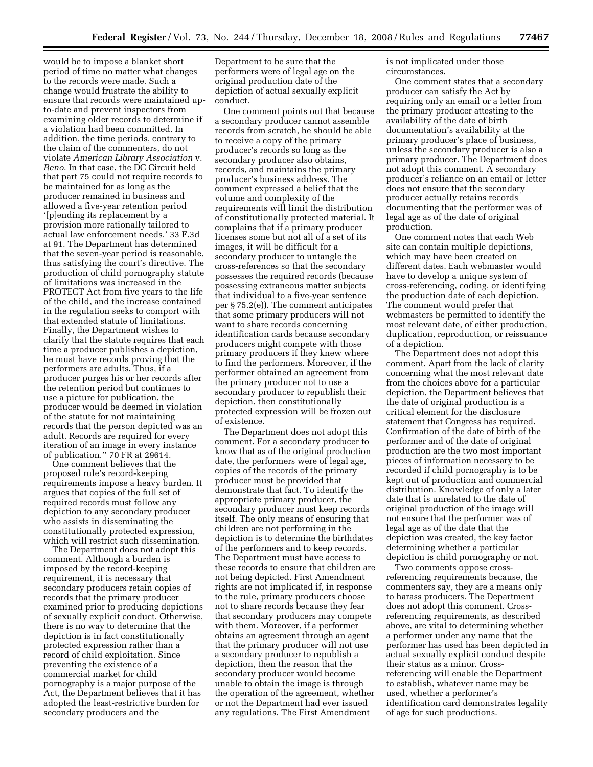would be to impose a blanket short period of time no matter what changes to the records were made. Such a change would frustrate the ability to ensure that records were maintained upto-date and prevent inspectors from examining older records to determine if a violation had been committed. In addition, the time periods, contrary to the claim of the commenters, do not violate *American Library Association* v. *Reno*. In that case, the DC Circuit held that part 75 could not require records to be maintained for as long as the producer remained in business and allowed a five-year retention period '[p]ending its replacement by a provision more rationally tailored to actual law enforcement needs.' 33 F.3d at 91. The Department has determined that the seven-year period is reasonable, thus satisfying the court's directive. The production of child pornography statute of limitations was increased in the PROTECT Act from five years to the life of the child, and the increase contained in the regulation seeks to comport with that extended statute of limitations. Finally, the Department wishes to clarify that the statute requires that each time a producer publishes a depiction, he must have records proving that the performers are adults. Thus, if a producer purges his or her records after the retention period but continues to use a picture for publication, the producer would be deemed in violation of the statute for not maintaining records that the person depicted was an adult. Records are required for every iteration of an image in every instance of publication.'' 70 FR at 29614.

One comment believes that the proposed rule's record-keeping requirements impose a heavy burden. It argues that copies of the full set of required records must follow any depiction to any secondary producer who assists in disseminating the constitutionally protected expression, which will restrict such dissemination.

The Department does not adopt this comment. Although a burden is imposed by the record-keeping requirement, it is necessary that secondary producers retain copies of records that the primary producer examined prior to producing depictions of sexually explicit conduct. Otherwise, there is no way to determine that the depiction is in fact constitutionally protected expression rather than a record of child exploitation. Since preventing the existence of a commercial market for child pornography is a major purpose of the Act, the Department believes that it has adopted the least-restrictive burden for secondary producers and the

Department to be sure that the performers were of legal age on the original production date of the depiction of actual sexually explicit conduct.

One comment points out that because a secondary producer cannot assemble records from scratch, he should be able to receive a copy of the primary producer's records so long as the secondary producer also obtains, records, and maintains the primary producer's business address. The comment expressed a belief that the volume and complexity of the requirements will limit the distribution of constitutionally protected material. It complains that if a primary producer licenses some but not all of a set of its images, it will be difficult for a secondary producer to untangle the cross-references so that the secondary possesses the required records (because possessing extraneous matter subjects that individual to a five-year sentence per § 75.2(e)). The comment anticipates that some primary producers will not want to share records concerning identification cards because secondary producers might compete with those primary producers if they knew where to find the performers. Moreover, if the performer obtained an agreement from the primary producer not to use a secondary producer to republish their depiction, then constitutionally protected expression will be frozen out of existence.

The Department does not adopt this comment. For a secondary producer to know that as of the original production date, the performers were of legal age, copies of the records of the primary producer must be provided that demonstrate that fact. To identify the appropriate primary producer, the secondary producer must keep records itself. The only means of ensuring that children are not performing in the depiction is to determine the birthdates of the performers and to keep records. The Department must have access to these records to ensure that children are not being depicted. First Amendment rights are not implicated if, in response to the rule, primary producers choose not to share records because they fear that secondary producers may compete with them. Moreover, if a performer obtains an agreement through an agent that the primary producer will not use a secondary producer to republish a depiction, then the reason that the secondary producer would become unable to obtain the image is through the operation of the agreement, whether or not the Department had ever issued any regulations. The First Amendment

is not implicated under those circumstances.

One comment states that a secondary producer can satisfy the Act by requiring only an email or a letter from the primary producer attesting to the availability of the date of birth documentation's availability at the primary producer's place of business, unless the secondary producer is also a primary producer. The Department does not adopt this comment. A secondary producer's reliance on an email or letter does not ensure that the secondary producer actually retains records documenting that the performer was of legal age as of the date of original production.

One comment notes that each Web site can contain multiple depictions, which may have been created on different dates. Each webmaster would have to develop a unique system of cross-referencing, coding, or identifying the production date of each depiction. The comment would prefer that webmasters be permitted to identify the most relevant date, of either production, duplication, reproduction, or reissuance of a depiction.

The Department does not adopt this comment. Apart from the lack of clarity concerning what the most relevant date from the choices above for a particular depiction, the Department believes that the date of original production is a critical element for the disclosure statement that Congress has required. Confirmation of the date of birth of the performer and of the date of original production are the two most important pieces of information necessary to be recorded if child pornography is to be kept out of production and commercial distribution. Knowledge of only a later date that is unrelated to the date of original production of the image will not ensure that the performer was of legal age as of the date that the depiction was created, the key factor determining whether a particular depiction is child pornography or not.

Two comments oppose crossreferencing requirements because, the commenters say, they are a means only to harass producers. The Department does not adopt this comment. Crossreferencing requirements, as described above, are vital to determining whether a performer under any name that the performer has used has been depicted in actual sexually explicit conduct despite their status as a minor. Crossreferencing will enable the Department to establish, whatever name may be used, whether a performer's identification card demonstrates legality of age for such productions.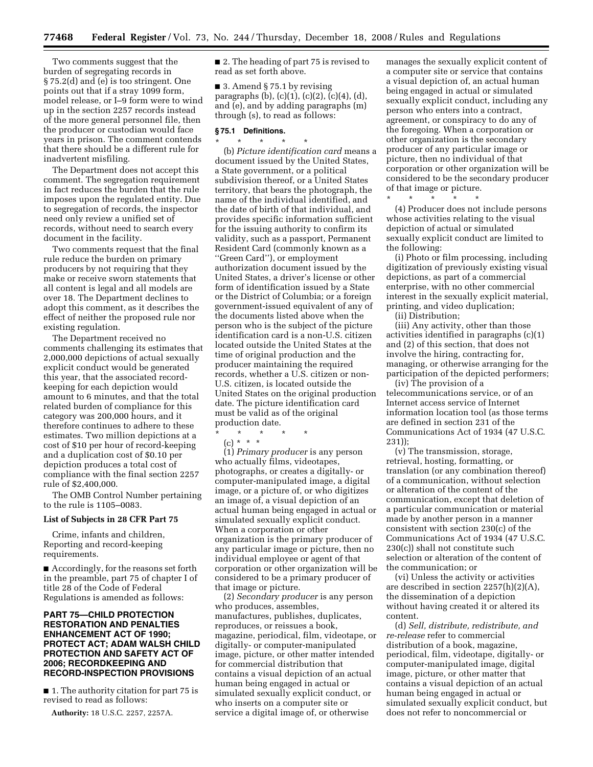Two comments suggest that the burden of segregating records in § 75.2(d) and (e) is too stringent. One points out that if a stray 1099 form, model release, or I–9 form were to wind up in the section 2257 records instead of the more general personnel file, then the producer or custodian would face years in prison. The comment contends that there should be a different rule for inadvertent misfiling.

The Department does not accept this comment. The segregation requirement in fact reduces the burden that the rule imposes upon the regulated entity. Due to segregation of records, the inspector need only review a unified set of records, without need to search every document in the facility.

Two comments request that the final rule reduce the burden on primary producers by not requiring that they make or receive sworn statements that all content is legal and all models are over 18. The Department declines to adopt this comment, as it describes the effect of neither the proposed rule nor existing regulation.

The Department received no comments challenging its estimates that 2,000,000 depictions of actual sexually explicit conduct would be generated this year, that the associated recordkeeping for each depiction would amount to 6 minutes, and that the total related burden of compliance for this category was 200,000 hours, and it therefore continues to adhere to these estimates. Two million depictions at a cost of \$10 per hour of record-keeping and a duplication cost of \$0.10 per depiction produces a total cost of compliance with the final section 2257 rule of \$2,400,000.

The OMB Control Number pertaining to the rule is 1105–0083.

#### **List of Subjects in 28 CFR Part 75**

Crime, infants and children, Reporting and record-keeping requirements.

■ Accordingly, for the reasons set forth in the preamble, part 75 of chapter I of title 28 of the Code of Federal Regulations is amended as follows:

#### **PART 75—CHILD PROTECTION RESTORATION AND PENALTIES ENHANCEMENT ACT OF 1990; PROTECT ACT; ADAM WALSH CHILD PROTECTION AND SAFETY ACT OF 2006; RECORDKEEPING AND RECORD-INSPECTION PROVISIONS**

■ 1. The authority citation for part 75 is revised to read as follows:

**Authority:** 18 U.S.C. 2257, 2257A.

■ 2. The heading of part 75 is revised to read as set forth above.

■ 3. Amend § 75.1 by revising paragraphs (b), (c)(1), (c)(2), (c)(4), (d), and (e), and by adding paragraphs (m) through (s), to read as follows:

#### **§ 75.1 Definitions.**

\* \* \* \* \* (b) *Picture identification card* means a document issued by the United States, a State government, or a political subdivision thereof, or a United States territory, that bears the photograph, the name of the individual identified, and the date of birth of that individual, and provides specific information sufficient for the issuing authority to confirm its validity, such as a passport, Permanent Resident Card (commonly known as a ''Green Card''), or employment authorization document issued by the United States, a driver's license or other form of identification issued by a State or the District of Columbia; or a foreign government-issued equivalent of any of the documents listed above when the person who is the subject of the picture identification card is a non-U.S. citizen located outside the United States at the time of original production and the producer maintaining the required records, whether a U.S. citizen or non-U.S. citizen, is located outside the United States on the original production date. The picture identification card must be valid as of the original production date.

\* \* \* \* \*  $(c) * * * *$ 

(1) *Primary producer* is any person who actually films, videotapes, photographs, or creates a digitally- or computer-manipulated image, a digital image, or a picture of, or who digitizes an image of, a visual depiction of an actual human being engaged in actual or simulated sexually explicit conduct. When a corporation or other organization is the primary producer of any particular image or picture, then no individual employee or agent of that corporation or other organization will be considered to be a primary producer of that image or picture.

(2) *Secondary producer* is any person who produces, assembles, manufactures, publishes, duplicates, reproduces, or reissues a book, magazine, periodical, film, videotape, or digitally- or computer-manipulated image, picture, or other matter intended for commercial distribution that contains a visual depiction of an actual human being engaged in actual or simulated sexually explicit conduct, or who inserts on a computer site or service a digital image of, or otherwise

manages the sexually explicit content of a computer site or service that contains a visual depiction of, an actual human being engaged in actual or simulated sexually explicit conduct, including any person who enters into a contract, agreement, or conspiracy to do any of the foregoing. When a corporation or other organization is the secondary producer of any particular image or picture, then no individual of that corporation or other organization will be considered to be the secondary producer of that image or picture.

(4) Producer does not include persons whose activities relating to the visual depiction of actual or simulated sexually explicit conduct are limited to the following:

(i) Photo or film processing, including digitization of previously existing visual depictions, as part of a commercial enterprise, with no other commercial interest in the sexually explicit material, printing, and video duplication;

(ii) Distribution;

 $\star$   $\qquad$   $\star$   $\qquad$   $\star$ 

(iii) Any activity, other than those activities identified in paragraphs (c)(1) and (2) of this section, that does not involve the hiring, contracting for, managing, or otherwise arranging for the participation of the depicted performers;

(iv) The provision of a telecommunications service, or of an Internet access service of Internet information location tool (as those terms are defined in section 231 of the Communications Act of 1934 (47 U.S.C. 231));

(v) The transmission, storage, retrieval, hosting, formatting, or translation (or any combination thereof) of a communication, without selection or alteration of the content of the communication, except that deletion of a particular communication or material made by another person in a manner consistent with section 230(c) of the Communications Act of 1934 (47 U.S.C. 230(c)) shall not constitute such selection or alteration of the content of the communication; or

(vi) Unless the activity or activities are described in section 2257(h)(2)(A), the dissemination of a depiction without having created it or altered its content.

(d) *Sell, distribute, redistribute, and re-release* refer to commercial distribution of a book, magazine, periodical, film, videotape, digitally- or computer-manipulated image, digital image, picture, or other matter that contains a visual depiction of an actual human being engaged in actual or simulated sexually explicit conduct, but does not refer to noncommercial or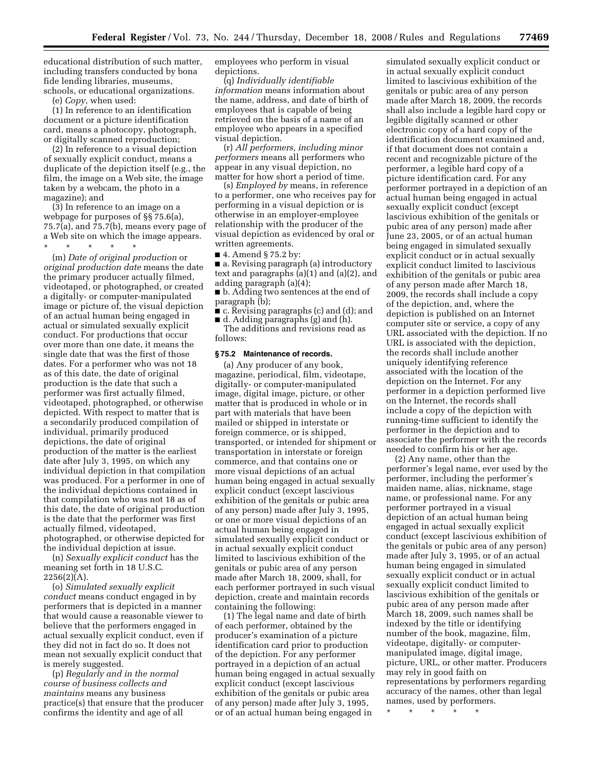educational distribution of such matter, including transfers conducted by bona fide lending libraries, museums, schools, or educational organizations.

(e) *Copy*, when used:

(1) In reference to an identification document or a picture identification card, means a photocopy, photograph, or digitally scanned reproduction;

(2) In reference to a visual depiction of sexually explicit conduct, means a duplicate of the depiction itself (e.g., the film, the image on a Web site, the image taken by a webcam, the photo in a magazine); and

(3) In reference to an image on a webpage for purposes of §§ 75.6(a), 75.7(a), and 75.7(b), means every page of a Web site on which the image appears.

\* \* \* \* \* (m) *Date of original production* or *original production date* means the date the primary producer actually filmed, videotaped, or photographed, or created a digitally- or computer-manipulated image or picture of, the visual depiction of an actual human being engaged in actual or simulated sexually explicit conduct. For productions that occur over more than one date, it means the single date that was the first of those dates. For a performer who was not 18 as of this date, the date of original production is the date that such a performer was first actually filmed, videotaped, photographed, or otherwise depicted. With respect to matter that is a secondarily produced compilation of individual, primarily produced depictions, the date of original production of the matter is the earliest date after July 3, 1995, on which any individual depiction in that compilation was produced. For a performer in one of the individual depictions contained in that compilation who was not 18 as of this date, the date of original production is the date that the performer was first actually filmed, videotaped, photographed, or otherwise depicted for the individual depiction at issue.

(n) *Sexually explicit conduct* has the meaning set forth in 18 U.S.C.  $2256(2)(A)$ .

(o) *Simulated sexually explicit conduct* means conduct engaged in by performers that is depicted in a manner that would cause a reasonable viewer to believe that the performers engaged in actual sexually explicit conduct, even if they did not in fact do so. It does not mean not sexually explicit conduct that is merely suggested.

(p) *Regularly and in the normal course of business collects and maintains* means any business practice(s) that ensure that the producer confirms the identity and age of all

employees who perform in visual depictions.

(q) *Individually identifiable information* means information about the name, address, and date of birth of employees that is capable of being retrieved on the basis of a name of an employee who appears in a specified visual depiction.

(r) *All performers, including minor performers* means all performers who appear in any visual depiction, no matter for how short a period of time.

(s) *Employed by* means, in reference to a performer, one who receives pay for performing in a visual depiction or is otherwise in an employer-employee relationship with the producer of the visual depiction as evidenced by oral or written agreements.

■ 4. Amend § 75.2 by:

■ a. Revising paragraph (a) introductory text and paragraphs (a)(1) and (a)(2), and adding paragraph (a)(4);

■ b. Adding two sentences at the end of paragraph (b);

■ c. Revising paragraphs (c) and (d); and

■ d. Adding paragraphs (g) and (h). The additions and revisions read as follows:

#### **§ 75.2 Maintenance of records.**

(a) Any producer of any book, magazine, periodical, film, videotape, digitally- or computer-manipulated image, digital image, picture, or other matter that is produced in whole or in part with materials that have been mailed or shipped in interstate or foreign commerce, or is shipped, transported, or intended for shipment or transportation in interstate or foreign commerce, and that contains one or more visual depictions of an actual human being engaged in actual sexually explicit conduct (except lascivious exhibition of the genitals or pubic area of any person) made after July 3, 1995, or one or more visual depictions of an actual human being engaged in simulated sexually explicit conduct or in actual sexually explicit conduct limited to lascivious exhibition of the genitals or pubic area of any person made after March 18, 2009, shall, for each performer portrayed in such visual depiction, create and maintain records containing the following:

(1) The legal name and date of birth of each performer, obtained by the producer's examination of a picture identification card prior to production of the depiction. For any performer portrayed in a depiction of an actual human being engaged in actual sexually explicit conduct (except lascivious exhibition of the genitals or pubic area of any person) made after July 3, 1995, or of an actual human being engaged in

simulated sexually explicit conduct or in actual sexually explicit conduct limited to lascivious exhibition of the genitals or pubic area of any person made after March 18, 2009, the records shall also include a legible hard copy or legible digitally scanned or other electronic copy of a hard copy of the identification document examined and, if that document does not contain a recent and recognizable picture of the performer, a legible hard copy of a picture identification card. For any performer portrayed in a depiction of an actual human being engaged in actual sexually explicit conduct (except lascivious exhibition of the genitals or pubic area of any person) made after June 23, 2005, or of an actual human being engaged in simulated sexually explicit conduct or in actual sexually explicit conduct limited to lascivious exhibition of the genitals or pubic area of any person made after March 18, 2009, the records shall include a copy of the depiction, and, where the depiction is published on an Internet computer site or service, a copy of any URL associated with the depiction. If no URL is associated with the depiction, the records shall include another uniquely identifying reference associated with the location of the depiction on the Internet. For any performer in a depiction performed live on the Internet, the records shall include a copy of the depiction with running-time sufficient to identify the performer in the depiction and to associate the performer with the records needed to confirm his or her age.

(2) Any name, other than the performer's legal name, ever used by the performer, including the performer's maiden name, alias, nickname, stage name, or professional name. For any performer portrayed in a visual depiction of an actual human being engaged in actual sexually explicit conduct (except lascivious exhibition of the genitals or pubic area of any person) made after July 3, 1995, or of an actual human being engaged in simulated sexually explicit conduct or in actual sexually explicit conduct limited to lascivious exhibition of the genitals or pubic area of any person made after March 18, 2009, such names shall be indexed by the title or identifying number of the book, magazine, film, videotape, digitally- or computermanipulated image, digital image, picture, URL, or other matter. Producers may rely in good faith on representations by performers regarding accuracy of the names, other than legal names, used by performers.

\* \* \* \* \*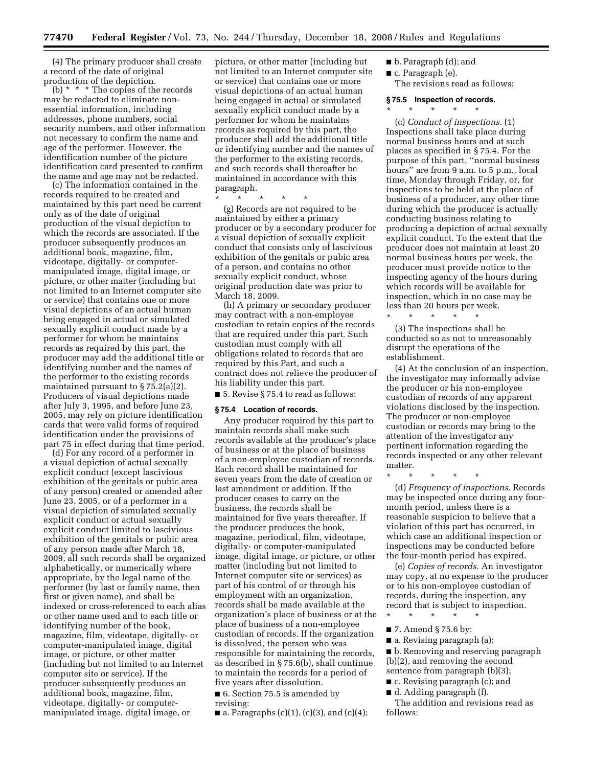(4) The primary producer shall create a record of the date of original production of the depiction.

(b)  $*$   $*$   $*$  The copies of the records may be redacted to eliminate nonessential information, including addresses, phone numbers, social security numbers, and other information not necessary to confirm the name and age of the performer. However, the identification number of the picture identification card presented to confirm the name and age may not be redacted.

(c) The information contained in the records required to be created and maintained by this part need be current only as of the date of original production of the visual depiction to which the records are associated. If the producer subsequently produces an additional book, magazine, film, videotape, digitally- or computermanipulated image, digital image, or picture, or other matter (including but not limited to an Internet computer site or service) that contains one or more visual depictions of an actual human being engaged in actual or simulated sexually explicit conduct made by a performer for whom he maintains records as required by this part, the producer may add the additional title or identifying number and the names of the performer to the existing records maintained pursuant to § 75.2(a)(2). Producers of visual depictions made after July 3, 1995, and before June 23, 2005, may rely on picture identification cards that were valid forms of required identification under the provisions of part 75 in effect during that time period.

(d) For any record of a performer in a visual depiction of actual sexually explicit conduct (except lascivious exhibition of the genitals or pubic area of any person) created or amended after June 23, 2005, or of a performer in a visual depiction of simulated sexually explicit conduct or actual sexually explicit conduct limited to lascivious exhibition of the genitals or pubic area of any person made after March 18, 2009, all such records shall be organized alphabetically, or numerically where appropriate, by the legal name of the performer (by last or family name, then first or given name), and shall be indexed or cross-referenced to each alias or other name used and to each title or identifying number of the book, magazine, film, videotape, digitally- or computer-manipulated image, digital image, or picture, or other matter (including but not limited to an Internet computer site or service). If the producer subsequently produces an additional book, magazine, film, videotape, digitally- or computermanipulated image, digital image, or

picture, or other matter (including but not limited to an Internet computer site or service) that contains one or more visual depictions of an actual human being engaged in actual or simulated sexually explicit conduct made by a performer for whom he maintains records as required by this part, the producer shall add the additional title or identifying number and the names of the performer to the existing records, and such records shall thereafter be maintained in accordance with this paragraph.

\* \* \* \* \* (g) Records are not required to be maintained by either a primary producer or by a secondary producer for a visual depiction of sexually explicit conduct that consists only of lascivious exhibition of the genitals or pubic area of a person, and contains no other sexually explicit conduct, whose original production date was prior to

March 18, 2009. (h) A primary or secondary producer may contract with a non-employee custodian to retain copies of the records that are required under this part. Such custodian must comply with all obligations related to records that are required by this Part, and such a contract does not relieve the producer of his liability under this part.

■ 5. Revise § 75.4 to read as follows:

#### **§ 75.4 Location of records.**

Any producer required by this part to maintain records shall make such records available at the producer's place of business or at the place of business of a non-employee custodian of records. Each record shall be maintained for seven years from the date of creation or last amendment or addition. If the producer ceases to carry on the business, the records shall be maintained for five years thereafter. If the producer produces the book, magazine, periodical, film, videotape, digitally- or computer-manipulated image, digital image, or picture, or other matter (including but not limited to Internet computer site or services) as part of his control of or through his employment with an organization, records shall be made available at the organization's place of business or at the place of business of a non-employee custodian of records. If the organization is dissolved, the person who was responsible for maintaining the records, as described in § 75.6(b), shall continue to maintain the records for a period of five years after dissolution.

■ 6. Section 75.5 is amended by revising:

 $\blacksquare$  a. Paragraphs (c)(1), (c)(3), and (c)(4);

- b. Paragraph (d); and
- c. Paragraph (e).

The revisions read as follows:

#### **§ 75.5 Inspection of records.**

 $\star$   $\star$   $\star$ 

(c) *Conduct of inspections.* (1) Inspections shall take place during normal business hours and at such places as specified in § 75.4. For the purpose of this part, ''normal business hours'' are from 9 a.m. to 5 p.m., local time, Monday through Friday, or, for inspections to be held at the place of business of a producer, any other time during which the producer is actually conducting business relating to producing a depiction of actual sexually explicit conduct. To the extent that the producer does not maintain at least 20 normal business hours per week, the producer must provide notice to the inspecting agency of the hours during which records will be available for inspection, which in no case may be less than 20 hours per week.

\* \* \* \* \* (3) The inspections shall be conducted so as not to unreasonably disrupt the operations of the establishment.

(4) At the conclusion of an inspection, the investigator may informally advise the producer or his non-employee custodian of records of any apparent violations disclosed by the inspection. The producer or non-employee custodian or records may bring to the attention of the investigator any pertinent information regarding the records inspected or any other relevant matter.

\* \* \* \* \*

(d) *Frequency of inspections.* Records may be inspected once during any fourmonth period, unless there is a reasonable suspicion to believe that a violation of this part has occurred, in which case an additional inspection or inspections may be conducted before the four-month period has expired.

(e) *Copies of records.* An investigator may copy, at no expense to the producer or to his non-employee custodian of records, during the inspection, any record that is subject to inspection. \* \* \* \* \*

- 7. Amend § 75.6 by:
- a. Revising paragraph (a);

■ b. Removing and reserving paragraph (b)(2), and removing the second sentence from paragraph (b)(3);

- c. Revising paragraph (c); and
- d. Adding paragraph (f).

The addition and revisions read as follows: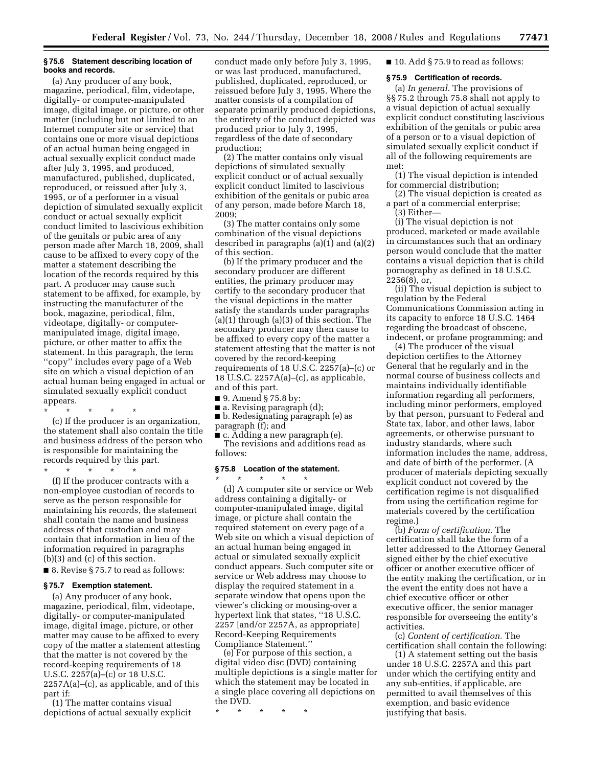#### **§ 75.6 Statement describing location of books and records.**

(a) Any producer of any book, magazine, periodical, film, videotape, digitally- or computer-manipulated image, digital image, or picture, or other matter (including but not limited to an Internet computer site or service) that contains one or more visual depictions of an actual human being engaged in actual sexually explicit conduct made after July 3, 1995, and produced, manufactured, published, duplicated, reproduced, or reissued after July 3, 1995, or of a performer in a visual depiction of simulated sexually explicit conduct or actual sexually explicit conduct limited to lascivious exhibition of the genitals or pubic area of any person made after March 18, 2009, shall cause to be affixed to every copy of the matter a statement describing the location of the records required by this part. A producer may cause such statement to be affixed, for example, by instructing the manufacturer of the book, magazine, periodical, film, videotape, digitally- or computermanipulated image, digital image, picture, or other matter to affix the statement. In this paragraph, the term ''copy'' includes every page of a Web site on which a visual depiction of an actual human being engaged in actual or simulated sexually explicit conduct appears.

\* \* \* \* \*

(c) If the producer is an organization, the statement shall also contain the title and business address of the person who is responsible for maintaining the records required by this part.

\* \* \* \* \*

(f) If the producer contracts with a non-employee custodian of records to serve as the person responsible for maintaining his records, the statement shall contain the name and business address of that custodian and may contain that information in lieu of the information required in paragraphs (b)(3) and (c) of this section.

■ 8. Revise § 75.7 to read as follows:

#### **§ 75.7 Exemption statement.**

(a) Any producer of any book, magazine, periodical, film, videotape, digitally- or computer-manipulated image, digital image, picture, or other matter may cause to be affixed to every copy of the matter a statement attesting that the matter is not covered by the record-keeping requirements of 18 U.S.C. 2257(a)–(c) or 18 U.S.C. 2257A(a)–(c), as applicable, and of this part if:

(1) The matter contains visual depictions of actual sexually explicit

conduct made only before July 3, 1995, or was last produced, manufactured, published, duplicated, reproduced, or reissued before July 3, 1995. Where the matter consists of a compilation of separate primarily produced depictions, the entirety of the conduct depicted was produced prior to July 3, 1995, regardless of the date of secondary production;

(2) The matter contains only visual depictions of simulated sexually explicit conduct or of actual sexually explicit conduct limited to lascivious exhibition of the genitals or pubic area of any person, made before March 18, 2009;

(3) The matter contains only some combination of the visual depictions described in paragraphs  $(a)(1)$  and  $(a)(2)$ of this section.

(b) If the primary producer and the secondary producer are different entities, the primary producer may certify to the secondary producer that the visual depictions in the matter satisfy the standards under paragraphs (a)(1) through (a)(3) of this section. The secondary producer may then cause to be affixed to every copy of the matter a statement attesting that the matter is not covered by the record-keeping requirements of 18 U.S.C. 2257(a)–(c) or 18 U.S.C. 2257A(a)–(c), as applicable, and of this part.

■ 9. Amend § 75.8 by:

■ a. Revising paragraph (d);

■ b. Redesignating paragraph (e) as paragraph (f); and

■ c. Adding a new paragraph (e). The revisions and additions read as follows:

#### **§ 75.8 Location of the statement.**

\* \* \* \* \*

(d) A computer site or service or Web address containing a digitally- or computer-manipulated image, digital image, or picture shall contain the required statement on every page of a Web site on which a visual depiction of an actual human being engaged in actual or simulated sexually explicit conduct appears. Such computer site or service or Web address may choose to display the required statement in a separate window that opens upon the viewer's clicking or mousing-over a hypertext link that states, ''18 U.S.C. 2257 [and/or 2257A, as appropriate] Record-Keeping Requirements Compliance Statement.''

(e) For purpose of this section, a digital video disc (DVD) containing multiple depictions is a single matter for which the statement may be located in a single place covering all depictions on the DVD.

\* \* \* \* \*

■ 10. Add § 75.9 to read as follows:

#### **§ 75.9 Certification of records.**

(a) *In general.* The provisions of §§ 75.2 through 75.8 shall not apply to a visual depiction of actual sexually explicit conduct constituting lascivious exhibition of the genitals or pubic area of a person or to a visual depiction of simulated sexually explicit conduct if all of the following requirements are met:

(1) The visual depiction is intended for commercial distribution;

(2) The visual depiction is created as a part of a commercial enterprise;

(3) Either—

(i) The visual depiction is not produced, marketed or made available in circumstances such that an ordinary person would conclude that the matter contains a visual depiction that is child pornography as defined in 18 U.S.C. 2256(8), or,

(ii) The visual depiction is subject to regulation by the Federal Communications Commission acting in its capacity to enforce 18 U.S.C. 1464 regarding the broadcast of obscene, indecent, or profane programming; and

(4) The producer of the visual depiction certifies to the Attorney General that he regularly and in the normal course of business collects and maintains individually identifiable information regarding all performers, including minor performers, employed by that person, pursuant to Federal and State tax, labor, and other laws, labor agreements, or otherwise pursuant to industry standards, where such information includes the name, address, and date of birth of the performer. (A producer of materials depicting sexually explicit conduct not covered by the certification regime is not disqualified from using the certification regime for materials covered by the certification regime.)

(b) *Form of certification.* The certification shall take the form of a letter addressed to the Attorney General signed either by the chief executive officer or another executive officer of the entity making the certification, or in the event the entity does not have a chief executive officer or other executive officer, the senior manager responsible for overseeing the entity's activities.

(c) *Content of certification.* The certification shall contain the following:

(1) A statement setting out the basis under 18 U.S.C. 2257A and this part under which the certifying entity and any sub-entities, if applicable, are permitted to avail themselves of this exemption, and basic evidence justifying that basis.